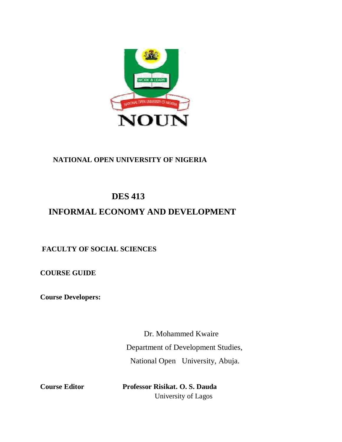

## **NATIONAL OPEN UNIVERSITY OF NIGERIA**

# **DES 413**

# **INFORMAL ECONOMY AND DEVELOPMENT**

## **FACULTY OF SOCIAL SCIENCES**

**COURSE GUIDE** 

**Course Developers:** 

Dr. Mohammed Kwaire Department of Development Studies, National Open University, Abuja.

**Course Editor Professor Risikat. O. S. Dauda** University of Lagos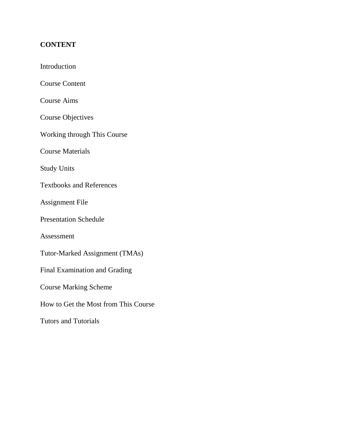## **CONTENT**

| Introduction                         |
|--------------------------------------|
| <b>Course Content</b>                |
| <b>Course Aims</b>                   |
| <b>Course Objectives</b>             |
| Working through This Course          |
| <b>Course Materials</b>              |
| <b>Study Units</b>                   |
| <b>Textbooks and References</b>      |
| <b>Assignment File</b>               |
| <b>Presentation Schedule</b>         |
| Assessment                           |
| Tutor-Marked Assignment (TMAs)       |
| <b>Final Examination and Grading</b> |
| <b>Course Marking Scheme</b>         |
| How to Get the Most from This Course |
| <b>Tutors and Tutorials</b>          |
|                                      |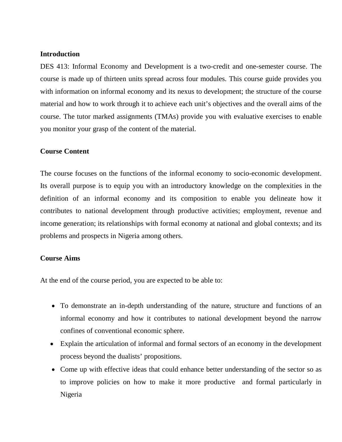### **Introduction**

DES 413: Informal Economy and Development is a two-credit and one-semester course. The course is made up of thirteen units spread across four modules. This course guide provides you with information on informal economy and its nexus to development; the structure of the course material and how to work through it to achieve each unit's objectives and the overall aims of the course. The tutor marked assignments (TMAs) provide you with evaluative exercises to enable you monitor your grasp of the content of the material.

### **Course Content**

The course focuses on the functions of the informal economy to socio-economic development. Its overall purpose is to equip you with an introductory knowledge on the complexities in the definition of an informal economy and its composition to enable you delineate how it contributes to national development through productive activities; employment, revenue and income generation; its relationships with formal economy at national and global contexts; and its problems and prospects in Nigeria among others.

### **Course Aims**

At the end of the course period, you are expected to be able to:

- To demonstrate an in-depth understanding of the nature, structure and functions of an informal economy and how it contributes to national development beyond the narrow confines of conventional economic sphere.
- Explain the articulation of informal and formal sectors of an economy in the development process beyond the dualists' propositions.
- Come up with effective ideas that could enhance better understanding of the sector so as to improve policies on how to make it more productive and formal particularly in Nigeria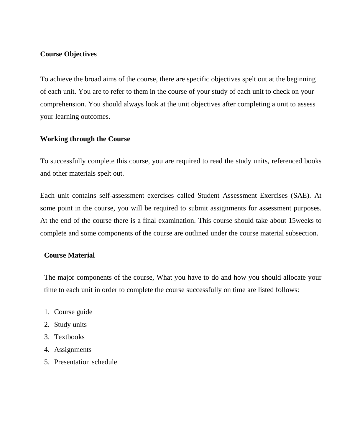### **Course Objectives**

To achieve the broad aims of the course, there are specific objectives spelt out at the beginning of each unit. You are to refer to them in the course of your study of each unit to check on your comprehension. You should always look at the unit objectives after completing a unit to assess your learning outcomes.

### **Working through the Course**

To successfully complete this course, you are required to read the study units, referenced books and other materials spelt out.

Each unit contains self-assessment exercises called Student Assessment Exercises (SAE). At some point in the course, you will be required to submit assignments for assessment purposes. At the end of the course there is a final examination. This course should take about 15weeks to complete and some components of the course are outlined under the course material subsection.

### **Course Material**

The major components of the course, What you have to do and how you should allocate your time to each unit in order to complete the course successfully on time are listed follows:

- 1. Course guide
- 2. Study units
- 3. Textbooks
- 4. Assignments
- 5. Presentation schedule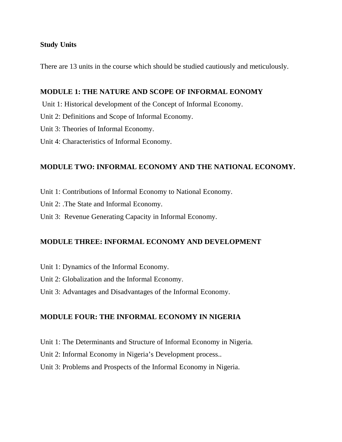### **Study Units**

There are 13 units in the course which should be studied cautiously and meticulously.

### **MODULE 1: THE NATURE AND SCOPE OF INFORMAL EONOMY**

- Unit 1: Historical development of the Concept of Informal Economy.
- Unit 2: Definitions and Scope of Informal Economy.
- Unit 3: Theories of Informal Economy.
- Unit 4: Characteristics of Informal Economy.

## **MODULE TWO: INFORMAL ECONOMY AND THE NATIONAL ECONOMY.**

- Unit 1: Contributions of Informal Economy to National Economy.
- Unit 2: .The State and Informal Economy.
- Unit 3: Revenue Generating Capacity in Informal Economy.

### **MODULE THREE: INFORMAL ECONOMY AND DEVELOPMENT**

- Unit 1: Dynamics of the Informal Economy.
- Unit 2: Globalization and the Informal Economy.
- Unit 3: Advantages and Disadvantages of the Informal Economy.

### **MODULE FOUR: THE INFORMAL ECONOMY IN NIGERIA**

- Unit 1: The Determinants and Structure of Informal Economy in Nigeria.
- Unit 2: Informal Economy in Nigeria's Development process..
- Unit 3: Problems and Prospects of the Informal Economy in Nigeria.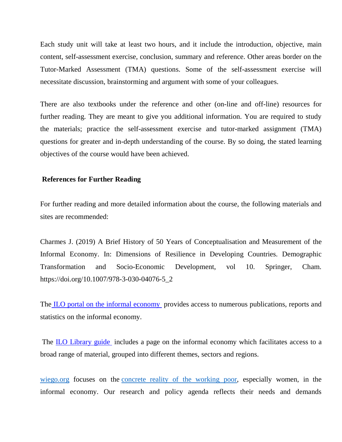Each study unit will take at least two hours, and it include the introduction, objective, main content, self-assessment exercise, conclusion, summary and reference. Other areas border on the Tutor-Marked Assessment (TMA) questions. Some of the self-assessment exercise will necessitate discussion, brainstorming and argument with some of your colleagues.

There are also textbooks under the reference and other (on-line and off-line) resources for further reading. They are meant to give you additional information. You are required to study the materials; practice the self-assessment exercise and tutor-marked assignment (TMA) questions for greater and in-depth understanding of the course. By so doing, the stated learning objectives of the course would have been achieved.

### **References for Further Reading**

For further reading and more detailed information about the course, the following materials and sites are recommended:

Charmes J. (2019) A Brief History of 50 Years of Conceptualisation and Measurement of the Informal Economy. In: Dimensions of Resilience in Developing Countries. Demographic Transformation and Socio-Economic Development, vol 10. Springer, Cham. https://doi.org/10.1007/978-3-030-04076-5\_2

The ILO portal on the informal economy provides access to numerous publications, reports and statistics on the informal economy.

 The ILO Library guide includes a page on the informal economy which facilitates access to a broad range of material, grouped into different themes, sectors and regions.

wiego.org focuses on the concrete reality of the working poor, especially women, in the informal economy. Our research and policy agenda reflects their needs and demands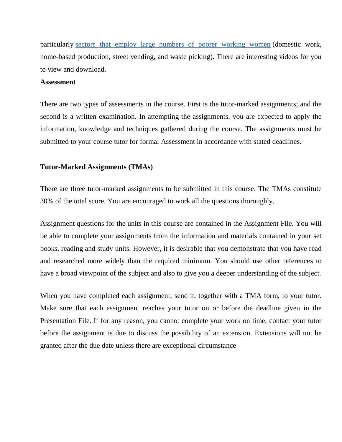particularly sectors that employ large numbers of poorer working women (domestic work, home-based production, street vending, and waste picking). There are interesting videos for you to view and download.

#### **Assessment**

There are two types of assessments in the course. First is the tutor-marked assignments; and the second is a written examination. In attempting the assignments, you are expected to apply the information, knowledge and techniques gathered during the course. The assignments must be submitted to your course tutor for formal Assessment in accordance with stated deadlines.

#### **Tutor-Marked Assignments (TMAs)**

There are three tutor-marked assignments to be submitted in this course. The TMAs constitute 30% of the total score. You are encouraged to work all the questions thoroughly.

Assignment questions for the units in this course are contained in the Assignment File. You will be able to complete your assignments from the information and materials contained in your set books, reading and study units. However, it is desirable that you demonstrate that you have read and researched more widely than the required minimum. You should use other references to have a broad viewpoint of the subject and also to give you a deeper understanding of the subject.

When you have completed each assignment, send it, together with a TMA form, to your tutor. Make sure that each assignment reaches your tutor on or before the deadline given in the Presentation File. If for any reason, you cannot complete your work on time, contact your tutor before the assignment is due to discuss the possibility of an extension. Extensions will not be granted after the due date unless there are exceptional circumstance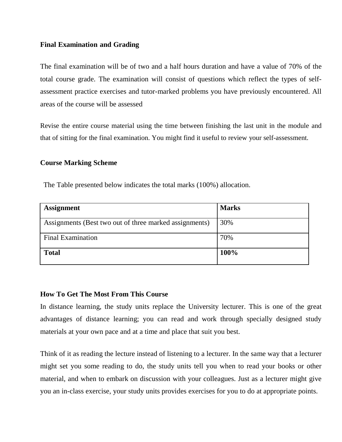### **Final Examination and Grading**

The final examination will be of two and a half hours duration and have a value of 70% of the total course grade. The examination will consist of questions which reflect the types of selfassessment practice exercises and tutor-marked problems you have previously encountered. All areas of the course will be assessed

Revise the entire course material using the time between finishing the last unit in the module and that of sitting for the final examination. You might find it useful to review your self-assessment.

### **Course Marking Scheme**

The Table presented below indicates the total marks (100%) allocation.

| <b>Assignment</b>                                      | <b>Marks</b> |
|--------------------------------------------------------|--------------|
| Assignments (Best two out of three marked assignments) | 30%          |
| <b>Final Examination</b>                               | 70%          |
| <b>Total</b>                                           | 100%         |

### **How To Get The Most From This Course**

In distance learning, the study units replace the University lecturer. This is one of the great advantages of distance learning; you can read and work through specially designed study materials at your own pace and at a time and place that suit you best.

Think of it as reading the lecture instead of listening to a lecturer. In the same way that a lecturer might set you some reading to do, the study units tell you when to read your books or other material, and when to embark on discussion with your colleagues. Just as a lecturer might give you an in-class exercise, your study units provides exercises for you to do at appropriate points.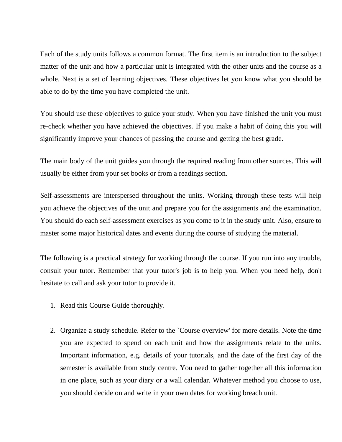Each of the study units follows a common format. The first item is an introduction to the subject matter of the unit and how a particular unit is integrated with the other units and the course as a whole. Next is a set of learning objectives. These objectives let you know what you should be able to do by the time you have completed the unit.

You should use these objectives to guide your study. When you have finished the unit you must re-check whether you have achieved the objectives. If you make a habit of doing this you will significantly improve your chances of passing the course and getting the best grade.

The main body of the unit guides you through the required reading from other sources. This will usually be either from your set books or from a readings section.

Self-assessments are interspersed throughout the units. Working through these tests will help you achieve the objectives of the unit and prepare you for the assignments and the examination. You should do each self-assessment exercises as you come to it in the study unit. Also, ensure to master some major historical dates and events during the course of studying the material.

The following is a practical strategy for working through the course. If you run into any trouble, consult your tutor. Remember that your tutor's job is to help you. When you need help, don't hesitate to call and ask your tutor to provide it.

- 1. Read this Course Guide thoroughly.
- 2. Organize a study schedule. Refer to the `Course overview' for more details. Note the time you are expected to spend on each unit and how the assignments relate to the units. Important information, e.g. details of your tutorials, and the date of the first day of the semester is available from study centre. You need to gather together all this information in one place, such as your diary or a wall calendar. Whatever method you choose to use, you should decide on and write in your own dates for working breach unit.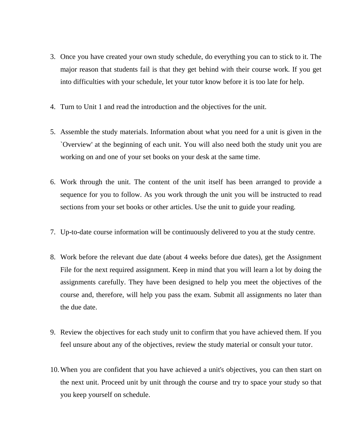- 3. Once you have created your own study schedule, do everything you can to stick to it. The major reason that students fail is that they get behind with their course work. If you get into difficulties with your schedule, let your tutor know before it is too late for help.
- 4. Turn to Unit 1 and read the introduction and the objectives for the unit.
- 5. Assemble the study materials. Information about what you need for a unit is given in the `Overview' at the beginning of each unit. You will also need both the study unit you are working on and one of your set books on your desk at the same time.
- 6. Work through the unit. The content of the unit itself has been arranged to provide a sequence for you to follow. As you work through the unit you will be instructed to read sections from your set books or other articles. Use the unit to guide your reading.
- 7. Up-to-date course information will be continuously delivered to you at the study centre.
- 8. Work before the relevant due date (about 4 weeks before due dates), get the Assignment File for the next required assignment. Keep in mind that you will learn a lot by doing the assignments carefully. They have been designed to help you meet the objectives of the course and, therefore, will help you pass the exam. Submit all assignments no later than the due date.
- 9. Review the objectives for each study unit to confirm that you have achieved them. If you feel unsure about any of the objectives, review the study material or consult your tutor.
- 10.When you are confident that you have achieved a unit's objectives, you can then start on the next unit. Proceed unit by unit through the course and try to space your study so that you keep yourself on schedule.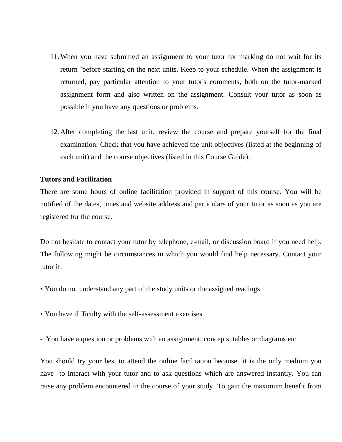- 11.When you have submitted an assignment to your tutor for marking do not wait for its return `before starting on the next units. Keep to your schedule. When the assignment is returned, pay particular attention to your tutor's comments, both on the tutor-marked assignment form and also written on the assignment. Consult your tutor as soon as possible if you have any questions or problems.
- 12.After completing the last unit, review the course and prepare yourself for the final examination. Check that you have achieved the unit objectives (listed at the beginning of each unit) and the course objectives (listed in this Course Guide).

#### **Tutors and Facilitation**

There are some hours of online facilitation provided in support of this course. You will be notified of the dates, times and website address and particulars of your tutor as soon as you are registered for the course.

Do not hesitate to contact your tutor by telephone, e-mail, or discussion board if you need help. The following might be circumstances in which you would find help necessary. Contact your tutor if.

- You do not understand any part of the study units or the assigned readings
- You have difficulty with the self-assessment exercises
- You have a question or problems with an assignment, concepts, tables or diagrams etc

You should try your best to attend the online facilitation because it is the only medium you have to interact with your tutor and to ask questions which are answered instantly. You can raise any problem encountered in the course of your study. To gain the maximum benefit from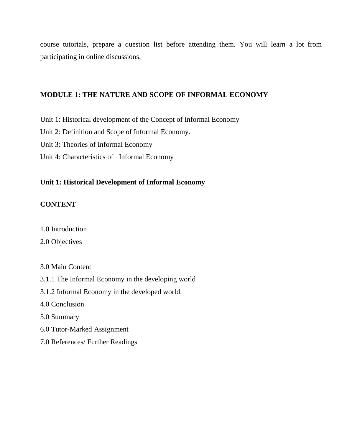course tutorials, prepare a question list before attending them. You will learn a lot from participating in online discussions.

### **MODULE 1: THE NATURE AND SCOPE OF INFORMAL ECONOMY**

Unit 1: Historical development of the Concept of Informal Economy

Unit 2: Definition and Scope of Informal Economy.

Unit 3: Theories of Informal Economy

Unit 4: Characteristics of Informal Economy

### **Unit 1: Historical Development of Informal Economy**

### **CONTENT**

1.0 Introduction

### 2.0 Objectives

- 3.0 Main Content
- 3.1.1 The Informal Economy in the developing world
- 3.1.2 Informal Economy in the developed world.
- 4.0 Conclusion
- 5.0 Summary
- 6.0 Tutor-Marked Assignment
- 7.0 References/ Further Readings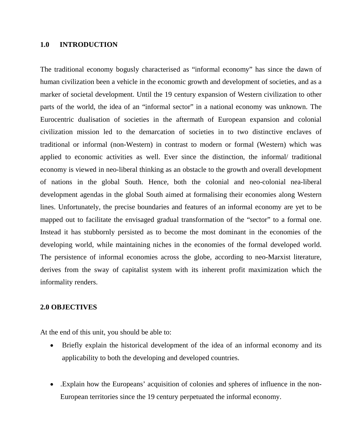#### **1.0 INTRODUCTION**

The traditional economy bogusly characterised as "informal economy" has since the dawn of human civilization been a vehicle in the economic growth and development of societies, and as a marker of societal development. Until the 19 century expansion of Western civilization to other parts of the world, the idea of an "informal sector" in a national economy was unknown. The Eurocentric dualisation of societies in the aftermath of European expansion and colonial civilization mission led to the demarcation of societies in to two distinctive enclaves of traditional or informal (non-Western) in contrast to modern or formal (Western) which was applied to economic activities as well. Ever since the distinction, the informal/ traditional economy is viewed in neo-liberal thinking as an obstacle to the growth and overall development of nations in the global South. Hence, both the colonial and neo-colonial nea-liberal development agendas in the global South aimed at formalising their economies along Western lines. Unfortunately, the precise boundaries and features of an informal economy are yet to be mapped out to facilitate the envisaged gradual transformation of the "sector" to a formal one. Instead it has stubbornly persisted as to become the most dominant in the economies of the developing world, while maintaining niches in the economies of the formal developed world. The persistence of informal economies across the globe, according to neo-Marxist literature, derives from the sway of capitalist system with its inherent profit maximization which the informality renders.

### **2.0 OBJECTIVES**

At the end of this unit, you should be able to:

- Briefly explain the historical development of the idea of an informal economy and its applicability to both the developing and developed countries.
- .Explain how the Europeans' acquisition of colonies and spheres of influence in the non-European territories since the 19 century perpetuated the informal economy.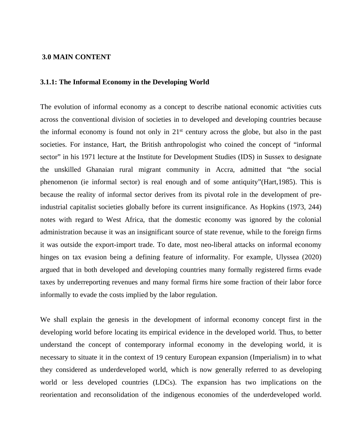#### **3.0 MAIN CONTENT**

#### **3.1.1: The Informal Economy in the Developing World**

The evolution of informal economy as a concept to describe national economic activities cuts across the conventional division of societies in to developed and developing countries because the informal economy is found not only in  $21<sup>st</sup>$  century across the globe, but also in the past societies. For instance, Hart, the British anthropologist who coined the concept of "informal sector" in his 1971 lecture at the Institute for Development Studies (IDS) in Sussex to designate the unskilled Ghanaian rural migrant community in Accra, admitted that "the social phenomenon (ie informal sector) is real enough and of some antiquity"(Hart,1985). This is because the reality of informal sector derives from its pivotal role in the development of preindustrial capitalist societies globally before its current insignificance. As Hopkins (1973, 244) notes with regard to West Africa, that the domestic economy was ignored by the colonial administration because it was an insignificant source of state revenue, while to the foreign firms it was outside the export-import trade. To date, most neo-liberal attacks on informal economy hinges on tax evasion being a defining feature of informality. For example, Ulyssea (2020) argued that in both developed and developing countries many formally registered firms evade taxes by underreporting revenues and many formal firms hire some fraction of their labor force informally to evade the costs implied by the labor regulation.

We shall explain the genesis in the development of informal economy concept first in the developing world before locating its empirical evidence in the developed world. Thus, to better understand the concept of contemporary informal economy in the developing world, it is necessary to situate it in the context of 19 century European expansion (Imperialism) in to what they considered as underdeveloped world, which is now generally referred to as developing world or less developed countries (LDCs). The expansion has two implications on the reorientation and reconsolidation of the indigenous economies of the underdeveloped world.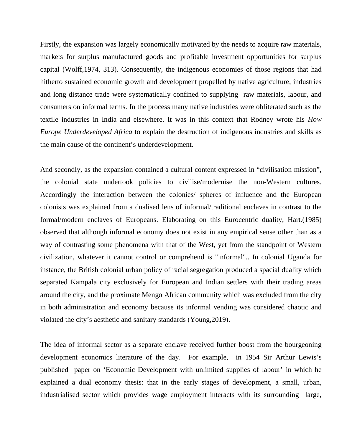Firstly, the expansion was largely economically motivated by the needs to acquire raw materials, markets for surplus manufactured goods and profitable investment opportunities for surplus capital (Wolff,1974, 313). Consequently, the indigenous economies of those regions that had hitherto sustained economic growth and development propelled by native agriculture, industries and long distance trade were systematically confined to supplying raw materials, labour, and consumers on informal terms. In the process many native industries were obliterated such as the textile industries in India and elsewhere. It was in this context that Rodney wrote his *How Europe Underdeveloped Africa* to explain the destruction of indigenous industries and skills as the main cause of the continent's underdevelopment.

And secondly, as the expansion contained a cultural content expressed in "civilisation mission", the colonial state undertook policies to civilise/modernise the non-Western cultures. Accordingly the interaction between the colonies/ spheres of influence and the European colonists was explained from a dualised lens of informal/traditional enclaves in contrast to the formal/modern enclaves of Europeans. Elaborating on this Eurocentric duality, Hart.(1985) observed that although informal economy does not exist in any empirical sense other than as a way of contrasting some phenomena with that of the West, yet from the standpoint of Western civilization, whatever it cannot control or comprehend is "informal".. In colonial Uganda for instance, the British colonial urban policy of racial segregation produced a spacial duality which separated Kampala city exclusively for European and Indian settlers with their trading areas around the city, and the proximate Mengo African community which was excluded from the city in both administration and economy because its informal vending was considered chaotic and violated the city's aesthetic and sanitary standards (Young,2019).

The idea of informal sector as a separate enclave received further boost from the bourgeoning development economics literature of the day. For example, in 1954 Sir Arthur Lewis's published paper on 'Economic Development with unlimited supplies of labour' in which he explained a dual economy thesis: that in the early stages of development, a small, urban, industrialised sector which provides wage employment interacts with its surrounding large,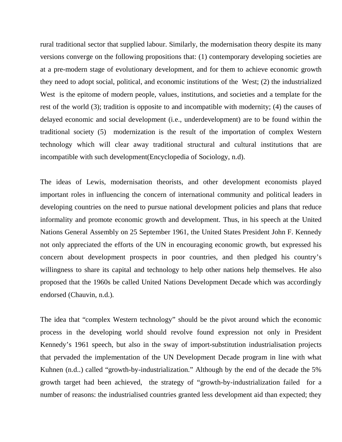rural traditional sector that supplied labour. Similarly, the modernisation theory despite its many versions converge on the following propositions that: (1) contemporary developing societies are at a pre-modern stage of evolutionary development, and for them to achieve economic growth they need to adopt social, political, and economic institutions of the West; (2) the industrialized West is the epitome of modern people, values, institutions, and societies and a template for the rest of the world (3); tradition is opposite to and incompatible with modernity; (4) the causes of delayed economic and social development (i.e., underdevelopment) are to be found within the traditional society (5) modernization is the result of the importation of complex Western technology which will clear away traditional structural and cultural institutions that are incompatible with such development(Encyclopedia of Sociology, n.d).

The ideas of Lewis, modernisation theorists, and other development economists played important roles in influencing the concern of international community and political leaders in developing countries on the need to pursue national development policies and plans that reduce informality and promote economic growth and development. Thus, in his speech at the United Nations General Assembly on 25 September 1961, the United States President John F. Kennedy not only appreciated the efforts of the UN in encouraging economic growth, but expressed his concern about development prospects in poor countries, and then pledged his country's willingness to share its capital and technology to help other nations help themselves. He also proposed that the 1960s be called United Nations Development Decade which was accordingly endorsed (Chauvin, n.d.).

The idea that "complex Western technology" should be the pivot around which the economic process in the developing world should revolve found expression not only in President Kennedy's 1961 speech, but also in the sway of import-substitution industrialisation projects that pervaded the implementation of the UN Development Decade program in line with what Kuhnen (n.d..) called "growth-by-industrialization." Although by the end of the decade the 5% growth target had been achieved, the strategy of "growth-by-industrialization failed for a number of reasons: the industrialised countries granted less development aid than expected; they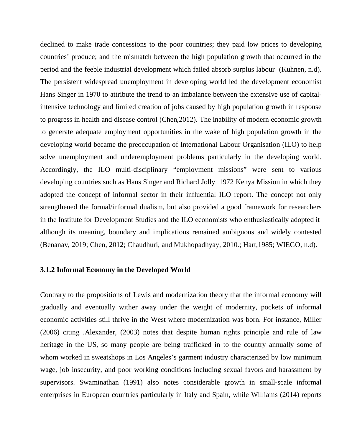declined to make trade concessions to the poor countries; they paid low prices to developing countries' produce; and the mismatch between the high population growth that occurred in the period and the feeble industrial development which failed absorb surplus labour (Kuhnen, n.d). The persistent widespread unemployment in developing world led the development economist Hans Singer in 1970 to attribute the trend to an imbalance between the extensive use of capitalintensive technology and limited creation of jobs caused by high population growth in response to progress in health and disease control (Chen,2012). The inability of modern economic growth to generate adequate employment opportunities in the wake of high population growth in the developing world became the preoccupation of International Labour Organisation (ILO) to help solve unemployment and underemployment problems particularly in the developing world. Accordingly, the ILO multi-disciplinary "employment missions" were sent to various developing countries such as Hans Singer and Richard Jolly 1972 Kenya Mission in which they adopted the concept of informal sector in their influential ILO report. The concept not only strengthened the formal/informal dualism, but also provided a good framework for researchers in the Institute for Development Studies and the ILO economists who enthusiastically adopted it although its meaning, boundary and implications remained ambiguous and widely contested (Benanav, 2019; Chen, 2012; Chaudhuri, and Mukhopadhyay, 2010.; Hart,1985; WIEGO, n.d).

#### **3.1.2 Informal Economy in the Developed World**

Contrary to the propositions of Lewis and modernization theory that the informal economy will gradually and eventually wither away under the weight of modernity, pockets of informal economic activities still thrive in the West where modernization was born. For instance, Miller (2006) citing .Alexander, (2003) notes that despite human rights principle and rule of law heritage in the US, so many people are being trafficked in to the country annually some of whom worked in sweatshops in Los Angeles's garment industry characterized by low minimum wage, job insecurity, and poor working conditions including sexual favors and harassment by supervisors. Swaminathan (1991) also notes considerable growth in small-scale informal enterprises in European countries particularly in Italy and Spain, while Williams (2014) reports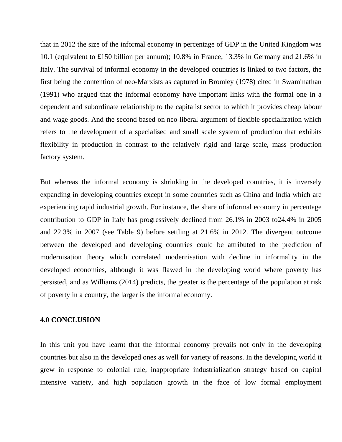that in 2012 the size of the informal economy in percentage of GDP in the United Kingdom was 10.1 (equivalent to £150 billion per annum); 10.8% in France; 13.3% in Germany and 21.6% in Italy. The survival of informal economy in the developed countries is linked to two factors, the first being the contention of neo-Marxists as captured in Bromley (1978) cited in Swaminathan (1991) who argued that the informal economy have important links with the formal one in a dependent and subordinate relationship to the capitalist sector to which it provides cheap labour and wage goods. And the second based on neo-liberal argument of flexible specialization which refers to the development of a specialised and small scale system of production that exhibits flexibility in production in contrast to the relatively rigid and large scale, mass production factory system.

But whereas the informal economy is shrinking in the developed countries, it is inversely expanding in developing countries except in some countries such as China and India which are experiencing rapid industrial growth. For instance, the share of informal economy in percentage contribution to GDP in Italy has progressively declined from 26.1% in 2003 to24.4% in 2005 and 22.3% in 2007 (see Table 9) before settling at 21.6% in 2012. The divergent outcome between the developed and developing countries could be attributed to the prediction of modernisation theory which correlated modernisation with decline in informality in the developed economies, although it was flawed in the developing world where poverty has persisted, and as Williams (2014) predicts, the greater is the percentage of the population at risk of poverty in a country, the larger is the informal economy.

#### **4.0 CONCLUSION**

In this unit you have learnt that the informal economy prevails not only in the developing countries but also in the developed ones as well for variety of reasons. In the developing world it grew in response to colonial rule, inappropriate industrialization strategy based on capital intensive variety, and high population growth in the face of low formal employment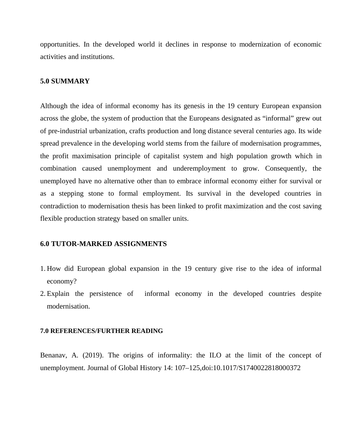opportunities. In the developed world it declines in response to modernization of economic activities and institutions.

#### **5.0 SUMMARY**

Although the idea of informal economy has its genesis in the 19 century European expansion across the globe, the system of production that the Europeans designated as "informal" grew out of pre-industrial urbanization, crafts production and long distance several centuries ago. Its wide spread prevalence in the developing world stems from the failure of modernisation programmes, the profit maximisation principle of capitalist system and high population growth which in combination caused unemployment and underemployment to grow. Consequently, the unemployed have no alternative other than to embrace informal economy either for survival or as a stepping stone to formal employment. Its survival in the developed countries in contradiction to modernisation thesis has been linked to profit maximization and the cost saving flexible production strategy based on smaller units.

#### **6.0 TUTOR-MARKED ASSIGNMENTS**

- 1. How did European global expansion in the 19 century give rise to the idea of informal economy?
- 2. Explain the persistence of informal economy in the developed countries despite modernisation.

#### **7.0 REFERENCES/FURTHER READING**

Benanav, A. (2019). The origins of informality: the ILO at the limit of the concept of unemployment. Journal of Global History 14: 107–125,doi:10.1017/S1740022818000372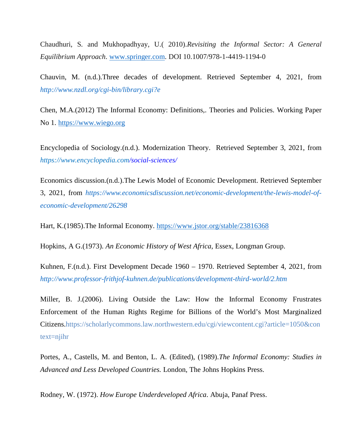Chaudhuri, S. and Mukhopadhyay, U.( 2010).*Revisiting the Informal Sector: A General Equilibrium Approach*. www.springer.com. DOI 10.1007/978-1-4419-1194-0

Chauvin, M. (n.d.).Three decades of development. Retrieved September 4, 2021, from *http://www.nzdl.org/cgi-bin/library.cgi?e*

Chen, M.A.(2012) The Informal Economy: Definitions,. Theories and Policies. Working Paper No 1. https://www.wiego.org

Encyclopedia of Sociology.(n.d.). Modernization Theory. Retrieved September 3, 2021, from *https://www.encyclopedia.com/social-sciences/*

Economics discussion.(n.d.).The Lewis Model of Economic Development. Retrieved September 3, 2021, from *https://www.economicsdiscussion.net/economic-development/the-lewis-model-ofeconomic-development/26298*

Hart, K.(1985).The Informal Economy. https://www.jstor.org/stable/23816368

Hopkins, A G.(1973). *An Economic History of West Africa*, Essex, Longman Group.

Kuhnen, F.(n.d.). First Development Decade 1960 – 1970. Retrieved September 4, 2021, from *http://www.professor-frithjof-kuhnen.de/publications/development-third-world/2.htm*

Miller, B. J.(2006). Living Outside the Law: How the Informal Economy Frustrates Enforcement of the Human Rights Regime for Billions of the World's Most Marginalized Citizens.https://scholarlycommons.law.northwestern.edu/cgi/viewcontent.cgi?article=1050&con text=njihr

Portes, A., Castells, M. and Benton, L. A. (Edited), (1989).*The Informal Economy: Studies in Advanced and Less Developed Countries.* London, The Johns Hopkins Press.

Rodney, W. (1972). *How Europe Underdeveloped Africa*. Abuja, Panaf Press.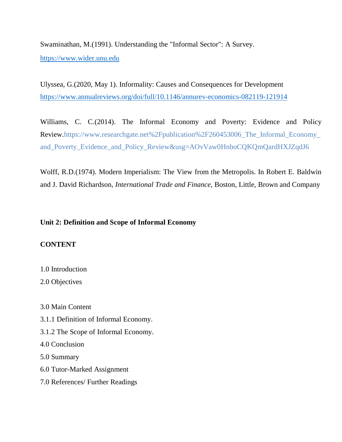Swaminathan, M.(1991). Understanding the "Informal Sector": A Survey. https://www.wider.unu.edu

Ulyssea, G.(2020, May 1). Informality: Causes and Consequences for Development https://www.annualreviews.org/doi/full/10.1146/annurev-economics-082119-121914

Williams, C. C.(2014). The Informal Economy and Poverty: Evidence and Policy Review.https://www.researchgate.net%2Fpublication%2F260453006\_The\_Informal\_Economy\_ and\_Poverty\_Evidence\_and\_Policy\_Review&usg=AOvVaw0HnboCQKQmQardHXJZqdJ6

Wolff, R.D.(1974). Modern Imperialism: The View from the Metropolis. In Robert E. Baldwin and J. David Richardson, *International Trade and Finance,* Boston, Little, Brown and Company

### **Unit 2: Definition and Scope of Informal Economy**

### **CONTENT**

1.0 Introduction

2.0 Objectives

3.0 Main Content

- 3.1.1 Definition of Informal Economy.
- 3.1.2 The Scope of Informal Economy.

4.0 Conclusion

5.0 Summary

- 6.0 Tutor-Marked Assignment
- 7.0 References/ Further Readings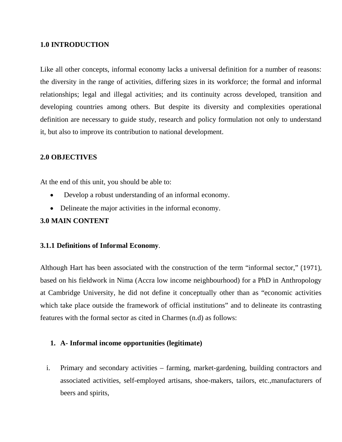### **1.0 INTRODUCTION**

Like all other concepts, informal economy lacks a universal definition for a number of reasons: the diversity in the range of activities, differing sizes in its workforce; the formal and informal relationships; legal and illegal activities; and its continuity across developed, transition and developing countries among others. But despite its diversity and complexities operational definition are necessary to guide study, research and policy formulation not only to understand it, but also to improve its contribution to national development.

### **2.0 OBJECTIVES**

At the end of this unit, you should be able to:

- Develop a robust understanding of an informal economy.
- Delineate the major activities in the informal economy.

### **3.0 MAIN CONTENT**

### **3.1.1 Definitions of Informal Economy**.

Although Hart has been associated with the construction of the term "informal sector," (1971), based on his fieldwork in Nima (Accra low income neighbourhood) for a PhD in Anthropology at Cambridge University, he did not define it conceptually other than as "economic activities which take place outside the framework of official institutions" and to delineate its contrasting features with the formal sector as cited in Charmes (n.d) as follows:

### **1. A- Informal income opportunities (legitimate)**

i. Primary and secondary activities – farming, market-gardening, building contractors and associated activities, self-employed artisans, shoe-makers, tailors, etc.,manufacturers of beers and spirits,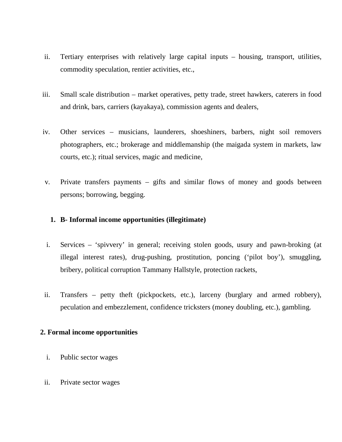- ii. Tertiary enterprises with relatively large capital inputs housing, transport, utilities, commodity speculation, rentier activities, etc.,
- iii. Small scale distribution market operatives, petty trade, street hawkers, caterers in food and drink, bars, carriers (kayakaya), commission agents and dealers,
- iv. Other services musicians, launderers, shoeshiners, barbers, night soil removers photographers, etc.; brokerage and middlemanship (the maigada system in markets, law courts, etc.); ritual services, magic and medicine,
- v. Private transfers payments gifts and similar flows of money and goods between persons; borrowing, begging.

### **1. B- Informal income opportunities (illegitimate)**

- i. Services 'spivvery' in general; receiving stolen goods, usury and pawn-broking (at illegal interest rates), drug-pushing, prostitution, poncing ('pilot boy'), smuggling, bribery, political corruption Tammany Hallstyle, protection rackets,
- ii. Transfers petty theft (pickpockets, etc.), larceny (burglary and armed robbery), peculation and embezzlement, confidence tricksters (money doubling, etc.), gambling.

### **2. Formal income opportunities**

- i. Public sector wages
- ii. Private sector wages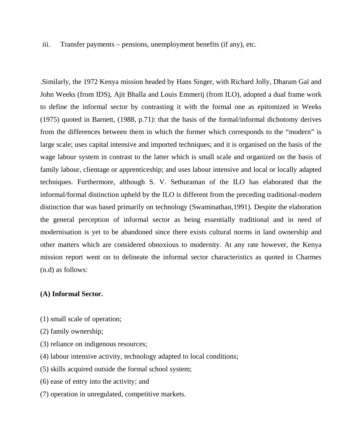iii. Transfer payments – pensions, unemployment benefits (if any), etc.

.Similarly, the 1972 Kenya mission headed by Hans Singer, with Richard Jolly, Dharam Gaï and John Weeks (from IDS), Ajit Bhalla and Louis Emmerij (from ILO), adopted a dual frame work to define the informal sector by contrasting it with the formal one as epitomized in Weeks (1975) quoted in Barnett, (1988, p.71): that the basis of the formal/informal dichotomy derives from the differences between them in which the former which corresponds to the "modern" is large scale; uses capital intensive and imported techniques; and it is organised on the basis of the wage labour system in contrast to the latter which is small scale and organized on the basis of family labour, clientage or apprenticeship; and uses labour intensive and local or locally adapted techniques. Furthermore, although S. V. Sethuraman of the ILO has elaborated that the informal/formal distinction upheld by the ILO is different from the preceding traditional-modern distinction that was based primarily on technology (Swaminathan,1991). Despite the elaboration the general perception of informal sector as being essentially traditional and in need of modernisation is yet to be abandoned since there exists cultural norms in land ownership and other matters which are considered obnoxious to modernity. At any rate however, the Kenya mission report went on to delineate the informal sector characteristics as quoted in Charmes (n.d) as follows:

#### **(A) Informal Sector.**

- (1) small scale of operation;
- (2) family ownership;
- (3) reliance on indigenous resources;
- (4) labour intensive activity, technology adapted to local conditions;
- (5) skills acquired outside the formal school system;
- (6) ease of entry into the activity; and
- (7) operation in unregulated, competitive markets.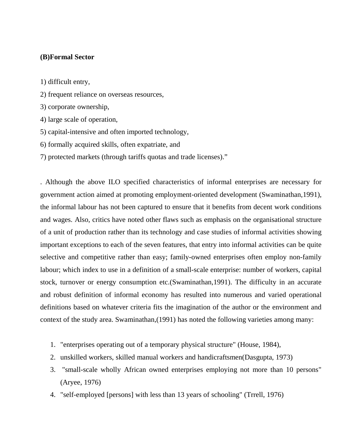### **(B)Formal Sector**

1) difficult entry,

- 2) frequent reliance on overseas resources,
- 3) corporate ownership,
- 4) large scale of operation,
- 5) capital-intensive and often imported technology,
- 6) formally acquired skills, often expatriate, and
- 7) protected markets (through tariffs quotas and trade licenses)."

. Although the above ILO specified characteristics of informal enterprises are necessary for government action aimed at promoting employment-oriented development (Swaminathan,1991), the informal labour has not been captured to ensure that it benefits from decent work conditions and wages. Also, critics have noted other flaws such as emphasis on the organisational structure of a unit of production rather than its technology and case studies of informal activities showing important exceptions to each of the seven features, that entry into informal activities can be quite selective and competitive rather than easy; family-owned enterprises often employ non-family labour; which index to use in a definition of a small-scale enterprise: number of workers, capital stock, turnover or energy consumption etc.(Swaminathan,1991). The difficulty in an accurate and robust definition of informal economy has resulted into numerous and varied operational definitions based on whatever criteria fits the imagination of the author or the environment and context of the study area. Swaminathan,(1991) has noted the following varieties among many:

- 1. "enterprises operating out of a temporary physical structure" (House, 1984),
- 2. unskilled workers, skilled manual workers and handicraftsmen(Dasgupta, 1973)
- 3. "small-scale wholly African owned enterprises employing not more than 10 persons" (Aryee, 1976)
- 4. "self-employed [persons] with less than 13 years of schooling" (Trrell, 1976)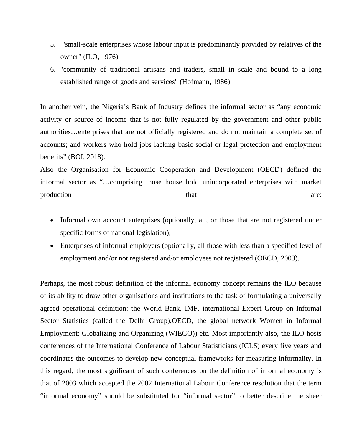- 5. "small-scale enterprises whose labour input is predominantly provided by relatives of the owner" (ILO, 1976)
- 6. "community of traditional artisans and traders, small in scale and bound to a long established range of goods and services" (Hofmann, 1986)

In another vein, the Nigeria's Bank of Industry defines the informal sector as "any economic activity or source of income that is not fully regulated by the government and other public authorities…enterprises that are not officially registered and do not maintain a complete set of accounts; and workers who hold jobs lacking basic social or legal protection and employment benefits" (BOI, 2018).

Also the Organisation for Economic Cooperation and Development (OECD) defined the informal sector as "…comprising those house hold unincorporated enterprises with market production are: that are:

- Informal own account enterprises (optionally, all, or those that are not registered under specific forms of national legislation);
- Enterprises of informal employers (optionally, all those with less than a specified level of employment and/or not registered and/or employees not registered (OECD, 2003).

Perhaps, the most robust definition of the informal economy concept remains the ILO because of its ability to draw other organisations and institutions to the task of formulating a universally agreed operational definition: the World Bank, IMF, international Expert Group on Informal Sector Statistics (called the Delhi Group),OECD, the global network Women in Informal Employment: Globalizing and Organizing (WIEGO)) etc. Most importantly also, the ILO hosts conferences of the International Conference of Labour Statisticians (ICLS) every five years and coordinates the outcomes to develop new conceptual frameworks for measuring informality. In this regard, the most significant of such conferences on the definition of informal economy is that of 2003 which accepted the 2002 International Labour Conference resolution that the term "informal economy" should be substituted for "informal sector" to better describe the sheer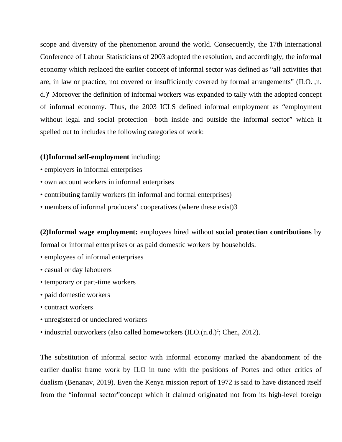scope and diversity of the phenomenon around the world. Consequently, the 17th International Conference of Labour Statisticians of 2003 adopted the resolution, and accordingly, the informal economy which replaced the earlier concept of informal sector was defined as "all activities that are, in law or practice, not covered or insufficiently covered by formal arrangements" (ILO. ,n. d.)<sup>c</sup> Moreover the definition of informal workers was expanded to tally with the adopted concept of informal economy. Thus, the 2003 ICLS defined informal employment as "employment without legal and social protection—both inside and outside the informal sector" which it spelled out to includes the following categories of work:

#### **(1)Informal self-employment** including:

- employers in informal enterprises
- own account workers in informal enterprises
- contributing family workers (in informal and formal enterprises)
- members of informal producers' cooperatives (where these exist) 3

**(2)Informal wage employment:** employees hired without **social protection contributions** by formal or informal enterprises or as paid domestic workers by households:

- employees of informal enterprises
- casual or day labourers
- temporary or part-time workers
- paid domestic workers
- contract workers
- unregistered or undeclared workers
- $\bullet$  industrial outworkers (also called homeworkers (ILO.(n.d.) $\degree$ ; Chen, 2012).

The substitution of informal sector with informal economy marked the abandonment of the earlier dualist frame work by ILO in tune with the positions of Portes and other critics of dualism (Benanav, 2019). Even the Kenya mission report of 1972 is said to have distanced itself from the "informal sector"concept which it claimed originated not from its high-level foreign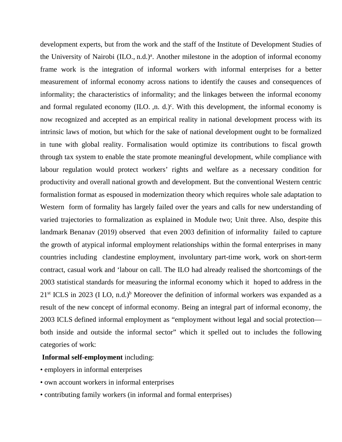development experts, but from the work and the staff of the Institute of Development Studies of the University of Nairobi (ILO., n.d.)<sup>a</sup>. Another milestone in the adoption of informal economy frame work is the integration of informal workers with informal enterprises for a better measurement of informal economy across nations to identify the causes and consequences of informality; the characteristics of informality; and the linkages between the informal economy and formal regulated economy (ILO. ,n. d.)<sup>c</sup>. With this development, the informal economy is now recognized and accepted as an empirical reality in national development process with its intrinsic laws of motion, but which for the sake of national development ought to be formalized in tune with global reality. Formalisation would optimize its contributions to fiscal growth through tax system to enable the state promote meaningful development, while compliance with labour regulation would protect workers' rights and welfare as a necessary condition for productivity and overall national growth and development. But the conventional Western centric formalistion format as espoused in modernization theory which requires whole sale adaptation to Western form of formality has largely failed over the years and calls for new understanding of varied trajectories to formalization as explained in Module two; Unit three. Also, despite this landmark Benanav (2019) observed that even 2003 definition of informality failed to capture the growth of atypical informal employment relationships within the formal enterprises in many countries including clandestine employment, involuntary part-time work, work on short-term contract, casual work and 'labour on call. The ILO had already realised the shortcomings of the 2003 statistical standards for measuring the informal economy which it hoped to address in the  $21<sup>st</sup> ICLS$  in 2023 (I LO, n.d.)<sup>b</sup> Moreover the definition of informal workers was expanded as a result of the new concept of informal economy. Being an integral part of informal economy, the 2003 ICLS defined informal employment as "employment without legal and social protection both inside and outside the informal sector" which it spelled out to includes the following categories of work:

### **Informal self-employment** including:

- employers in informal enterprises
- own account workers in informal enterprises
- contributing family workers (in informal and formal enterprises)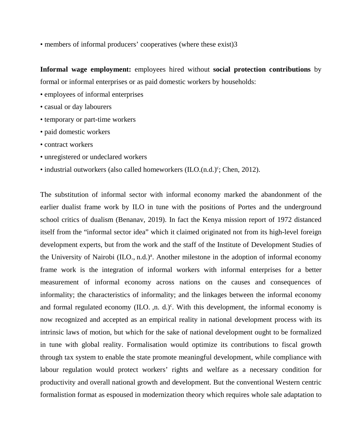• members of informal producers' cooperatives (where these exist) 3

**Informal wage employment:** employees hired without **social protection contributions** by formal or informal enterprises or as paid domestic workers by households:

- employees of informal enterprises
- casual or day labourers
- temporary or part-time workers
- paid domestic workers
- contract workers
- unregistered or undeclared workers
- $\bullet$  industrial outworkers (also called homeworkers (ILO.(n.d.) $\degree$ ; Chen, 2012).

The substitution of informal sector with informal economy marked the abandonment of the earlier dualist frame work by ILO in tune with the positions of Portes and the underground school critics of dualism (Benanav, 2019). In fact the Kenya mission report of 1972 distanced itself from the "informal sector idea" which it claimed originated not from its high-level foreign development experts, but from the work and the staff of the Institute of Development Studies of the University of Nairobi (ILO., n.d.)<sup>a</sup>. Another milestone in the adoption of informal economy frame work is the integration of informal workers with informal enterprises for a better measurement of informal economy across nations on the causes and consequences of informality; the characteristics of informality; and the linkages between the informal economy and formal regulated economy (ILO. ,n. d.)<sup>c</sup>. With this development, the informal economy is now recognized and accepted as an empirical reality in national development process with its intrinsic laws of motion, but which for the sake of national development ought to be formalized in tune with global reality. Formalisation would optimize its contributions to fiscal growth through tax system to enable the state promote meaningful development, while compliance with labour regulation would protect workers' rights and welfare as a necessary condition for productivity and overall national growth and development. But the conventional Western centric formalistion format as espoused in modernization theory which requires whole sale adaptation to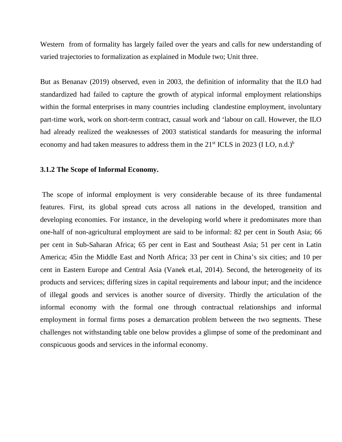Western from of formality has largely failed over the years and calls for new understanding of varied trajectories to formalization as explained in Module two; Unit three.

But as Benanav (2019) observed, even in 2003, the definition of informality that the ILO had standardized had failed to capture the growth of atypical informal employment relationships within the formal enterprises in many countries including clandestine employment, involuntary part-time work, work on short-term contract, casual work and 'labour on call. However, the ILO had already realized the weaknesses of 2003 statistical standards for measuring the informal economy and had taken measures to address them in the  $21<sup>st</sup> ICLS$  in 2023 (I LO, n.d.)<sup>b</sup>

#### **3.1.2 The Scope of Informal Economy.**

 The scope of informal employment is very considerable because of its three fundamental features. First, its global spread cuts across all nations in the developed, transition and developing economies. For instance, in the developing world where it predominates more than one-half of non-agricultural employment are said to be informal: 82 per cent in South Asia; 66 per cent in Sub-Saharan Africa; 65 per cent in East and Southeast Asia; 51 per cent in Latin America; 45in the Middle East and North Africa; 33 per cent in China's six cities; and 10 per cent in Eastern Europe and Central Asia (Vanek et.al, 2014). Second, the heterogeneity of its products and services; differing sizes in capital requirements and labour input; and the incidence of illegal goods and services is another source of diversity. Thirdly the articulation of the informal economy with the formal one through contractual relationships and informal employment in formal firms poses a demarcation problem between the two segments. These challenges not withstanding table one below provides a glimpse of some of the predominant and conspicuous goods and services in the informal economy.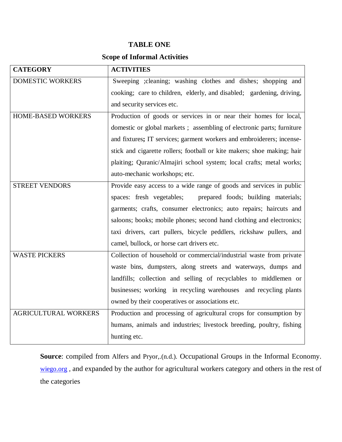### **TABLE ONE**

## **Scope of Informal Activities**

| <b>CATEGORY</b>             | <b>ACTIVITIES</b>                                                       |
|-----------------------------|-------------------------------------------------------------------------|
| <b>DOMESTIC WORKERS</b>     | Sweeping ; cleaning; washing clothes and dishes; shopping and           |
|                             | cooking; care to children, elderly, and disabled; gardening, driving,   |
|                             | and security services etc.                                              |
| HOME-BASED WORKERS          | Production of goods or services in or near their homes for local,       |
|                             | domestic or global markets; assembling of electronic parts; furniture   |
|                             | and fixtures; IT services; garment workers and embroiderers; incense-   |
|                             | stick and cigarette rollers; football or kite makers; shoe making; hair |
|                             | plaiting; Quranic/Almajiri school system; local crafts; metal works;    |
|                             | auto-mechanic workshops; etc.                                           |
| <b>STREET VENDORS</b>       | Provide easy access to a wide range of goods and services in public     |
|                             | spaces: fresh vegetables;<br>prepared foods; building materials;        |
|                             | garments; crafts, consumer electronics; auto repairs; haircuts and      |
|                             | saloons; books; mobile phones; second hand clothing and electronics;    |
|                             | taxi drivers, cart pullers, bicycle peddlers, rickshaw pullers, and     |
|                             | camel, bullock, or horse cart drivers etc.                              |
| <b>WASTE PICKERS</b>        | Collection of household or commercial/industrial waste from private     |
|                             | waste bins, dumpsters, along streets and waterways, dumps and           |
|                             | landfills; collection and selling of recyclables to middlemen or        |
|                             | businesses; working in recycling warehouses and recycling plants        |
|                             | owned by their cooperatives or associations etc.                        |
| <b>AGRICULTURAL WORKERS</b> | Production and processing of agricultural crops for consumption by      |
|                             | humans, animals and industries; livestock breeding, poultry, fishing    |
|                             | hunting etc.                                                            |

**Source**: compiled from Alfers and Pryor,.(n.d.). Occupational Groups in the Informal Economy. wiego.org , and expanded by the author for agricultural workers category and others in the rest of the categories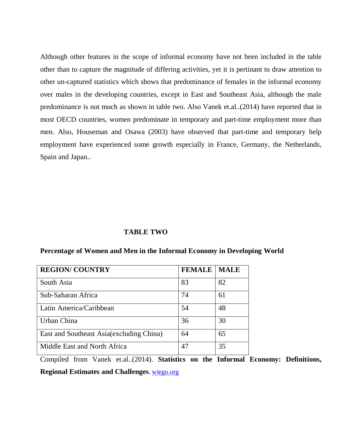Although other features in the scope of informal economy have not been included in the table other than to capture the magnitude of differing activities, yet it is pertinant to draw attention to other un-captured statistics which shows that predominance of females in the informal economy over males in the developing countries, except in East and Southeast Asia, although the male predominance is not much as shown in table two. Also Vanek et.al..(2014) have reported that in most OECD countries, women predominate in temporary and part-time employment more than men. Also, Houseman and Osawa (2003) have observed that part-time and temporary help employment have experienced some growth especially in France, Germany, the Netherlands, Spain and Japan..

### **TABLE TWO**

| <b>REGION/ COUNTRY</b>                   | <b>FEMALE</b> | <b>MALE</b> |
|------------------------------------------|---------------|-------------|
| South Asia                               | 83            | 82          |
| Sub-Saharan Africa                       | 74            | 61          |
| Latin America/Caribbean                  | 54            | 48          |
| Urban China                              | 36            | 30          |
| East and Southeast Asia(excluding China) | 64            | 65          |
| Middle East and North Africa             | 47            | 35          |

#### **Percentage of Women and Men in the Informal Economy in Developing World**

Compiled from Vanek et.al..(2014). **Statistics on the Informal Economy: Definitions, Regional Estimates and Challenges**. wiego.org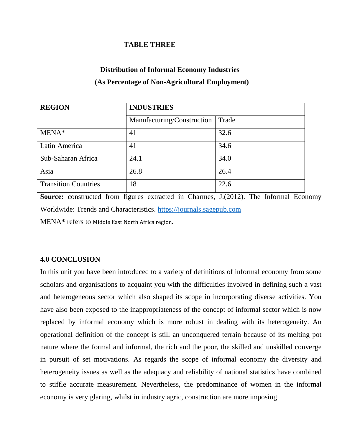### **TABLE THREE**

# **Distribution of Informal Economy Industries (As Percentage of Non-Agricultural Employment)**

| <b>REGION</b>               | <b>INDUSTRIES</b>          |       |
|-----------------------------|----------------------------|-------|
|                             | Manufacturing/Construction | Trade |
| $MENA*$                     | 41                         | 32.6  |
| Latin America               | 41                         | 34.6  |
| Sub-Saharan Africa          | 24.1                       | 34.0  |
| Asia                        | 26.8                       | 26.4  |
| <b>Transition Countries</b> | 18                         | 22.6  |

**Source:** constructed from figures extracted in Charmes, J.(2012). The Informal Economy Worldwide: Trends and Characteristics. https://journals.sagepub.com MENA**\*** refers to Middle East North Africa region.

### **4.0 CONCLUSION**

In this unit you have been introduced to a variety of definitions of informal economy from some scholars and organisations to acquaint you with the difficulties involved in defining such a vast and heterogeneous sector which also shaped its scope in incorporating diverse activities. You have also been exposed to the inappropriateness of the concept of informal sector which is now replaced by informal economy which is more robust in dealing with its heterogeneity. An operational definition of the concept is still an unconquered terrain because of its melting pot nature where the formal and informal, the rich and the poor, the skilled and unskilled converge in pursuit of set motivations. As regards the scope of informal economy the diversity and heterogeneity issues as well as the adequacy and reliability of national statistics have combined to stiffle accurate measurement. Nevertheless, the predominance of women in the informal economy is very glaring, whilst in industry agric, construction are more imposing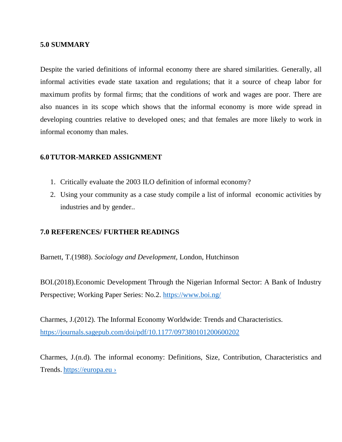### **5.0 SUMMARY**

Despite the varied definitions of informal economy there are shared similarities. Generally, all informal activities evade state taxation and regulations; that it a source of cheap labor for maximum profits by formal firms; that the conditions of work and wages are poor. There are also nuances in its scope which shows that the informal economy is more wide spread in developing countries relative to developed ones; and that females are more likely to work in informal economy than males.

### **6.0TUTOR-MARKED ASSIGNMENT**

- 1. Critically evaluate the 2003 ILO definition of informal economy?
- 2. Using your community as a case study compile a list of informal economic activities by industries and by gender..

### **7.0 REFERENCES/ FURTHER READINGS**

Barnett, T.(1988). *Sociology and Development,* London, Hutchinson

BOI.(2018).Economic Development Through the Nigerian Informal Sector: A Bank of Industry Perspective; Working Paper Series: No.2. https://www.boi.ng/

Charmes, J.(2012). The Informal Economy Worldwide: Trends and Characteristics. https://journals.sagepub.com/doi/pdf/10.1177/097380101200600202

Charmes, J.(n.d). The informal economy: Definitions, Size, Contribution, Characteristics and Trends. https://europa.eu ›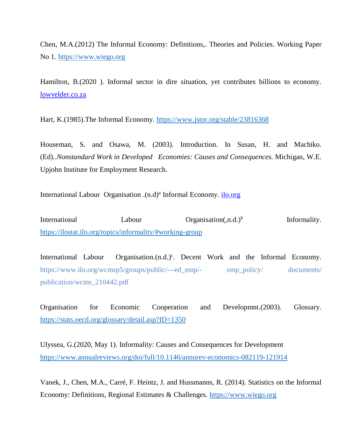Chen, M.A.(2012) The Informal Economy: Definitions,. Theories and Policies. Working Paper No 1. https://www.wiego.org

Hamilton, B.(2020 ). Informal sector in dire situation, yet contributes billions to economy. lowvelder.co.za

Hart, K.(1985).The Informal Economy. https://www.jstor.org/stable/23816368

Houseman, S. and Osawa, M. (2003). Introduction. In Susan, H. and Machiko. (Ed)..*Nonstandard Work in Developed Economies: Causes and Consequences.* Michigan, W.E. Upjohn Institute for Employment Research.

International Labour Organisation .(n.d)<sup>a</sup> Informal Economy. *ilo.org* 

International Labour Organisation(,n.d.)<sup>b</sup> Informality. https://ilostat.ilo.org/topics/informality/#working-group

International Labour Organisation.(n.d.)<sup>c</sup>. Decent Work and the Informal Economy. https://www.ilo.org/wcmsp5/groups/public/---ed\_emp/- emp\_policy/ documents/ publication/wcms\_210442.pdf

Organisation for Economic Cooperation and Developmnt.(2003). Glossary. https://stats.oecd.org/glossary/detail.asp?ID=1350

Ulyssea, G.(2020, May 1). Informality: Causes and Consequences for Development https://www.annualreviews.org/doi/full/10.1146/annurev-economics-082119-121914

Vanek, J., Chen, M.A., Carré, F. Heintz, J. and Hussmanns, R. (2014). Statistics on the Informal Economy: Definitions, Regional Estimates & Challenges. https://www.wiego.org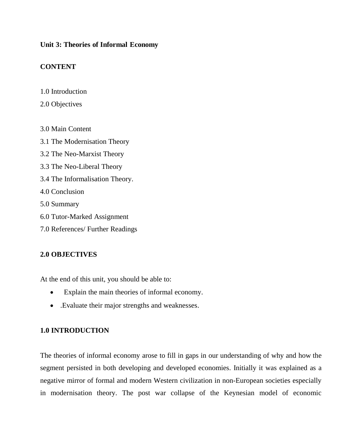### **Unit 3: Theories of Informal Economy**

### **CONTENT**

- 1.0 Introduction
- 2.0 Objectives
- 3.0 Main Content
- 3.1 The Modernisation Theory
- 3.2 The Neo-Marxist Theory
- 3.3 The Neo-Liberal Theory
- 3.4 The Informalisation Theory.
- 4.0 Conclusion
- 5.0 Summary
- 6.0 Tutor-Marked Assignment
- 7.0 References/ Further Readings

## **2.0 OBJECTIVES**

At the end of this unit, you should be able to:

- Explain the main theories of informal economy.
- .Evaluate their major strengths and weaknesses.

### **1.0 INTRODUCTION**

The theories of informal economy arose to fill in gaps in our understanding of why and how the segment persisted in both developing and developed economies. Initially it was explained as a negative mirror of formal and modern Western civilization in non-European societies especially in modernisation theory. The post war collapse of the Keynesian model of economic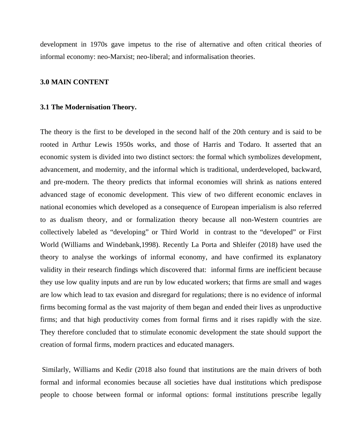development in 1970s gave impetus to the rise of alternative and often critical theories of informal economy: neo-Marxist; neo-liberal; and informalisation theories.

#### **3.0 MAIN CONTENT**

#### **3.1 The Modernisation Theory.**

The theory is the first to be developed in the second half of the 20th century and is said to be rooted in Arthur Lewis 1950s works, and those of Harris and Todaro. It asserted that an economic system is divided into two distinct sectors: the formal which symbolizes development, advancement, and modernity, and the informal which is traditional, underdeveloped, backward, and pre-modern. The theory predicts that informal economies will shrink as nations entered advanced stage of economic development. This view of two different economic enclaves in national economies which developed as a consequence of European imperialism is also referred to as dualism theory, and or formalization theory because all non-Western countries are collectively labeled as "developing" or Third World in contrast to the "developed" or First World (Williams and Windebank,1998). Recently La Porta and Shleifer (2018) have used the theory to analyse the workings of informal economy, and have confirmed its explanatory validity in their research findings which discovered that: informal firms are inefficient because they use low quality inputs and are run by low educated workers; that firms are small and wages are low which lead to tax evasion and disregard for regulations; there is no evidence of informal firms becoming formal as the vast majority of them began and ended their lives as unproductive firms; and that high productivity comes from formal firms and it rises rapidly with the size. They therefore concluded that to stimulate economic development the state should support the creation of formal firms, modern practices and educated managers.

 Similarly, Williams and Kedir (2018 also found that institutions are the main drivers of both formal and informal economies because all societies have dual institutions which predispose people to choose between formal or informal options: formal institutions prescribe legally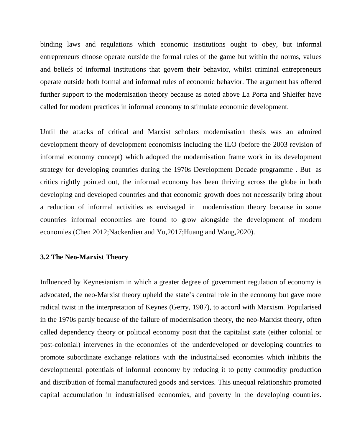binding laws and regulations which economic institutions ought to obey, but informal entrepreneurs choose operate outside the formal rules of the game but within the norms, values and beliefs of informal institutions that govern their behavior, whilst criminal entrepreneurs operate outside both formal and informal rules of economic behavior. The argument has offered further support to the modernisation theory because as noted above La Porta and Shleifer have called for modern practices in informal economy to stimulate economic development.

Until the attacks of critical and Marxist scholars modernisation thesis was an admired development theory of development economists including the ILO (before the 2003 revision of informal economy concept) which adopted the modernisation frame work in its development strategy for developing countries during the 1970s Development Decade programme . But as critics rightly pointed out, the informal economy has been thriving across the globe in both developing and developed countries and that economic growth does not necessarily bring about a reduction of informal activities as envisaged in modernisation theory because in some countries informal economies are found to grow alongside the development of modern economies (Chen 2012;Nackerdien and Yu,2017;Huang and Wang,2020).

#### **3.2 The Neo-Marxist Theory**

Influenced by Keynesianism in which a greater degree of government regulation of economy is advocated, the neo-Marxist theory upheld the state's central role in the economy but gave more radical twist in the interpretation of Keynes (Gerry, 1987), to accord with Marxism. Popularised in the 1970s partly because of the failure of modernisation theory, the neo-Marxist theory, often called dependency theory or political economy posit that the capitalist state (either colonial or post-colonial) intervenes in the economies of the underdeveloped or developing countries to promote subordinate exchange relations with the industrialised economies which inhibits the developmental potentials of informal economy by reducing it to petty commodity production and distribution of formal manufactured goods and services. This unequal relationship promoted capital accumulation in industrialised economies, and poverty in the developing countries.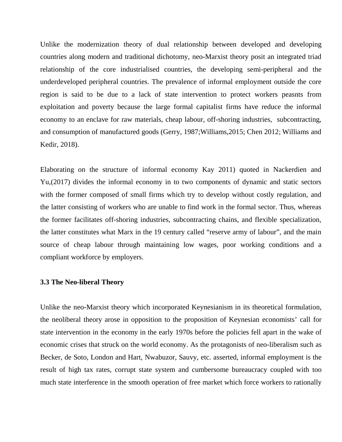Unlike the modernization theory of dual relationship between developed and developing countries along modern and traditional dichotomy, neo-Marxist theory posit an integrated triad relationship of the core industrialised countries, the developing semi-peripheral and the underdeveloped peripheral countries. The prevalence of informal employment outside the core region is said to be due to a lack of state intervention to protect workers peasnts from exploitation and poverty because the large formal capitalist firms have reduce the informal economy to an enclave for raw materials, cheap labour, off-shoring industries, subcontracting, and consumption of manufactured goods (Gerry, 1987;Williams,2015; Chen 2012; Williams and Kedir, 2018).

Elaborating on the structure of informal economy Kay 2011) quoted in Nackerdien and Yu,(2017) divides the informal economy in to two components of dynamic and static sectors with the former composed of small firms which try to develop without costly regulation, and the latter consisting of workers who are unable to find work in the formal sector. Thus, whereas the former facilitates off-shoring industries, subcontracting chains, and flexible specialization, the latter constitutes what Marx in the 19 century called "reserve army of labour", and the main source of cheap labour through maintaining low wages, poor working conditions and a compliant workforce by employers.

#### **3.3 The Neo-liberal Theory**

Unlike the neo-Marxist theory which incorporated Keynesianism in its theoretical formulation, the neoliberal theory arose in opposition to the proposition of Keynesian economists' call for state intervention in the economy in the early 1970s before the policies fell apart in the wake of economic crises that struck on the world economy. As the protagonists of neo-liberalism such as Becker, de Soto, London and Hart, Nwabuzor, Sauvy, etc. asserted, informal employment is the result of high tax rates, corrupt state system and cumbersome bureaucracy coupled with too much state interference in the smooth operation of free market which force workers to rationally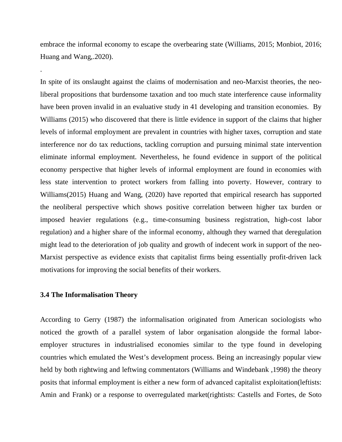embrace the informal economy to escape the overbearing state (Williams, 2015; Monbiot, 2016; Huang and Wang,.2020).

In spite of its onslaught against the claims of modernisation and neo-Marxist theories, the neoliberal propositions that burdensome taxation and too much state interference cause informality have been proven invalid in an evaluative study in 41 developing and transition economies. By Williams (2015) who discovered that there is little evidence in support of the claims that higher levels of informal employment are prevalent in countries with higher taxes, corruption and state interference nor do tax reductions, tackling corruption and pursuing minimal state intervention eliminate informal employment. Nevertheless, he found evidence in support of the political economy perspective that higher levels of informal employment are found in economies with less state intervention to protect workers from falling into poverty. However, contrary to Williams(2015) Huang and Wang, (2020) have reported that empirical research has supported the neoliberal perspective which shows positive correlation between higher tax burden or imposed heavier regulations (e.g., time-consuming business registration, high-cost labor regulation) and a higher share of the informal economy, although they warned that deregulation might lead to the deterioration of job quality and growth of indecent work in support of the neo-Marxist perspective as evidence exists that capitalist firms being essentially profit-driven lack motivations for improving the social benefits of their workers.

#### **3.4 The Informalisation Theory**

.

According to Gerry (1987) the informalisation originated from American sociologists who noticed the growth of a parallel system of labor organisation alongside the formal laboremployer structures in industrialised economies similar to the type found in developing countries which emulated the West's development process. Being an increasingly popular view held by both rightwing and leftwing commentators (Williams and Windebank, 1998) the theory posits that informal employment is either a new form of advanced capitalist exploitation(leftists: Amin and Frank) or a response to overregulated market(rightists: Castells and Fortes, de Soto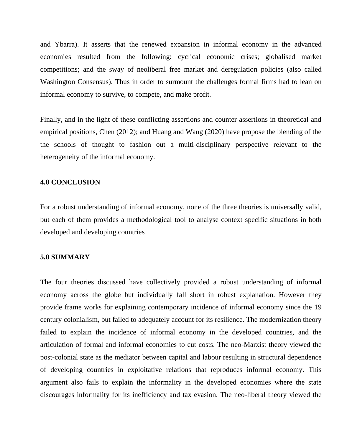and Ybarra). It asserts that the renewed expansion in informal economy in the advanced economies resulted from the following: cyclical economic crises; globalised market competitions; and the sway of neoliberal free market and deregulation policies (also called Washington Consensus). Thus in order to surmount the challenges formal firms had to lean on informal economy to survive, to compete, and make profit.

Finally, and in the light of these conflicting assertions and counter assertions in theoretical and empirical positions, Chen (2012); and Huang and Wang (2020) have propose the blending of the the schools of thought to fashion out a multi-disciplinary perspective relevant to the heterogeneity of the informal economy.

#### **4.0 CONCLUSION**

For a robust understanding of informal economy, none of the three theories is universally valid, but each of them provides a methodological tool to analyse context specific situations in both developed and developing countries

#### **5.0 SUMMARY**

The four theories discussed have collectively provided a robust understanding of informal economy across the globe but individually fall short in robust explanation. However they provide frame works for explaining contemporary incidence of informal economy since the 19 century colonialism, but failed to adequately account for its resilience. The modernization theory failed to explain the incidence of informal economy in the developed countries, and the articulation of formal and informal economies to cut costs. The neo-Marxist theory viewed the post-colonial state as the mediator between capital and labour resulting in structural dependence of developing countries in exploitative relations that reproduces informal economy. This argument also fails to explain the informality in the developed economies where the state discourages informality for its inefficiency and tax evasion. The neo-liberal theory viewed the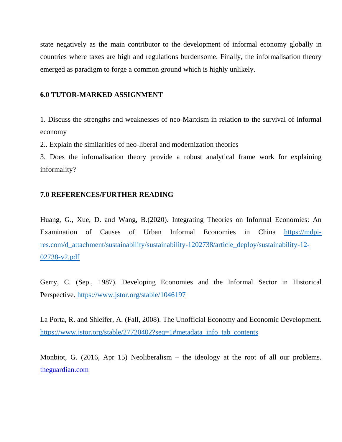state negatively as the main contributor to the development of informal economy globally in countries where taxes are high and regulations burdensome. Finally, the informalisation theory emerged as paradigm to forge a common ground which is highly unlikely.

#### **6.0 TUTOR-MARKED ASSIGNMENT**

1. Discuss the strengths and weaknesses of neo-Marxism in relation to the survival of informal economy

2.. Explain the similarities of neo-liberal and modernization theories

3. Does the infomalisation theory provide a robust analytical frame work for explaining informality?

## **7.0 REFERENCES/FURTHER READING**

Huang, G., Xue, D. and Wang, B.(2020). Integrating Theories on Informal Economies: An Examination of Causes of Urban Informal Economies in China https://mdpires.com/d\_attachment/sustainability/sustainability-1202738/article\_deploy/sustainability-12- 02738-v2.pdf

Gerry, C. (Sep., 1987). Developing Economies and the Informal Sector in Historical Perspective. https://www.jstor.org/stable/1046197

La Porta, R. and Shleifer, A. (Fall, 2008). The Unofficial Economy and Economic Development. https://www.jstor.org/stable/27720402?seq=1#metadata\_info\_tab\_contents

Monbiot, G. (2016, Apr 15) Neoliberalism – the ideology at the root of all our problems. theguardian.com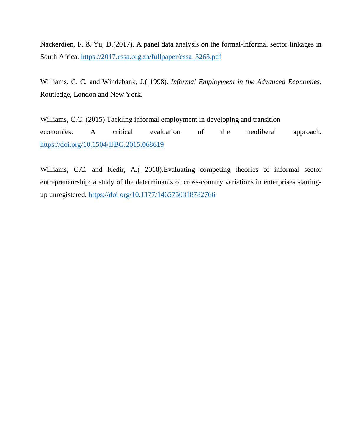Nackerdien, F. & Yu, D.(2017). A panel data analysis on the formal-informal sector linkages in South Africa. https://2017.essa.org.za/fullpaper/essa\_3263.pdf

Williams, C. C. and Windebank, J.( 1998). *Informal Employment in the Advanced Economies.* Routledge, London and New York.

Williams, C.C. (2015) Tackling informal employment in developing and transition economies: A critical evaluation of the neoliberal approach. https://doi.org/10.1504/IJBG.2015.068619

Williams, C.C. and Kedir, A.( 2018).Evaluating competing theories of informal sector entrepreneurship: a study of the determinants of cross-country variations in enterprises startingup unregistered. https://doi.org/10.1177/1465750318782766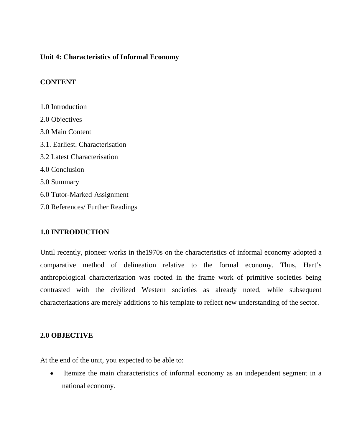## **Unit 4: Characteristics of Informal Economy**

# **CONTENT**

1.0 Introduction 2.0 Objectives 3.0 Main Content 3.1. Earliest. Characterisation 3.2 Latest Characterisation 4.0 Conclusion 5.0 Summary 6.0 Tutor-Marked Assignment 7.0 References/ Further Readings

## **1.0 INTRODUCTION**

Until recently, pioneer works in the1970s on the characteristics of informal economy adopted a comparative method of delineation relative to the formal economy. Thus, Hart's anthropological characterization was rooted in the frame work of primitive societies being contrasted with the civilized Western societies as already noted, while subsequent characterizations are merely additions to his template to reflect new understanding of the sector.

## **2.0 OBJECTIVE**

At the end of the unit, you expected to be able to:

 Itemize the main characteristics of informal economy as an independent segment in a national economy.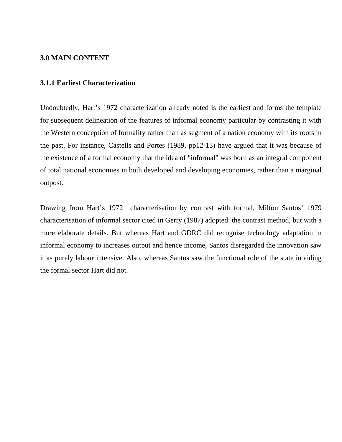#### **3.0 MAIN CONTENT**

#### **3.1.1 Earliest Characterization**

Undoubtedly, Hart's 1972 characterization already noted is the earliest and forms the template for subsequent delineation of the features of informal economy particular by contrasting it with the Western conception of formality rather than as segment of a nation economy with its roots in the past. For instance, Castells and Portes (1989, pp12-13) have argued that it was because of the existence of a formal economy that the idea of "informal" was born as an integral component of total national economies in both developed and developing economies, rather than a marginal outpost.

Drawing from Hart's 1972 characterisation by contrast with formal, Milton Santos' 1979 characterisation of informal sector cited in Gerry (1987) adopted the contrast method, but with a more elaborate details. But whereas Hart and GDRC did recognise technology adaptation in informal economy to increases output and hence income, Santos disregarded the innovation saw it as purely labour intensive. Also, whereas Santos saw the functional role of the state in aiding the formal sector Hart did not.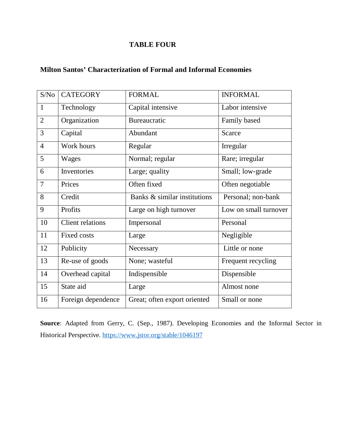# **TABLE FOUR**

| S/No           | <b>CATEGORY</b>         | <b>FORMAL</b>                | <b>INFORMAL</b>       |
|----------------|-------------------------|------------------------------|-----------------------|
| 1              | Technology              | Capital intensive            | Labor intensive       |
| $\overline{2}$ | Organization            | <b>Bureaucratic</b>          | Family based          |
| 3              | Capital                 | Abundant                     | Scarce                |
| $\overline{4}$ | Work hours              | Regular                      | Irregular             |
| 5              | Wages                   | Normal; regular              | Rare; irregular       |
| 6              | Inventories             | Large; quality               | Small; low-grade      |
| $\overline{7}$ | Prices                  | Often fixed                  | Often negotiable      |
| 8              | Credit                  | Banks & similar institutions | Personal; non-bank    |
| 9              | Profits                 | Large on high turnover       | Low on small turnover |
| 10             | <b>Client relations</b> | Impersonal                   | Personal              |
| 11             | <b>Fixed costs</b>      | Large                        | Negligible            |
| 12             | Publicity               | Necessary                    | Little or none        |
| 13             | Re-use of goods         | None; wasteful               | Frequent recycling    |
| 14             | Overhead capital        | Indispensible                | Dispensible           |
| 15             | State aid               | Large                        | Almost none           |
| 16             | Foreign dependence      | Great; often export oriented | Small or none         |

**Source**: Adapted from Gerry, C. (Sep., 1987). Developing Economies and the Informal Sector in Historical Perspective. https://www.jstor.org/stable/1046197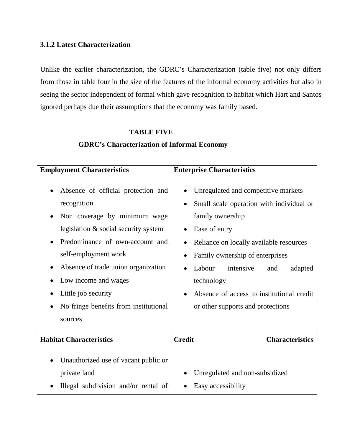## **3.1.2 Latest Characterization**

Unlike the earlier characterization, the GDRC's Characterization (table five) not only differs from those in table four in the size of the features of the informal economy activities but also in seeing the sector independent of formal which gave recognition to habitat which Hart and Santos ignored perhaps due their assumptions that the economy was family based.

## **TABLE FIVE**

# **GDRC's Characterization of Informal Economy**

| <b>Employment Characteristics</b>                                                                                                                                                                                                                                                                                              | <b>Enterprise Characteristics</b>                                                                                                                                                                                                                                                                                                                        |
|--------------------------------------------------------------------------------------------------------------------------------------------------------------------------------------------------------------------------------------------------------------------------------------------------------------------------------|----------------------------------------------------------------------------------------------------------------------------------------------------------------------------------------------------------------------------------------------------------------------------------------------------------------------------------------------------------|
| Absence of official protection and<br>recognition<br>Non coverage by minimum wage<br>legislation & social security system<br>Predominance of own-account and<br>self-employment work<br>Absence of trade union organization<br>Low income and wages<br>Little job security<br>No fringe benefits from institutional<br>sources | Unregulated and competitive markets<br>Small scale operation with individual or<br>family ownership<br>Ease of entry<br>Reliance on locally available resources<br>Family ownership of enterprises<br>Labour<br>intensive<br>adapted<br>and<br>technology<br>Absence of access to institutional credit<br>$\bullet$<br>or other supports and protections |
| <b>Habitat Characteristics</b>                                                                                                                                                                                                                                                                                                 | <b>Credit</b><br><b>Characteristics</b>                                                                                                                                                                                                                                                                                                                  |
| Unauthorized use of vacant public or<br>private land<br>Illegal subdivision and/or rental of                                                                                                                                                                                                                                   | Unregulated and non-subsidized<br>Easy accessibility                                                                                                                                                                                                                                                                                                     |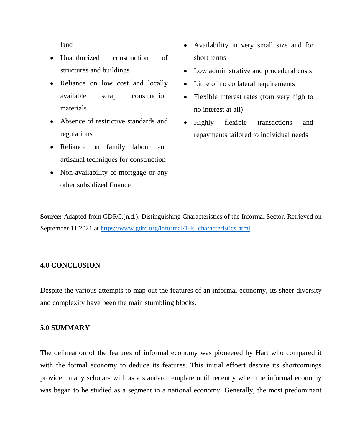| land                                              | Availability in very small size and for<br>$\bullet$ |
|---------------------------------------------------|------------------------------------------------------|
| Unauthorized<br>construction<br>of<br>$\bullet$   | short terms                                          |
| structures and buildings                          | • Low administrative and procedural costs            |
| Reliance on low cost and locally<br>$\bullet$     | Little of no collateral requirements<br>$\bullet$    |
| available<br>construction<br>scrap                | Flexible interest rates (fom very high to            |
| materials                                         | no interest at all)                                  |
| Absence of restrictive standards and<br>$\bullet$ | flexible<br>transactions<br>Highly<br>and            |
| regulations                                       | repayments tailored to individual needs              |
| Reliance on family<br>labour<br>and<br>$\bullet$  |                                                      |
| artisanal techniques for construction             |                                                      |
| Non-availability of mortgage or any<br>$\bullet$  |                                                      |
| other subsidized finance                          |                                                      |
|                                                   |                                                      |

**Source:** Adapted from GDRC.(n.d.). Distinguishing Characteristics of the Informal Sector. Retrieved on September 11.2021 at https://www.gdrc.org/informal/1-is\_characteristics.html

# **4.0 CONCLUSION**

Despite the various attempts to map out the features of an informal economy, its sheer diversity and complexity have been the main stumbling blocks.

# **5.0 SUMMARY**

The delineation of the features of informal economy was pioneered by Hart who compared it with the formal economy to deduce its features. This initial effoert despite its shortcomings provided many scholars with as a standard template until recently when the informal economy was began to be studied as a segment in a national economy. Generally, the most predominant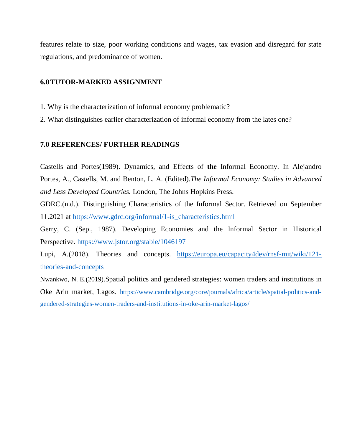features relate to size, poor working conditions and wages, tax evasion and disregard for state regulations, and predominance of women.

## **6.0TUTOR-MARKED ASSIGNMENT**

- 1. Why is the characterization of informal economy problematic?
- 2. What distinguishes earlier characterization of informal economy from the lates one?

#### **7.0 REFERENCES/ FURTHER READINGS**

Castells and Portes(1989). Dynamics, and Effects of **the** Informal Economy. In Alejandro Portes, A., Castells, M. and Benton, L. A. (Edited).*The Informal Economy: Studies in Advanced and Less Developed Countries.* London, The Johns Hopkins Press.

GDRC.(n.d.). Distinguishing Characteristics of the Informal Sector. Retrieved on September 11.2021 at https://www.gdrc.org/informal/1-is\_characteristics.html

Gerry, C. (Sep., 1987). Developing Economies and the Informal Sector in Historical Perspective. https://www.jstor.org/stable/1046197

Lupi, A.(2018). Theories and concepts. https://europa.eu/capacity4dev/rnsf-mit/wiki/121 theories-and-concepts

Nwankwo, N. E.(2019).Spatial politics and gendered strategies: women traders and institutions in Oke Arin market, Lagos. https://www.cambridge.org/core/journals/africa/article/spatial-politics-andgendered-strategies-women-traders-and-institutions-in-oke-arin-market-lagos/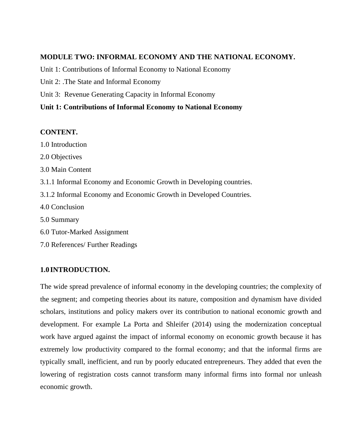## **MODULE TWO: INFORMAL ECONOMY AND THE NATIONAL ECONOMY.**

Unit 1: Contributions of Informal Economy to National Economy

- Unit 2: .The State and Informal Economy
- Unit 3: Revenue Generating Capacity in Informal Economy

# **Unit 1: Contributions of Informal Economy to National Economy**

# **CONTENT.**

- 1.0 Introduction
- 2.0 Objectives
- 3.0 Main Content
- 3.1.1 Informal Economy and Economic Growth in Developing countries.
- 3.1.2 Informal Economy and Economic Growth in Developed Countries.
- 4.0 Conclusion
- 5.0 Summary
- 6.0 Tutor-Marked Assignment
- 7.0 References/ Further Readings

# **1.0 INTRODUCTION.**

The wide spread prevalence of informal economy in the developing countries; the complexity of the segment; and competing theories about its nature, composition and dynamism have divided scholars, institutions and policy makers over its contribution to national economic growth and development. For example La Porta and Shleifer (2014) using the modernization conceptual work have argued against the impact of informal economy on economic growth because it has extremely low productivity compared to the formal economy; and that the informal firms are typically small, inefficient, and run by poorly educated entrepreneurs. They added that even the lowering of registration costs cannot transform many informal firms into formal nor unleash economic growth.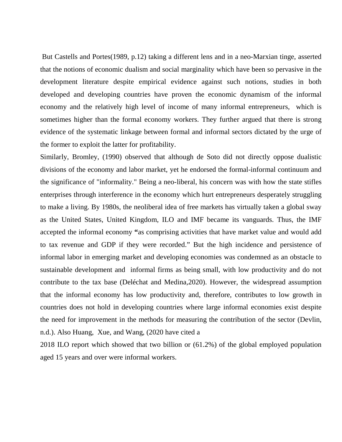But Castells and Portes(1989, p.12) taking a different lens and in a neo-Marxian tinge, asserted that the notions of economic dualism and social marginality which have been so pervasive in the development literature despite empirical evidence against such notions, studies in both developed and developing countries have proven the economic dynamism of the informal economy and the relatively high level of income of many informal entrepreneurs, which is sometimes higher than the formal economy workers. They further argued that there is strong evidence of the systematic linkage between formal and informal sectors dictated by the urge of the former to exploit the latter for profitability.

Similarly, Bromley, (1990) observed that although de Soto did not directly oppose dualistic divisions of the economy and labor market, yet he endorsed the formal-informal continuum and the significance of "informality." Being a neo-liberal, his concern was with how the state stifles enterprises through interference in the economy which hurt entrepreneurs desperately struggling to make a living. By 1980s, the neoliberal idea of free markets has virtually taken a global sway as the United States, United Kingdom, ILO and IMF became its vanguards. Thus, the IMF accepted the informal economy **"**as comprising activities that have market value and would add to tax revenue and GDP if they were recorded." But the high incidence and persistence of informal labor in emerging market and developing economies was condemned as an obstacle to sustainable development and informal firms as being small, with low productivity and do not contribute to the tax base (Deléchat and Medina,2020). However, the widespread assumption that the informal economy has low productivity and, therefore, contributes to low growth in countries does not hold in developing countries where large informal economies exist despite the need for improvement in the methods for measuring the contribution of the sector (Devlin, n.d.). Also Huang, Xue, and Wang, (2020 have cited a

2018 ILO report which showed that two billion or (61.2%) of the global employed population aged 15 years and over were informal workers.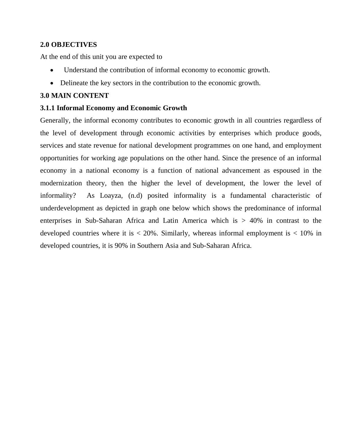# **2.0 OBJECTIVES**

At the end of this unit you are expected to

- Understand the contribution of informal economy to economic growth.
- Delineate the key sectors in the contribution to the economic growth.

## **3.0 MAIN CONTENT**

## **3.1.1 Informal Economy and Economic Growth**

Generally, the informal economy contributes to economic growth in all countries regardless of the level of development through economic activities by enterprises which produce goods, services and state revenue for national development programmes on one hand, and employment opportunities for working age populations on the other hand. Since the presence of an informal economy in a national economy is a function of national advancement as espoused in the modernization theory, then the higher the level of development, the lower the level of informality? As Loayza, (n.d) posited informality is a fundamental characteristic of underdevelopment as depicted in graph one below which shows the predominance of informal enterprises in Sub-Saharan Africa and Latin America which is > 40% in contrast to the developed countries where it is  $\langle 20\% \rangle$ . Similarly, whereas informal employment is  $\langle 10\% \rangle$  in developed countries, it is 90% in Southern Asia and Sub-Saharan Africa.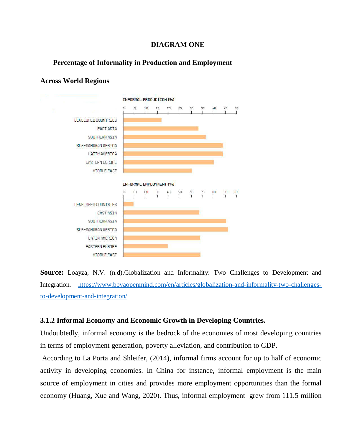## **DIAGRAM ONE**

## **Percentage of Informality in Production and Employment**



# **Across World Regions**

**Source:** Loayza, N.V. (n.d).Globalization and Informality: Two Challenges to Development and Integration. https://www.bbvaopenmind.com/en/articles/globalization-and-informality-two-challengesto-development-and-integration/

## **3.1.2 Informal Economy and Economic Growth in Developing Countries.**

Undoubtedly, informal economy is the bedrock of the economies of most developing countries in terms of employment generation, poverty alleviation, and contribution to GDP.

 According to La Porta and Shleifer, (2014), informal firms account for up to half of economic activity in developing economies. In China for instance, informal employment is the main source of employment in cities and provides more employment opportunities than the formal economy (Huang, Xue and Wang, 2020). Thus, informal employment grew from 111.5 million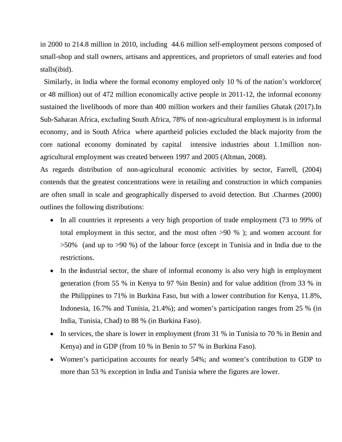in 2000 to 214.8 million in 2010, including 44.6 million self-employment persons composed of small-shop and stall owners, artisans and apprentices, and proprietors of small eateries and food stalls(ibid).

 Similarly, in India where the formal economy employed only 10 % of the nation's workforce( or 48 million) out of 472 million economically active people in 2011-12, the informal economy sustained the livelihoods of more than 400 million workers and their families Ghatak (2017).In Sub-Saharan Africa, excluding South Africa, 78% of non-agricultural employment is in informal economy, and in South Africa where apartheid policies excluded the black majority from the core national economy dominated by capital intensive industries about 1.1million nonagricultural employment was created between 1997 and 2005 (Altman, 2008).

As regards distribution of non-agricultural economic activities by sector, Farrell, (2004) contends that the greatest concentrations were in retailing and construction in which companies are often small in scale and geographically dispersed to avoid detection. But .Charmes (2000) outlines the following distributions:

- In all countries it represents a very high proportion of trade employment (73 to 99% of total employment in this sector, and the most often >90 % ); and women account for >50% (and up to >90 %) of the labour force (except in Tunisia and in India due to the restrictions.
- In the **industrial sector**, the share of informal economy is also very high in employment generation (from 55 % in Kenya to 97 %in Benin) and for value addition (from 33 % in the Philippines to 71% in Burkina Faso, but with a lower contribution for Kenya, 11.8%, Indonesia, 16.7% and Tunisia, 21.4%); and women's participation ranges from 25 % (in India, Tunisia, Chad) to 88 % (in Burkina Faso).
- In services, the share is lower in employment (from 31 % in Tunisia to 70 % in Benin and Kenya) and in GDP (from 10 % in Benin to 57 % in Burkina Faso).
- Women's participation accounts for nearly 54%; and women's contribution to GDP to more than 53 % exception in India and Tunisia where the figures are lower.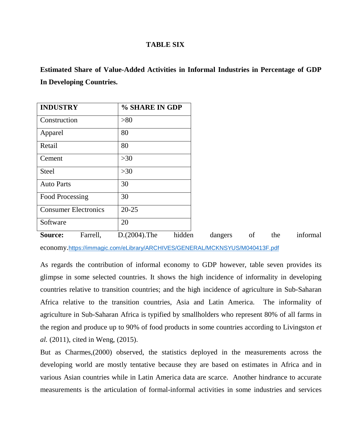#### **TABLE SIX**

**Estimated Share of Value-Added Activities in Informal Industries in Percentage of GDP In Developing Countries.** 

| <b>INDUSTRY</b>             |          | % SHARE IN GDP  |        |         |    |     |
|-----------------------------|----------|-----------------|--------|---------|----|-----|
| Construction                |          | >80             |        |         |    |     |
| Apparel                     |          | 80              |        |         |    |     |
| Retail                      |          | 80              |        |         |    |     |
| Cement                      |          | $>30$           |        |         |    |     |
| <b>Steel</b>                |          | $>30$           |        |         |    |     |
| <b>Auto Parts</b>           |          | 30              |        |         |    |     |
| <b>Food Processing</b>      |          | 30              |        |         |    |     |
| <b>Consumer Electronics</b> |          | $20 - 25$       |        |         |    |     |
| Software                    |          | 20              |        |         |    |     |
| Source:                     | Farrell, | $D.(2004).$ The | hidden | dangers | of | the |

economy.https://immagic.com/eLibrary/ARCHIVES/GENERAL/MCKNSYUS/M040413F.pdf

As regards the contribution of informal economy to GDP however, table seven provides its glimpse in some selected countries. It shows the high incidence of informality in developing countries relative to transition countries; and the high incidence of agriculture in Sub-Saharan Africa relative to the transition countries, Asia and Latin America. The informality of agriculture in Sub-Saharan Africa is typified by smallholders who represent 80% of all farms in the region and produce up to 90% of food products in some countries according to Livingston *et al.* (2011), cited in Weng, (2015).

But as Charmes,(2000) observed, the statistics deployed in the measurements across the developing world are mostly tentative because they are based on estimates in Africa and in various Asian countries while in Latin America data are scarce. Another hindrance to accurate measurements is the articulation of formal-informal activities in some industries and services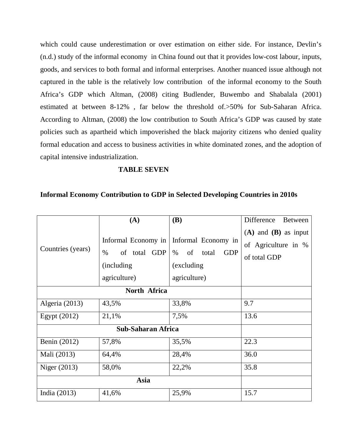which could cause underestimation or over estimation on either side. For instance, Devlin's (n.d.) study of the informal economy in China found out that it provides low-cost labour, inputs, goods, and services to both formal and informal enterprises. Another nuanced issue although not captured in the table is the relatively low contribution of the informal economy to the South Africa's GDP which Altman, (2008) citing Budlender, Buwembo and Shabalala (2001) estimated at between 8-12% , far below the threshold of.>50% for Sub-Saharan Africa. According to Altman, (2008) the low contribution to South Africa's GDP was caused by state policies such as apartheid which impoverished the black majority citizens who denied quality formal education and access to business activities in white dominated zones, and the adoption of capital intensive industrialization.

## **TABLE SEVEN**

#### **Informal Economy Contribution to GDP in Selected Developing Countries in 2010s**

|                         | (A)                                                                               | <b>(B)</b>                                                                              | Difference<br><b>Between</b>                                    |  |
|-------------------------|-----------------------------------------------------------------------------------|-----------------------------------------------------------------------------------------|-----------------------------------------------------------------|--|
| Countries (years)       | Informal Economy in<br>$\%$<br>of total GDP<br><i>(including)</i><br>agriculture) | Informal Economy in<br>of<br>$\%$<br>total<br><b>GDP</b><br>(excluding)<br>agriculture) | $(A)$ and $(B)$ as input<br>of Agriculture in %<br>of total GDP |  |
|                         |                                                                                   |                                                                                         |                                                                 |  |
| Algeria (2013)<br>43,5% |                                                                                   | 33,8%                                                                                   | 9.7                                                             |  |
| 21,1%<br>Egypt $(2012)$ |                                                                                   | 7,5%                                                                                    | 13.6                                                            |  |
|                         |                                                                                   |                                                                                         |                                                                 |  |
| Benin (2012)            | 57,8%                                                                             | 35,5%                                                                                   | 22.3                                                            |  |
| Mali (2013)             | 64,4%                                                                             | 28,4%                                                                                   | 36.0                                                            |  |
| Niger (2013)            | 58,0%                                                                             | 22,2%                                                                                   | 35.8                                                            |  |
|                         |                                                                                   |                                                                                         |                                                                 |  |
| India (2013)<br>41,6%   |                                                                                   | 25,9%                                                                                   | 15.7                                                            |  |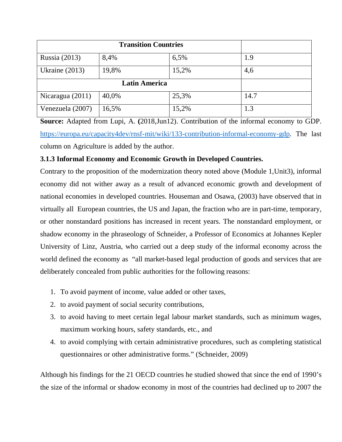| Russia (2013)    | 8,4%  | 6,5%  | 1.9  |
|------------------|-------|-------|------|
| Ukraine $(2013)$ | 19,8% | 15,2% | 4,6  |
|                  |       |       |      |
| Nicaragua (2011) | 40,0% | 25,3% | 14.7 |
| Venezuela (2007) | 16,5% | 15,2% | 1.3  |

**Source:** Adapted from Lupi, A. **(**2018,Jun12). Contribution of the informal economy to GDP. https://europa.eu/capacity4dev/rnsf-mit/wiki/133-contribution-informal-economy-gdp. The last column on Agriculture is added by the author.

# **3.1.3 Informal Economy and Economic Growth in Developed Countries.**

Contrary to the proposition of the modernization theory noted above (Module 1,Unit3), informal economy did not wither away as a result of advanced economic growth and development of national economies in developed countries. Houseman and Osawa, (2003) have observed that in virtually all European countries, the US and Japan, the fraction who are in part-time, temporary, or other nonstandard positions has increased in recent years. The nonstandard employment, or shadow economy in the phraseology of Schneider, a Professor of Economics at Johannes Kepler University of Linz, Austria, who carried out a deep study of the informal economy across the world defined the economy as "all market-based legal production of goods and services that are deliberately concealed from public authorities for the following reasons:

- 1. To avoid payment of income, value added or other taxes,
- 2. to avoid payment of social security contributions,
- 3. to avoid having to meet certain legal labour market standards, such as minimum wages, maximum working hours, safety standards, etc., and
- 4. to avoid complying with certain administrative procedures, such as completing statistical questionnaires or other administrative forms." (Schneider, 2009)

Although his findings for the 21 OECD countries he studied showed that since the end of 1990's the size of the informal or shadow economy in most of the countries had declined up to 2007 the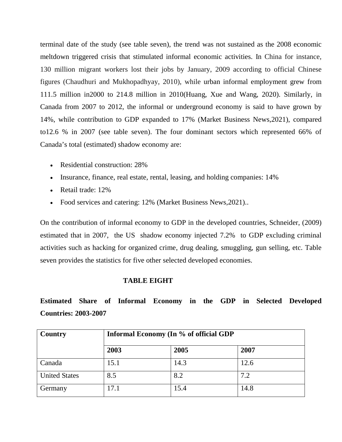terminal date of the study (see table seven), the trend was not sustained as the 2008 economic meltdown triggered crisis that stimulated informal economic activities. In China for instance, 130 million migrant workers lost their jobs by January, 2009 according to official Chinese figures (Chaudhuri and Mukhopadhyay, 2010), while urban informal employment grew from 111.5 million in2000 to 214.8 million in 2010(Huang, Xue and Wang, 2020). Similarly, in Canada from 2007 to 2012, the informal or underground economy is said to have grown by 14%, while contribution to GDP expanded to 17% (Market Business News,2021), compared to12.6 % in 2007 (see table seven). The four dominant sectors which represented 66% of Canada's total (estimated) shadow economy are:

- Residential construction: 28%
- Insurance, finance, real estate, rental, leasing, and holding companies: 14%
- Retail trade: 12%
- Food services and catering: 12% (Market Business News, 2021)...

On the contribution of informal economy to GDP in the developed countries, Schneider, (2009) estimated that in 2007, the US shadow economy injected 7.2% to GDP excluding criminal activities such as hacking for organized crime, drug dealing, smuggling, gun selling, etc. Table seven provides the statistics for five other selected developed economies.

## **TABLE EIGHT**

**Estimated Share of Informal Economy in the GDP in Selected Developed Countries: 2003-2007** 

| Country              | Informal Economy (In % of official GDP |      |      |
|----------------------|----------------------------------------|------|------|
|                      | 2003                                   | 2005 | 2007 |
| Canada               | 15.1                                   | 14.3 | 12.6 |
| <b>United States</b> | 8.5                                    | 8.2  | 7.2  |
| Germany              | 17.1                                   | 15.4 | 14.8 |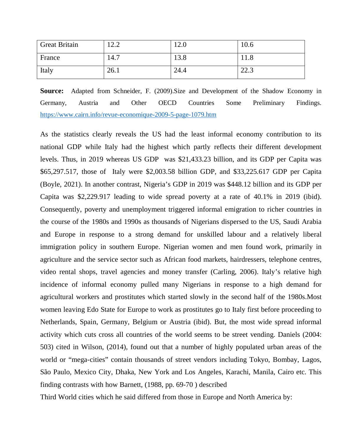| <b>Great Britain</b> | 12.2 | 12.0 | 10.6 |
|----------------------|------|------|------|
| France               | 14.7 | 13.8 | 11.8 |
| Italy                | 26.1 | 24.4 | 22.3 |

**Source:** Adapted from Schneider, F. (2009).Size and Development of the Shadow Economy in Germany, Austria and Other OECD Countries Some Preliminary Findings. https://www.cairn.info/revue-economique-2009-5-page-1079.htm

As the statistics clearly reveals the US had the least informal economy contribution to its national GDP while Italy had the highest which partly reflects their different development levels. Thus, in 2019 whereas US GDP was \$21,433.23 billion, and its GDP per Capita was \$65,297.517, those of Italy were \$2,003.58 billion GDP, and \$33,225.617 GDP per Capita (Boyle, 2021). In another contrast, Nigeria's GDP in 2019 was \$448.12 billion and its GDP per Capita was \$2,229.917 leading to wide spread poverty at a rate of 40.1% in 2019 (ibid). Consequently, poverty and unemployment triggered informal emigration to richer countries in the course of the 1980s and 1990s as thousands of Nigerians dispersed to the US, Saudi Arabia and Europe in response to a strong demand for unskilled labour and a relatively liberal immigration policy in southern Europe. Nigerian women and men found work, primarily in agriculture and the service sector such as African food markets, hairdressers, telephone centres, video rental shops, travel agencies and money transfer (Carling, 2006). Italy's relative high incidence of informal economy pulled many Nigerians in response to a high demand for agricultural workers and prostitutes which started slowly in the second half of the 1980s.Most women leaving Edo State for Europe to work as prostitutes go to Italy first before proceeding to Netherlands, Spain, Germany, Belgium or Austria (ibid). But, the most wide spread informal activity which cuts cross all countries of the world seems to be street vending. Daniels (2004: 503) cited in Wilson, (2014), found out that a number of highly populated urban areas of the world or "mega-cities" contain thousands of street vendors including Tokyo, Bombay, Lagos, São Paulo, Mexico City, Dhaka, New York and Los Angeles, Karachi, Manila, Cairo etc. This finding contrasts with how Barnett, (1988, pp. 69-70 ) described

Third World cities which he said differed from those in Europe and North America by: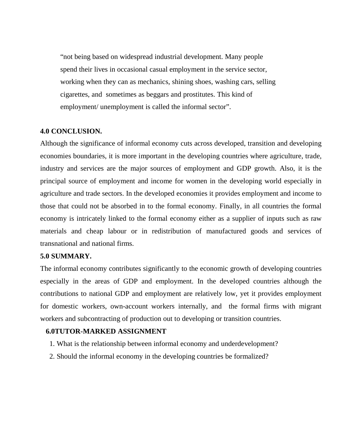"not being based on widespread industrial development. Many people spend their lives in occasional casual employment in the service sector, working when they can as mechanics, shining shoes, washing cars, selling cigarettes, and sometimes as beggars and prostitutes. This kind of employment/ unemployment is called the informal sector".

#### **4.0 CONCLUSION.**

Although the significance of informal economy cuts across developed, transition and developing economies boundaries, it is more important in the developing countries where agriculture, trade, industry and services are the major sources of employment and GDP growth. Also, it is the principal source of employment and income for women in the developing world especially in agriculture and trade sectors. In the developed economies it provides employment and income to those that could not be absorbed in to the formal economy. Finally, in all countries the formal economy is intricately linked to the formal economy either as a supplier of inputs such as raw materials and cheap labour or in redistribution of manufactured goods and services of transnational and national firms.

#### **5.0 SUMMARY.**

The informal economy contributes significantly to the economic growth of developing countries especially in the areas of GDP and employment. In the developed countries although the contributions to national GDP and employment are relatively low, yet it provides employment for domestic workers, own-account workers internally, and the formal firms with migrant workers and subcontracting of production out to developing or transition countries.

#### **6.0TUTOR-MARKED ASSIGNMENT**

- 1. What is the relationship between informal economy and underdevelopment?
- 2. Should the informal economy in the developing countries be formalized?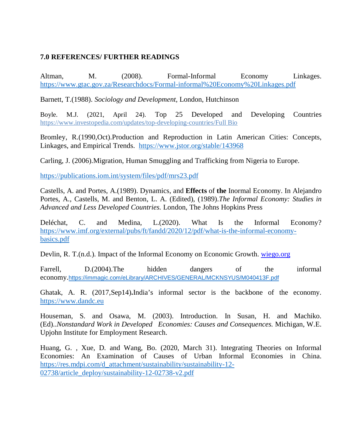# **7.0 REFERENCES/ FURTHER READINGS**

Altman, M. (2008). Formal-Informal Economy Linkages. https://www.gtac.gov.za/Researchdocs/Formal-informal%20Economy%20Linkages.pdf

Barnett, T.(1988). *Sociology and Development,* London, Hutchinson

Boyle. M.J. (2021, April 24). Top 25 Developed and Developing Countries https://www.investopedia.com/updates/top-developing-countries/Full Bio

Bromley, R.(1990,Oct).Production and Reproduction in Latin American Cities: Concepts, Linkages, and Empirical Trends. https://www.jstor.org/stable/143968

Carling, J. (2006).Migration, Human Smuggling and Trafficking from Nigeria to Europe.

https://publications.iom.int/system/files/pdf/mrs23.pdf

Castells, A. and Portes, A.(1989). Dynamics, and **Effects** of **the** Inormal Economy. In Alejandro Portes, A., Castells, M. and Benton, L. A. (Edited), (1989).*The Informal Economy: Studies in Advanced and Less Developed Countries.* London, The Johns Hopkins Press

Deléchat, C. and Medina, L.(2020). What Is the Informal Economy? https://www.imf.org/external/pubs/ft/fandd/2020/12/pdf/what-is-the-informal-economybasics.pdf

Devlin, R. T.(n.d.). Impact of the Informal Economy on Economic Growth. wiego.org

Farrell, D.(2004). The hidden dangers of the informal economy.https://immagic.com/eLibrary/ARCHIVES/GENERAL/MCKNSYUS/M040413F.pdf

Ghatak, A. R. (2017,Sep14)**.**India's informal sector is the backbone of the economy. https://www.dandc.eu

Houseman, S. and Osawa, M. (2003). Introduction. In Susan, H. and Machiko. (Ed)..*Nonstandard Work in Developed Economies: Causes and Consequences.* Michigan, W.E. Upjohn Institute for Employment Research.

Huang, G. , Xue, D. and Wang, Bo. (2020, March 31). Integrating Theories on Informal Economies: An Examination of Causes of Urban Informal Economies in China. https://res.mdpi.com/d\_attachment/sustainability/sustainability-12- 02738/article\_deploy/sustainability-12-02738-v2.pdf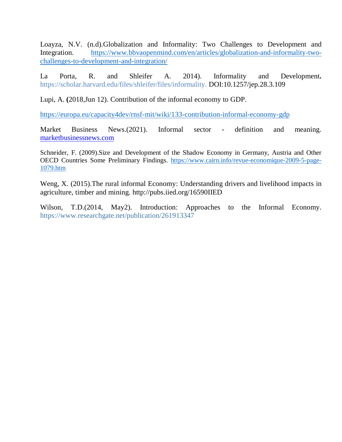Loayza, N.V. (n.d).Globalization and Informality: Two Challenges to Development and Integration. https://www.bbvaopenmind.com/en/articles/globalization-and-informality-twochallenges-to-development-and-integration/

La Porta, R. and Shleifer A. 2014). Informality and Development**.**  https://scholar.harvard.edu/files/shleifer/files/informality. DOI:10.1257/jep.28.3.109

Lupi, A. **(**2018,Jun 12). Contribution of the informal economy to GDP.

https://europa.eu/capacity4dev/rnsf-mit/wiki/133-contribution-informal-economy-gdp

Market Business News.(2021). Informal sector - definition and meaning. marketbusinessnews.com

Schneider, F. (2009).Size and Development of the Shadow Economy in Germany, Austria and Other OECD Countries Some Preliminary Findings. https://www.cairn.info/revue-economique-2009-5-page-1079.htm

Weng, X. (2015).The rural informal Economy: Understanding drivers and livelihood impacts in agriculture, timber and mining. http://pubs.iied.org/16590IIED

Wilson, T.D.(2014, May2). Introduction: Approaches to the Informal Economy. https://www.researchgate.net/publication/261913347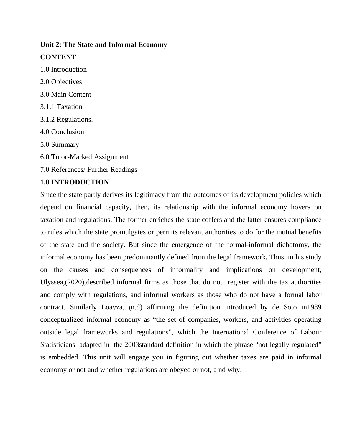# **Unit 2: The State and Informal Economy CONTENT**

- 1.0 Introduction
- 2.0 Objectives
- 3.0 Main Content
- 3.1.1 Taxation
- 3.1.2 Regulations.
- 4.0 Conclusion
- 5.0 Summary
- 6.0 Tutor-Marked Assignment
- 7.0 References/ Further Readings

# **1.0 INTRODUCTION**

Since the state partly derives its legitimacy from the outcomes of its development policies which depend on financial capacity, then, its relationship with the informal economy hovers on taxation and regulations. The former enriches the state coffers and the latter ensures compliance to rules which the state promulgates or permits relevant authorities to do for the mutual benefits of the state and the society. But since the emergence of the formal-informal dichotomy, the informal economy has been predominantly defined from the legal framework. Thus, in his study on the causes and consequences of informality and implications on development, Ulyssea,(2020),described informal firms as those that do not register with the tax authorities and comply with regulations, and informal workers as those who do not have a formal labor contract. Similarly Loayza, **(**n.d) affirming the definition introduced by de Soto in1989 conceptualized informal economy as "the set of companies, workers, and activities operating outside legal frameworks and regulations", which the International Conference of Labour Statisticians adapted in the 2003standard definition in which the phrase "not legally regulated" is embedded. This unit will engage you in figuring out whether taxes are paid in informal economy or not and whether regulations are obeyed or not, a nd why.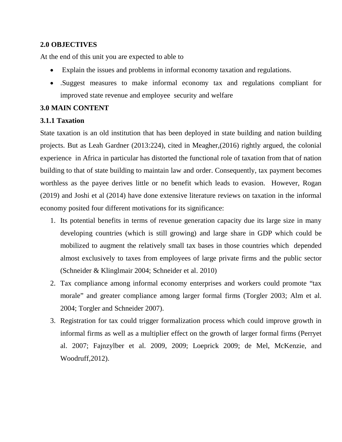# **2.0 OBJECTIVES**

At the end of this unit you are expected to able to

- Explain the issues and problems in informal economy taxation and regulations.
- .Suggest measures to make informal economy tax and regulations compliant for improved state revenue and employee security and welfare

# **3.0 MAIN CONTENT**

## **3.1.1 Taxation**

State taxation is an old institution that has been deployed in state building and nation building projects. But as Leah Gardner (2013:224), cited in Meagher,(2016) rightly argued, the colonial experience in Africa in particular has distorted the functional role of taxation from that of nation building to that of state building to maintain law and order. Consequently, tax payment becomes worthless as the payee derives little or no benefit which leads to evasion. However, Rogan (2019) and Joshi et al (2014) have done extensive literature reviews on taxation in the informal economy posited four different motivations for its significance:

- 1. Its potential benefits in terms of revenue generation capacity due its large size in many developing countries (which is still growing) and large share in GDP which could be mobilized to augment the relatively small tax bases in those countries which depended almost exclusively to taxes from employees of large private firms and the public sector (Schneider & Klinglmair 2004; Schneider et al. 2010)
- 2. Tax compliance among informal economy enterprises and workers could promote "tax morale" and greater compliance among larger formal firms (Torgler 2003; Alm et al. 2004; Torgler and Schneider 2007).
- 3. Registration for tax could trigger formalization process which could improve growth in informal firms as well as a multiplier effect on the growth of larger formal firms (Perryet al. 2007; Fajnzylber et al. 2009, 2009; Loeprick 2009; de Mel, McKenzie, and Woodruff,2012).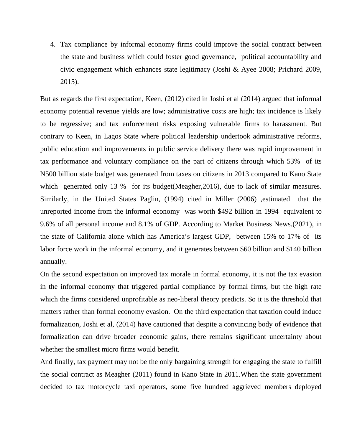4. Tax compliance by informal economy firms could improve the social contract between the state and business which could foster good governance, political accountability and civic engagement which enhances state legitimacy (Joshi & Ayee 2008; Prichard 2009, 2015).

But as regards the first expectation, Keen, (2012) cited in Joshi et al (2014) argued that informal economy potential revenue yields are low; administrative costs are high; tax incidence is likely to be regressive; and tax enforcement risks exposing vulnerable firms to harassment. But contrary to Keen, in Lagos State where political leadership undertook administrative reforms, public education and improvements in public service delivery there was rapid improvement in tax performance and voluntary compliance on the part of citizens through which 53% of its N500 billion state budget was generated from taxes on citizens in 2013 compared to Kano State which generated only 13 % for its budget(Meagher, 2016), due to lack of similar measures. Similarly, in the United States Paglin, (1994) cited in Miller (2006) ,estimated that the unreported income from the informal economy was worth \$492 billion in 1994 equivalent to 9.6% of all personal income and 8.1% of GDP. According to Market Business News.(2021), in the state of California alone which has America's largest GDP, between 15% to 17% of its labor force work in the informal economy, and it generates between \$60 billion and \$140 billion annually.

On the second expectation on improved tax morale in formal economy, it is not the tax evasion in the informal economy that triggered partial compliance by formal firms, but the high rate which the firms considered unprofitable as neo-liberal theory predicts. So it is the threshold that matters rather than formal economy evasion. On the third expectation that taxation could induce formalization, Joshi et al, (2014) have cautioned that despite a convincing body of evidence that formalization can drive broader economic gains, there remains significant uncertainty about whether the smallest micro firms would benefit.

And finally, tax payment may not be the only bargaining strength for engaging the state to fulfill the social contract as Meagher (2011) found in Kano State in 2011.When the state government decided to tax motorcycle taxi operators, some five hundred aggrieved members deployed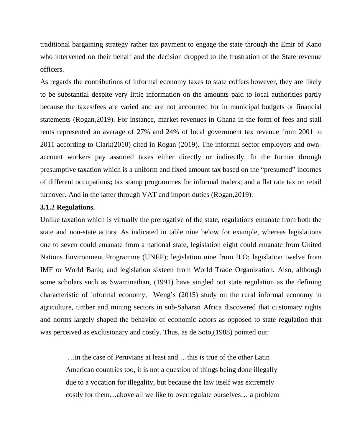traditional bargaining strategy rather tax payment to engage the state through the Emir of Kano who intervened on their behalf and the decision dropped to the frustration of the State revenue officers.

As regards the contributions of informal economy taxes to state coffers however, they are likely to be substantial despite very little information on the amounts paid to local authorities partly because the taxes/fees are varied and are not accounted for in municipal budgets or financial statements (Rogan,2019). For instance, market revenues in Ghana in the form of fees and stall rents represented an average of 27% and 24% of local government tax revenue from 2001 to 2011 according to Clark(2010) cited in Rogan (2019). The informal sector employers and ownaccount workers pay assorted taxes either directly or indirectly. In the former through presumptive taxation which is a uniform and fixed amount tax based on the "presumed" incomes of different occupations**;** tax stamp programmes for informal traders; and a flat rate tax on retail turnover. And in the latter through VAT and import duties (Rogan,2019).

#### **3.1.2 Regulations.**

Unlike taxation which is virtually the prerogative of the state, regulations emanate from both the state and non-state actors. As indicated in table nine below for example, whereas legislations one to seven could emanate from a national state, legislation eight could emanate from United Nations Environment Programme (UNEP); legislation nine from ILO; legislation twelve from IMF or World Bank; and legislation sixteen from World Trade Organization. Also, although some scholars such as Swaminathan, (1991) have singled out state regulation as the defining characteristic of informal economy, Weng's (2015) study on the rural informal economy in agriculture, timber and mining sectors in sub-Saharan Africa discovered that customary rights and norms largely shaped the behavior of economic actors as opposed to state regulation that was perceived as exclusionary and costly. Thus, as de Soto,(1988) pointed out:

 …in the case of Peruvians at least and …this is true of the other Latin American countries too, it is not a question of things being done illegally due to a vocation for illegality, but because the law itself was extremely costly for them…above all we like to overregulate ourselves… a problem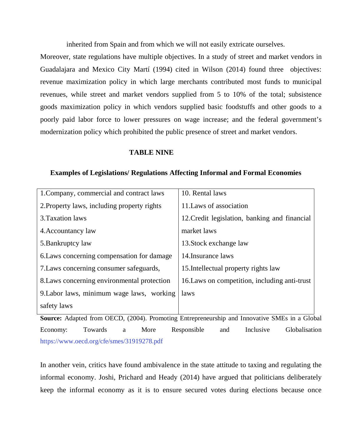inherited from Spain and from which we will not easily extricate ourselves.

Moreover, state regulations have multiple objectives. In a study of street and market vendors in Guadalajara and Mexico City Martí (1994) cited in Wilson (2014) found three objectives: revenue maximization policy in which large merchants contributed most funds to municipal revenues, while street and market vendors supplied from 5 to 10% of the total; subsistence goods maximization policy in which vendors supplied basic foodstuffs and other goods to a poorly paid labor force to lower pressures on wage increase; and the federal government's modernization policy which prohibited the public presence of street and market vendors.

#### **TABLE NINE**

#### **Examples of Legislations/ Regulations Affecting Informal and Formal Economies**

| 1. Company, commercial and contract laws    | 10. Rental laws                               |
|---------------------------------------------|-----------------------------------------------|
| 2. Property laws, including property rights | 11. Laws of association                       |
| 3. Taxation laws                            | 12. Credit legislation, banking and financial |
| 4. Accountancy law                          | market laws                                   |
| 5. Bankruptcy law                           | 13. Stock exchange law                        |
| 6. Laws concerning compensation for damage  | 14. Insurance laws                            |
| 7. Laws concerning consumer safeguards,     | 15. Intellectual property rights law          |
| 8. Laws concerning environmental protection | 16. Laws on competition, including anti-trust |
| 9. Labor laws, minimum wage laws, working   | laws                                          |
| safety laws                                 |                                               |

**Source:** Adapted from OECD, (2004). Promoting Entrepreneurship and Innovative SMEs in a Global Economy: Towards a More Responsible and Inclusive Globalisation https://www.oecd.org/cfe/smes/31919278.pdf

In another vein, critics have found ambivalence in the state attitude to taxing and regulating the informal economy. Joshi, Prichard and Heady (2014) have argued that politicians deliberately keep the informal economy as it is to ensure secured votes during elections because once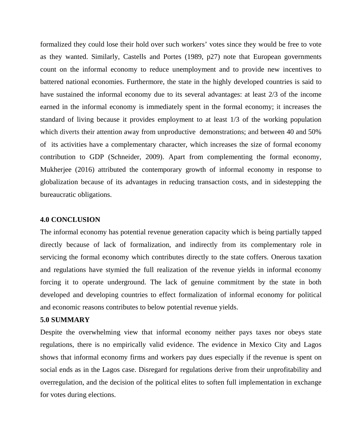formalized they could lose their hold over such workers' votes since they would be free to vote as they wanted. Similarly, Castells and Portes (1989, p27) note that European governments count on the informal economy to reduce unemployment and to provide new incentives to battered national economies. Furthermore, the state in the highly developed countries is said to have sustained the informal economy due to its several advantages: at least 2/3 of the income earned in the informal economy is immediately spent in the formal economy; it increases the standard of living because it provides employment to at least 1/3 of the working population which diverts their attention away from unproductive demonstrations; and between 40 and 50% of its activities have a complementary character, which increases the size of formal economy contribution to GDP (Schneider, 2009). Apart from complementing the formal economy, Mukherjee (2016) attributed the contemporary growth of informal economy in response to globalization because of its advantages in reducing transaction costs, and in sidestepping the bureaucratic obligations.

#### **4.0 CONCLUSION**

The informal economy has potential revenue generation capacity which is being partially tapped directly because of lack of formalization, and indirectly from its complementary role in servicing the formal economy which contributes directly to the state coffers. Onerous taxation and regulations have stymied the full realization of the revenue yields in informal economy forcing it to operate underground. The lack of genuine commitment by the state in both developed and developing countries to effect formalization of informal economy for political and economic reasons contributes to below potential revenue yields.

#### **5.0 SUMMARY**

Despite the overwhelming view that informal economy neither pays taxes nor obeys state regulations, there is no empirically valid evidence. The evidence in Mexico City and Lagos shows that informal economy firms and workers pay dues especially if the revenue is spent on social ends as in the Lagos case. Disregard for regulations derive from their unprofitability and overregulation, and the decision of the political elites to soften full implementation in exchange for votes during elections.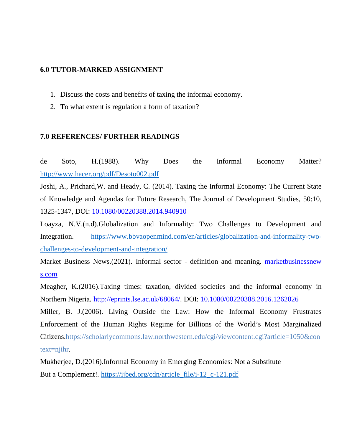## **6.0 TUTOR-MARKED ASSIGNMENT**

- 1. Discuss the costs and benefits of taxing the informal economy.
- 2. To what extent is regulation a form of taxation?

## **7.0 REFERENCES/ FURTHER READINGS**

de Soto, H.(1988). Why Does the Informal Economy Matter? http://www.hacer.org/pdf/Desoto002.pdf

Joshi, A., Prichard,W. and Heady, C. (2014). Taxing the Informal Economy: The Current State of Knowledge and Agendas for Future Research, The Journal of Development Studies, 50:10, 1325-1347, DOI: 10.1080/00220388.2014.940910

Loayza, N.V.(n.d).Globalization and Informality: Two Challenges to Development and Integration. https://www.bbvaopenmind.com/en/articles/globalization-and-informality-twochallenges-to-development-and-integration/

Market Business News.(2021). Informal sector - definition and meaning. **marketbusinessnew** s.com

Meagher, K.(2016).Taxing times: taxation, divided societies and the informal economy in Northern Nigeria*.* http://eprints.lse.ac.uk/68064/. DOI: 10.1080/00220388.2016.1262026

Miller, B. J.(2006). Living Outside the Law: How the Informal Economy Frustrates Enforcement of the Human Rights Regime for Billions of the World's Most Marginalized Citizens.https://scholarlycommons.law.northwestern.edu/cgi/viewcontent.cgi?article=1050&con text=njihr.

Mukherjee, D.(2016).Informal Economy in Emerging Economies: Not a Substitute But a Complement!. https://ijbed.org/cdn/article\_file/i-12\_c-121.pdf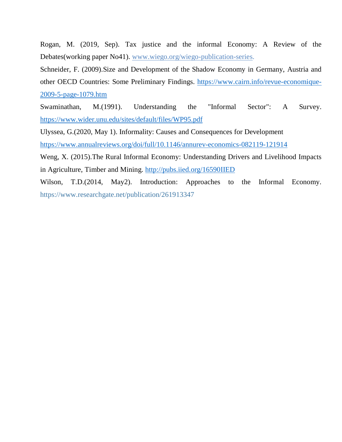Rogan, M. (2019, Sep). Tax justice and the informal Economy: A Review of the Debates(working paper No41). www.wiego.org/wiego-publication-series.

Schneider, F. (2009).Size and Development of the Shadow Economy in Germany, Austria and other OECD Countries: Some Preliminary Findings. https://www.cairn.info/revue-economique-2009-5-page-1079.htm

Swaminathan, M.(1991). Understanding the "Informal Sector": A Survey. https://www.wider.unu.edu/sites/default/files/WP95.pdf

Ulyssea, G.(2020, May 1). Informality: Causes and Consequences for Development

https://www.annualreviews.org/doi/full/10.1146/annurev-economics-082119-121914

Weng, X. (2015).The Rural Informal Economy: Understanding Drivers and Livelihood Impacts in Agriculture, Timber and Mining. http://pubs.iied.org/16590IIED

Wilson, T.D.(2014, May2). Introduction: Approaches to the Informal Economy. https://www.researchgate.net/publication/261913347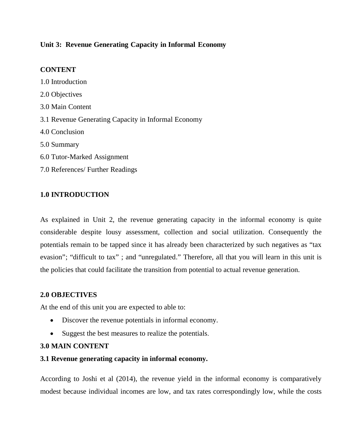# **Unit 3: Revenue Generating Capacity in Informal Economy**

# **CONTENT**

1.0 Introduction 2.0 Objectives 3.0 Main Content 3.1 Revenue Generating Capacity in Informal Economy 4.0 Conclusion 5.0 Summary 6.0 Tutor-Marked Assignment 7.0 References/ Further Readings

# **1.0 INTRODUCTION**

As explained in Unit 2, the revenue generating capacity in the informal economy is quite considerable despite lousy assessment, collection and social utilization. Consequently the potentials remain to be tapped since it has already been characterized by such negatives as "tax evasion"; "difficult to tax" ; and "unregulated." Therefore, all that you will learn in this unit is the policies that could facilitate the transition from potential to actual revenue generation.

# **2.0 OBJECTIVES**

At the end of this unit you are expected to able to:

- Discover the revenue potentials in informal economy.
- Suggest the best measures to realize the potentials.

# **3.0 MAIN CONTENT**

# **3.1 Revenue generating capacity in informal economy.**

According to Joshi et al (2014), the revenue yield in the informal economy is comparatively modest because individual incomes are low, and tax rates correspondingly low, while the costs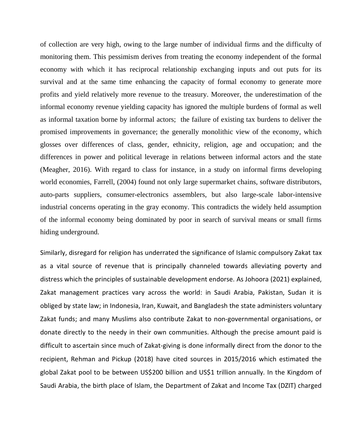of collection are very high, owing to the large number of individual firms and the difficulty of monitoring them. This pessimism derives from treating the economy independent of the formal economy with which it has reciprocal relationship exchanging inputs and out puts for its survival and at the same time enhancing the capacity of formal economy to generate more profits and yield relatively more revenue to the treasury. Moreover, the underestimation of the informal economy revenue yielding capacity has ignored the multiple burdens of formal as well as informal taxation borne by informal actors; the failure of existing tax burdens to deliver the promised improvements in governance; the generally monolithic view of the economy, which glosses over differences of class, gender, ethnicity, religion, age and occupation; and the differences in power and political leverage in relations between informal actors and the state (Meagher, 2016). With regard to class for instance, in a study on informal firms developing world economies, Farrell, (2004) found not only large supermarket chains, software distributors, auto-parts suppliers, consumer-electronics assemblers, but also large-scale labor-intensive industrial concerns operating in the gray economy. This contradicts the widely held assumption of the informal economy being dominated by poor in search of survival means or small firms hiding underground.

Similarly, disregard for religion has underrated the significance of Islamic compulsory Zakat tax as a vital source of revenue that is principally channeled towards alleviating poverty and distress which the principles of sustainable development endorse. As Johoora (2021) explained, Zakat management practices vary across the world: in Saudi Arabia, Pakistan, Sudan it is obliged by state law; in Indonesia, Iran, Kuwait, and Bangladesh the state administers voluntary Zakat funds; and many Muslims also contribute Zakat to non-governmental organisations, or donate directly to the needy in their own communities. Although the precise amount paid is difficult to ascertain since much of Zakat-giving is done informally direct from the donor to the recipient, Rehman and Pickup (2018) have cited sources in 2015/2016 which estimated the global Zakat pool to be between US\$200 billion and US\$1 trillion annually. In the Kingdom of Saudi Arabia, the birth place of Islam, the Department of Zakat and Income Tax (DZIT) charged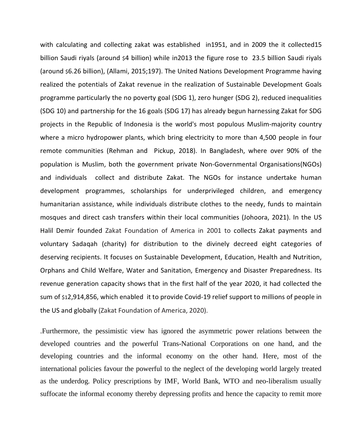with calculating and collecting zakat was established in1951, and in 2009 the it collected15 billion Saudi riyals (around \$4 billion) while in2013 the figure rose to 23.5 billion Saudi riyals (around \$6.26 billion), (Allami, 2015;197). The United Nations Development Programme having realized the potentials of Zakat revenue in the realization of Sustainable Development Goals programme particularly the no poverty goal (SDG 1), zero hunger (SDG 2), reduced inequalities (SDG 10) and partnership for the 16 goals (SDG 17) has already begun harnessing Zakat for SDG projects in the Republic of Indonesia is the world's most populous Muslim-majority country where a micro hydropower plants, which bring electricity to more than 4,500 people in four remote communities (Rehman and Pickup, 2018). In Bangladesh, where over 90% of the population is Muslim, both the government private Non-Governmental Organisations(NGOs) and individuals collect and distribute Zakat. The NGOs for instance undertake human development programmes, scholarships for underprivileged children, and emergency humanitarian assistance, while individuals distribute clothes to the needy, funds to maintain mosques and direct cash transfers within their local communities (Johoora, 2021). In the US Halil Demir founded Zakat Foundation of America in 2001 to collects Zakat payments and voluntary Sadaqah (charity) for distribution to the divinely decreed eight categories of deserving recipients. It focuses on Sustainable Development, Education, Health and Nutrition, Orphans and Child Welfare, Water and Sanitation, Emergency and Disaster Preparedness. Its revenue generation capacity shows that in the first half of the year 2020, it had collected the sum of \$12,914,856, which enabled it to provide Covid-19 relief support to millions of people in the US and globally (Zakat Foundation of America, 2020).

.Furthermore, the pessimistic view has ignored the asymmetric power relations between the developed countries and the powerful Trans-National Corporations on one hand, and the developing countries and the informal economy on the other hand. Here, most of the international policies favour the powerful to the neglect of the developing world largely treated as the underdog. Policy prescriptions by IMF, World Bank, WTO and neo-liberalism usually suffocate the informal economy thereby depressing profits and hence the capacity to remit more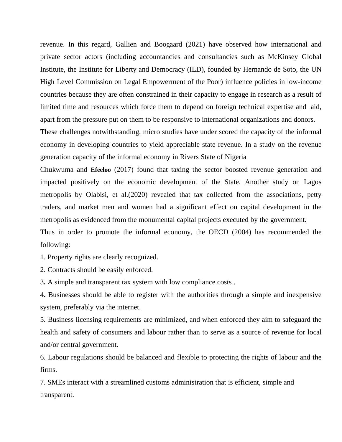revenue. In this regard, Gallien and Boogaard (2021) have observed how international and private sector actors (including accountancies and consultancies such as McKinsey Global Institute, the Institute for Liberty and Democracy (ILD), founded by Hernando de Soto, the UN High Level Commission on Legal Empowerment of the Poor) influence policies in low-income countries because they are often constrained in their capacity to engage in research as a result of limited time and resources which force them to depend on foreign technical expertise and aid, apart from the pressure put on them to be responsive to international organizations and donors.

These challenges notwithstanding, micro studies have under scored the capacity of the informal economy in developing countries to yield appreciable state revenue. In a study on the revenue generation capacity of the informal economy in Rivers State of Nigeria

Chukwuma and **Efeeloo** (2017) found that taxing the sector boosted revenue generation and impacted positively on the economic development of the State. Another study on Lagos metropolis by Olabisi, et al.(2020) revealed that tax collected from the associations, petty traders, and market men and women had a significant effect on capital development in the metropolis as evidenced from the monumental capital projects executed by the government. Thus in order to promote the informal economy, the OECD (2004) has recommended the

following:

1. Property rights are clearly recognized.

2. Contracts should be easily enforced.

3**.** A simple and transparent tax system with low compliance costs .

4**.** Businesses should be able to register with the authorities through a simple and inexpensive system, preferably via the internet.

5. Business licensing requirements are minimized, and when enforced they aim to safeguard the health and safety of consumers and labour rather than to serve as a source of revenue for local and/or central government.

6. Labour regulations should be balanced and flexible to protecting the rights of labour and the firms.

7. SMEs interact with a streamlined customs administration that is efficient, simple and transparent.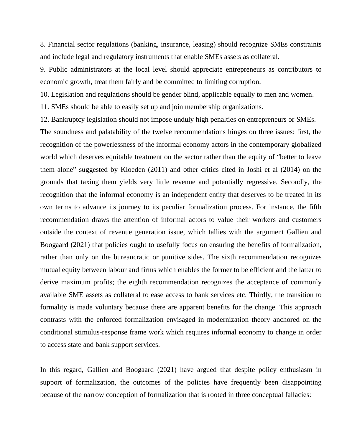8. Financial sector regulations (banking, insurance, leasing) should recognize SMEs constraints and include legal and regulatory instruments that enable SMEs assets as collateral.

9. Public administrators at the local level should appreciate entrepreneurs as contributors to economic growth, treat them fairly and be committed to limiting corruption.

10. Legislation and regulations should be gender blind, applicable equally to men and women.

11. SMEs should be able to easily set up and join membership organizations.

12. Bankruptcy legislation should not impose unduly high penalties on entrepreneurs or SMEs.

The soundness and palatability of the twelve recommendations hinges on three issues: first, the recognition of the powerlessness of the informal economy actors in the contemporary globalized world which deserves equitable treatment on the sector rather than the equity of "better to leave them alone" suggested by Kloeden (2011) and other critics cited in Joshi et al (2014) on the grounds that taxing them yields very little revenue and potentially regressive. Secondly, the recognition that the informal economy is an independent entity that deserves to be treated in its own terms to advance its journey to its peculiar formalization process. For instance, the fifth recommendation draws the attention of informal actors to value their workers and customers outside the context of revenue generation issue, which tallies with the argument Gallien and Boogaard (2021) that policies ought to usefully focus on ensuring the benefits of formalization, rather than only on the bureaucratic or punitive sides. The sixth recommendation recognizes mutual equity between labour and firms which enables the former to be efficient and the latter to derive maximum profits; the eighth recommendation recognizes the acceptance of commonly available SME assets as collateral to ease access to bank services etc. Thirdly, the transition to formality is made voluntary because there are apparent benefits for the change. This approach contrasts with the enforced formalization envisaged in modernization theory anchored on the conditional stimulus-response frame work which requires informal economy to change in order to access state and bank support services.

In this regard, Gallien and Boogaard (2021) have argued that despite policy enthusiasm in support of formalization, the outcomes of the policies have frequently been disappointing because of the narrow conception of formalization that is rooted in three conceptual fallacies: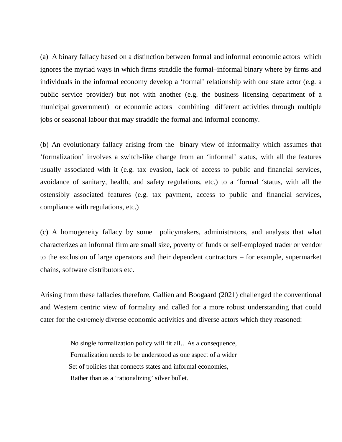(a) A binary fallacy based on a distinction between formal and informal economic actors which ignores the myriad ways in which firms straddle the formal–informal binary where by firms and individuals in the informal economy develop a 'formal' relationship with one state actor (e.g. a public service provider) but not with another (e.g. the business licensing department of a municipal government) or economic actors combining different activities through multiple jobs or seasonal labour that may straddle the formal and informal economy.

(b) An evolutionary fallacy arising from the binary view of informality which assumes that 'formalization' involves a switch-like change from an 'informal' status, with all the features usually associated with it (e.g. tax evasion, lack of access to public and financial services, avoidance of sanitary, health, and safety regulations, etc.) to a 'formal 'status, with all the ostensibly associated features (e.g. tax payment, access to public and financial services, compliance with regulations, etc.)

(c) A homogeneity fallacy by some policymakers, administrators, and analysts that what characterizes an informal firm are small size, poverty of funds or self-employed trader or vendor to the exclusion of large operators and their dependent contractors – for example, supermarket chains, software distributors etc.

Arising from these fallacies therefore, Gallien and Boogaard (2021) challenged the conventional and Western centric view of formality and called for a more robust understanding that could cater for the extremely diverse economic activities and diverse actors which they reasoned:

> No single formalization policy will fit all…As a consequence, Formalization needs to be understood as one aspect of a wider Set of policies that connects states and informal economies, Rather than as a 'rationalizing' silver bullet.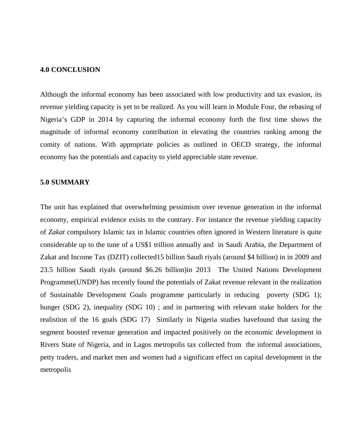#### **4.0 CONCLUSION**

Although the informal economy has been associated with low productivity and tax evasion, its revenue yielding capacity is yet to be realized. As you will learn in Module Four, the rebasing of Nigeria's GDP in 2014 by capturing the informal economy forth the first time shows the magnitude of informal economy contribution in elevating the countries ranking among the comity of nations. With appropriate policies as outlined in OECD strategy, the informal economy has the potentials and capacity to yield appreciable state revenue.

#### **5.0 SUMMARY**

The unit has explained that overwhelming pessimism over revenue generation in the informal economy, empirical evidence exists to the contrary. For instance the revenue yielding capacity of *Zakat* compulsory Islamic tax in Islamic countries often ignored in Western literature is quite considerable up to the tune of a US\$1 trillion annually and in Saudi Arabia, the Department of Zakat and Income Tax (DZIT) collected15 billion Saudi riyals (around \$4 billion) in in 2009 and 23.5 billion Saudi riyals (around \$6.26 billion)in 2013 The United Nations Development Programme(UNDP) has recently found the potentials of Zakat revenue relevant in the realization of Sustainable Development Goals programme particularly in reducing poverty (SDG 1); hunger (SDG 2), inequality (SDG 10); and in partnering with relevant stake holders for the realistion of the 16 goals (SDG 17) Similarly in Nigeria studies havefound that taxing the segment boosted revenue generation and impacted positively on the economic development in Rivers State of Nigeria, and in Lagos metropolis tax collected from the informal associations, petty traders, and market men and women had a significant effect on capital development in the metropolis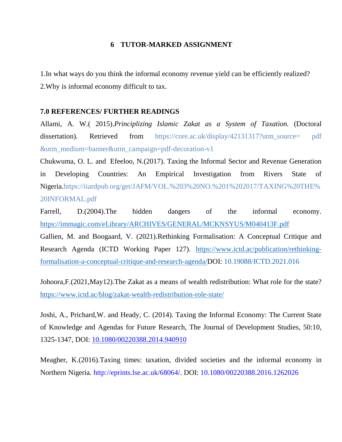## **6 TUTOR-MARKED ASSIGNMENT**

1.In what ways do you think the informal economy revenue yield can be efficiently realized? 2.Why is informal economy difficult to tax.

#### **7.0 REFERENCES/ FURTHER READINGS**

Allami, A. W.( 2015).*Principlizing Islamic Zakat as a System of Taxation.* (Doctoral dissertation). Retrieved from https://core.ac.uk/display/42131317?utm\_source= pdf &utm\_medium=banner&utm\_campaign=pdf-decoration-v1

Chukwuma, O. L. and Efeeloo, N.(2017). Taxing the Informal Sector and Revenue Generation in Developing Countries: An Empirical Investigation from Rivers State of Nigeria.https://iiardpub.org/get/JAFM/VOL.%203%20NO.%201%202017/TAXING%20THE% 20INFORMAL.pdf

Farrell, D.(2004).The hidden dangers of the informal economy. https://immagic.com/eLibrary/ARCHIVES/GENERAL/MCKNSYUS/M040413F.pdf

Gallien, M. and Boogaard, V. (2021).Rethinking Formalisation: A Conceptual Critique and Research Agenda (ICTD Working Paper 127). https://www.ictd.ac/publication/rethinkingformalisation-a-conceptual-critique-and-research-agenda/DOI: 10.19088/ICTD.2021.016

Johoora,F.(2021,May12).The Zakat as a means of wealth redistribution: What role for the state? https://www.ictd.ac/blog/zakat-wealth-redistribution-role-state/

Joshi, A., Prichard,W. and Heady, C. (2014). Taxing the Informal Economy: The Current State of Knowledge and Agendas for Future Research, The Journal of Development Studies, 50:10, 1325-1347, DOI: 10.1080/00220388.2014.940910

Meagher, K.(2016).Taxing times: taxation, divided societies and the informal economy in Northern Nigeria*.* http://eprints.lse.ac.uk/68064/. DOI: 10.1080/00220388.2016.1262026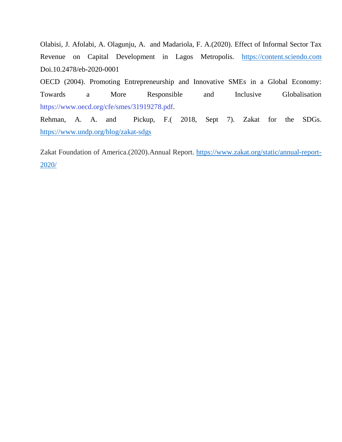Olabisi, J. Afolabi, A. Olagunju, A. and Madariola, F. A.(2020). Effect of Informal Sector Tax Revenue on Capital Development in Lagos Metropolis. https://content.sciendo.com Doi.10.2478/eb-2020-0001

OECD (2004). Promoting Entrepreneurship and Innovative SMEs in a Global Economy: Towards a More Responsible and Inclusive Globalisation https://www.oecd.org/cfe/smes/31919278.pdf.

Rehman, A. A. and Pickup, F.( 2018, Sept 7). Zakat for the SDGs. https://www.undp.org/blog/zakat-sdgs

Zakat Foundation of America.(2020).Annual Report. https://www.zakat.org/static/annual-report-2020/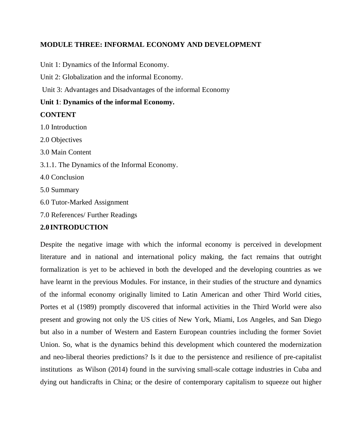## **MODULE THREE: INFORMAL ECONOMY AND DEVELOPMENT**

Unit 1: Dynamics of the Informal Economy.

Unit 2: Globalization and the informal Economy.

Unit 3: Advantages and Disadvantages of the informal Economy

# **Unit 1**: **Dynamics of the informal Economy.**

## **CONTENT**

1.0 Introduction 2.0 Objectives 3.0 Main Content 3.1.1. The Dynamics of the Informal Economy. 4.0 Conclusion 5.0 Summary 6.0 Tutor-Marked Assignment 7.0 References/ Further Readings

# **2.0 INTRODUCTION**

Despite the negative image with which the informal economy is perceived in development literature and in national and international policy making, the fact remains that outright formalization is yet to be achieved in both the developed and the developing countries as we have learnt in the previous Modules. For instance, in their studies of the structure and dynamics of the informal economy originally limited to Latin American and other Third World cities, Portes et al (1989) promptly discovered that informal activities in the Third World were also present and growing not only the US cities of New York, Miami, Los Angeles, and San Diego but also in a number of Western and Eastern European countries including the former Soviet Union. So, what is the dynamics behind this development which countered the modernization and neo-liberal theories predictions? Is it due to the persistence and resilience of pre-capitalist institutions as Wilson (2014) found in the surviving small-scale cottage industries in Cuba and dying out handicrafts in China; or the desire of contemporary capitalism to squeeze out higher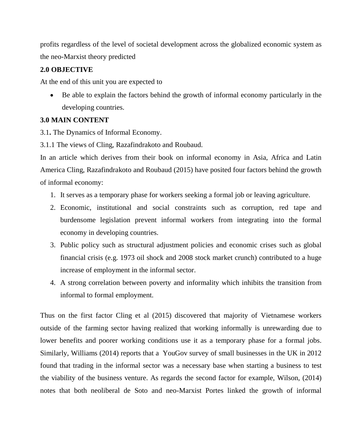profits regardless of the level of societal development across the globalized economic system as the neo-Marxist theory predicted

# **2.0 OBJECTIVE**

At the end of this unit you are expected to

 Be able to explain the factors behind the growth of informal economy particularly in the developing countries.

## **3.0 MAIN CONTENT**

3.1**.** The Dynamics of Informal Economy.

3.1.1 The views of Cling, Razafindrakoto and Roubaud.

In an article which derives from their book on informal economy in Asia, Africa and Latin America Cling, Razafindrakoto and Roubaud (2015) have posited four factors behind the growth of informal economy:

- 1. It serves as a temporary phase for workers seeking a formal job or leaving agriculture.
- 2. Economic, institutional and social constraints such as corruption, red tape and burdensome legislation prevent informal workers from integrating into the formal economy in developing countries.
- 3. Public policy such as structural adjustment policies and economic crises such as global financial crisis (e.g. 1973 oil shock and 2008 stock market crunch) contributed to a huge increase of employment in the informal sector.
- 4. A strong correlation between poverty and informality which inhibits the transition from informal to formal employment.

Thus on the first factor Cling et al (2015) discovered that majority of Vietnamese workers outside of the farming sector having realized that working informally is unrewarding due to lower benefits and poorer working conditions use it as a temporary phase for a formal jobs. Similarly, Williams (2014) reports that a YouGov survey of small businesses in the UK in 2012 found that trading in the informal sector was a necessary base when starting a business to test the viability of the business venture. As regards the second factor for example, Wilson, (2014) notes that both neoliberal de Soto and neo-Marxist Portes linked the growth of informal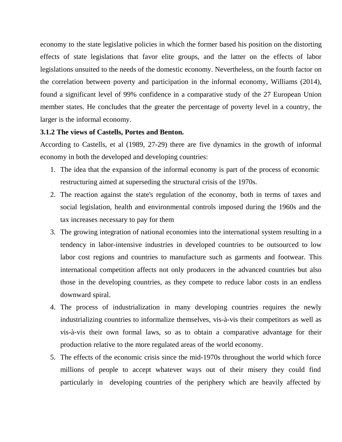economy to the state legislative policies in which the former based his position on the distorting effects of state legislations that favor elite groups, and the latter on the effects of labor legislations unsuited to the needs of the domestic economy. Nevertheless, on the fourth factor on the correlation between poverty and participation in the informal economy, Williams (2014), found a significant level of 99% confidence in a comparative study of the 27 European Union member states. He concludes that the greater the percentage of poverty level in a country, the larger is the informal economy.

#### **3.1.2 The views of Castells, Portes and Benton.**

According to Castells, et al (1989, 27-29) there are five dynamics in the growth of informal economy in both the developed and developing countries:

- 1. The idea that the expansion of the informal economy is part of the process of economic restructuring aimed at superseding the structural crisis of the 1970s.
- 2. The reaction against the state's regulation of the economy, both in terms of taxes and social legislation, health and environmental controls imposed during the 1960s and the tax increases necessary to pay for them
- 3. The growing integration of national economies into the international system resulting in a tendency in labor-intensive industries in developed countries to be outsourced to low labor cost regions and countries to manufacture such as garments and footwear. This international competition affects not only producers in the advanced countries but also those in the developing countries, as they compete to reduce labor costs in an endless downward spiral.
- 4. The process of industrialization in many developing countries requires the newly industrializing countries to informalize themselves, vis-à-vis their competitors as well as vis-à-vis their own formal laws, so as to obtain a comparative advantage for their production relative to the more regulated areas of the world economy.
- 5. The effects of the economic crisis since the mid-1970s throughout the world which force millions of people to accept whatever ways out of their misery they could find particularly in developing countries of the periphery which are heavily affected by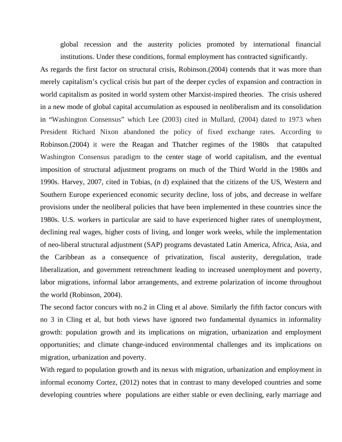global recession and the austerity policies promoted by international financial institutions. Under these conditions, formal employment has contracted significantly.

As regards the first factor on structural crisis, Robinson.(2004) contends that it was more than merely capitalism's cyclical crisis but part of the deeper cycles of expansion and contraction in world capitalism as posited in world system other Marxist-inspired theories. The crisis ushered in a new mode of global capital accumulation as espoused in neoliberalism and its consolidation in "Washington Consensus" which Lee (2003) cited in Mullard, (2004) dated to 1973 when President Richard Nixon abandoned the policy of fixed exchange rates. According to Robinson.(2004) it were the Reagan and Thatcher regimes of the 1980s that catapulted Washington Consensus paradigm to the center stage of world capitalism, and the eventual imposition of structural adjustment programs on much of the Third World in the 1980s and 1990s. Harvey, 2007, cited in Tobias, (n d) explained that the citizens of the US, Western and Southern Europe experienced economic security decline, loss of jobs, and decrease in welfare provisions under the neoliberal policies that have been implemented in these countries since the 1980s. U.S. workers in particular are said to have experienced higher rates of unemployment, declining real wages, higher costs of living, and longer work weeks, while the implementation of neo-liberal structural adjustment (SAP) programs devastated Latin America, Africa, Asia, and the Caribbean as a consequence of privatization, fiscal austerity, deregulation, trade liberalization, and government retrenchment leading to increased unemployment and poverty, labor migrations, informal labor arrangements, and extreme polarization of income throughout the world (Robinson, 2004).

The second factor concurs with no.2 in Cling et al above. Similarly the fifth factor concurs with no 3 in Cling et al, but both views have ignored two fundamental dynamics in informality growth: population growth and its implications on migration, urbanization and employment opportunities; and climate change-induced environmental challenges and its implications on migration, urbanization and poverty.

With regard to population growth and its nexus with migration, urbanization and employment in informal economy Cortez, (2012) notes that in contrast to many developed countries and some developing countries where populations are either stable or even declining, early marriage and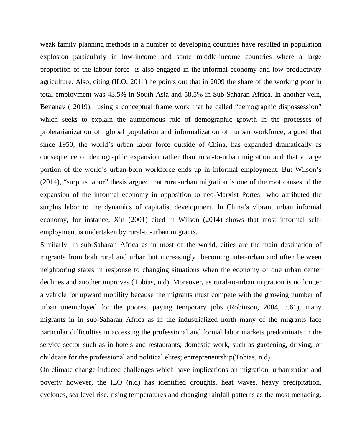weak family planning methods in a number of developing countries have resulted in population explosion particularly in low-income and some middle-income countries where a large proportion of the labour force is also engaged in the informal economy and low productivity agriculture. Also, citing (ILO, 2011) he points out that in 2009 the share of the working poor in total employment was 43.5% in South Asia and 58.5% in Sub Saharan Africa. In another vein, Benanav ( 2019), using a conceptual frame work that he called "demographic dispossession" which seeks to explain the autonomous role of demographic growth in the processes of proletarianization of global population and informalization of urban workforce, argued that since 1950, the world's urban labor force outside of China, has expanded dramatically as consequence of demographic expansion rather than rural-to-urban migration and that a large portion of the world's urban-born workforce ends up in informal employment. But Wilson's (2014), "surplus labor" thesis argued that rural-urban migration is one of the root causes of the expansion of the informal economy in opposition to neo-Marxist Portes who attributed the surplus labor to the dynamics of capitalist development. In China's vibrant urban informal economy, for instance, Xin (2001) cited in Wilson (2014) shows that most informal selfemployment is undertaken by rural-to-urban migrants.

Similarly, in sub-Saharan Africa as in most of the world, cities are the main destination of migrants from both rural and urban but increasingly becoming inter-urban and often between neighboring states in response to changing situations when the economy of one urban center declines and another improves (Tobias, n.d). Moreover, as rural-to-urban migration is no longer a vehicle for upward mobility because the migrants must compete with the growing number of urban unemployed for the poorest paying temporary jobs (Robinson, 2004, p.61), many migrants in in sub-Saharan Africa as in the industrialized north many of the migrants face particular difficulties in accessing the professional and formal labor markets predominate in the service sector such as in hotels and restaurants; domestic work, such as gardening, driving, or childcare for the professional and political elites; entrepreneurship(Tobias, n d).

On climate change-induced challenges which have implications on migration, urbanization and poverty however, the ILO (n.d) has identified droughts, heat waves, heavy precipitation, cyclones, sea level rise, rising temperatures and changing rainfall patterns as the most menacing.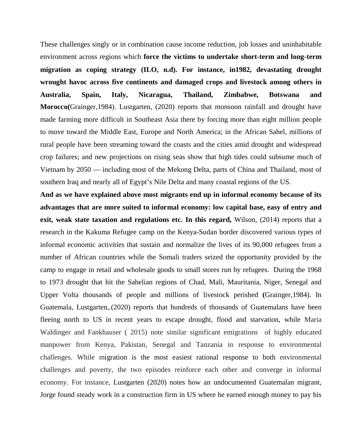These challenges singly or in combination cause income reduction, job losses and uninhabitable environment across regions which **force the victims to undertake short-term and long-term migration as coping strategy (ILO, n.d). For instance, in1982, devastating drought wrought havoc across five continents and damaged crops and livestock among others in Australia, Spain, Italy, Nicaragua, Thailand, Zimbabwe, Botswana and Morocco(**Grainger,1984). Lustgarten, (2020) reports that monsoon rainfall and drought have made farming more difficult in Southeast Asia there by forcing more than eight million people to move toward the Middle East, Europe and North America; in the African Sahel, millions of rural people have been streaming toward the coasts and the cities amid drought and widespread crop failures; and new projections on rising seas show that high tides could subsume much of Vietnam by 2050 — including most of the Mekong Delta, parts of China and Thailand, most of southern Iraq and nearly all of Egypt's Nile Delta and many coastal regions of the US.

**And as we have explained above most migrants end up in informal economy because of its advantages that are more suited to informal economy: low capital base, easy of entry and exit, weak state taxation and regulations etc. In this regard,** Wilson, (2014) reports that a research in the Kakuma Refugee camp on the Kenya-Sudan border discovered various types of informal economic activities that sustain and normalize the lives of its 90,000 refugees from a number of African countries while the Somali traders seized the opportunity provided by the camp to engage in retail and wholesale goods to small stores run by refugees. During the 1968 to 1973 drought that hit the Sahelian regions of Chad, Mali, Mauritania, Niger, Senegal and Upper Volta thousands of people and millions of livestock perished **(**Grainger,1984). In Guatemala, Lustgarten,.(2020) reports that hundreds of thousands of Guatemalans have been fleeing north to US in recent years to escape drought, flood and starvation, while Maria Waldinger and Fankhauser ( 2015) note similar significant emigrations of highly educated manpower from Kenya, Pakistan, Senegal and Tanzania in response to environmental challenges. While migration is the most easiest rational response to both environmental challenges and poverty, the two episodes reinforce each other and converge in informal economy. For instance, Lustgarten (2020) notes how an undocumented Guatemalan migrant, Jorge found steady work in a construction firm in US where he earned enough money to pay his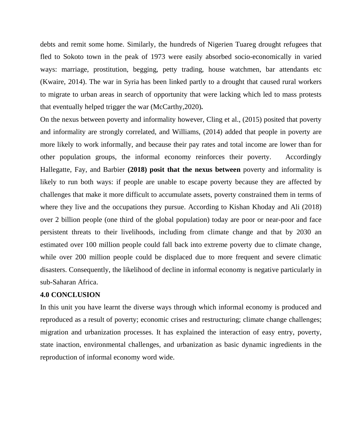debts and remit some home. Similarly, the hundreds of Nigerien Tuareg drought refugees that fled to Sokoto town in the peak of 1973 were easily absorbed socio-economically in varied ways: marriage, prostitution, begging, petty trading, house watchmen, bar attendants etc (Kwaire, 2014). The war in Syria has been linked partly to a drought that caused rural workers to migrate to urban areas in search of opportunity that were lacking which led to mass protests that eventually helped trigger the war (McCarthy,2020)**.** 

On the nexus between poverty and informality however, Cling et al., (2015) posited that poverty and informality are strongly correlated, and Williams, (2014) added that people in poverty are more likely to work informally, and because their pay rates and total income are lower than for other population groups, the informal economy reinforces their poverty. Accordingly Hallegatte, Fay, and Barbier **(2018) posit that the nexus between** poverty and informality is likely to run both ways: if people are unable to escape poverty because they are affected by challenges that make it more difficult to accumulate assets, poverty constrained them in terms of where they live and the occupations they pursue. According to Kishan Khoday and Ali (2018) over 2 billion people (one third of the global population) today are poor or near-poor and face persistent threats to their livelihoods, including from climate change and that by 2030 an estimated over 100 million people could fall back into extreme poverty due to climate change, while over 200 million people could be displaced due to more frequent and severe climatic disasters. Consequently, the likelihood of decline in informal economy is negative particularly in sub-Saharan Africa.

## **4.0 CONCLUSION**

In this unit you have learnt the diverse ways through which informal economy is produced and reproduced as a result of poverty; economic crises and restructuring; climate change challenges; migration and urbanization processes. It has explained the interaction of easy entry, poverty, state inaction, environmental challenges, and urbanization as basic dynamic ingredients in the reproduction of informal economy word wide.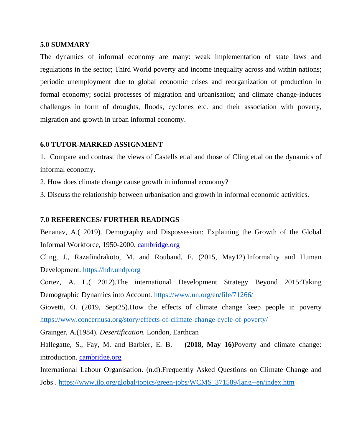#### **5.0 SUMMARY**

The dynamics of informal economy are many: weak implementation of state laws and regulations in the sector; Third World poverty and income inequality across and within nations; periodic unemployment due to global economic crises and reorganization of production in formal economy; social processes of migration and urbanisation; and climate change-induces challenges in form of droughts, floods, cyclones etc. and their association with poverty, migration and growth in urban informal economy.

## **6.0 TUTOR-MARKED ASSIGNMENT**

1. Compare and contrast the views of Castells et.al and those of Cling et.al on the dynamics of informal economy.

2. How does climate change cause growth in informal economy?

3. Discuss the relationship between urbanisation and growth in informal economic activities.

#### **7.0 REFERENCES/ FURTHER READINGS**

Benanav, A.( 2019). Demography and Dispossession: Explaining the Growth of the Global Informal Workforce, 1950-2000. cambridge.org

Cling, J., Razafindrakoto, M. and Roubaud, F. (2015, May12).Informality and Human Development. https://hdr.undp.org

Cortez, A. L.( 2012).The international Development Strategy Beyond 2015:Taking Demographic Dynamics into Account. https://www.un.org/en/file/71266/

Giovetti, O. (2019, Sept25).How the effects of climate change keep people in poverty https://www.concernusa.org/story/effects-of-climate-change-cycle-of-poverty/

Grainger, A.(1984). *Desertification.* London, Earthcan

Hallegatte, S., Fay, M. and Barbier, E. B. **(2018, May 16)**Poverty and climate change: introduction. cambridge.org

International Labour Organisation. (n.d).Frequently Asked Questions on Climate Change and Jobs . https://www.ilo.org/global/topics/green-jobs/WCMS\_371589/lang--en/index.htm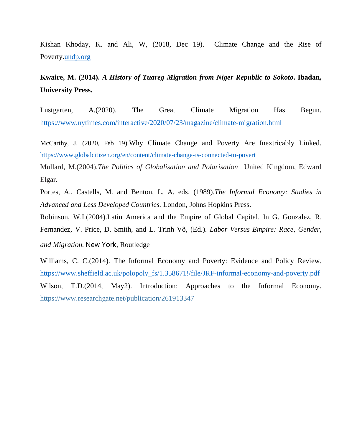Kishan Khoday, K. and Ali, W, (2018, Dec 19). Climate Change and the Rise of Poverty.undp.org

# **Kwaire, M. (2014).** *A History of Tuareg Migration from Niger Republic to Sokoto***. Ibadan, University Press.**

Lustgarten, A.(2020). The Great Climate Migration Has Begun. https://www.nytimes.com/interactive/2020/07/23/magazine/climate-migration.html

McCarthy, J. (2020, Feb 19).Why Climate Change and Poverty Are Inextricably Linked. https://www.globalcitizen.org/en/content/climate-change-is-connected-to-povert

Mullard, M.(2004).*The Politics of Globalisation and Polarisation* . United Kingdom, Edward Elgar.

Portes, A., Castells, M. and Benton, L. A. eds. (1989).*The Informal Economy: Studies in Advanced and Less Developed Countries.* London, Johns Hopkins Press.

Robinson, W.I.(2004).Latin America and the Empire of Global Capital. In G. Gonzalez, R. Fernandez, V. Price, D. Smith, and L. Trinh Võ, (Ed.). *Labor Versus Empire: Race, Gender, and Migration.* New York, Routledge

Williams, C. C.(2014). The Informal Economy and Poverty: Evidence and Policy Review. https://www.sheffield.ac.uk/polopoly\_fs/1.358671!/file/JRF-informal-economy-and-poverty.pdf Wilson, T.D.(2014, May2). Introduction: Approaches to the Informal Economy. https://www.researchgate.net/publication/261913347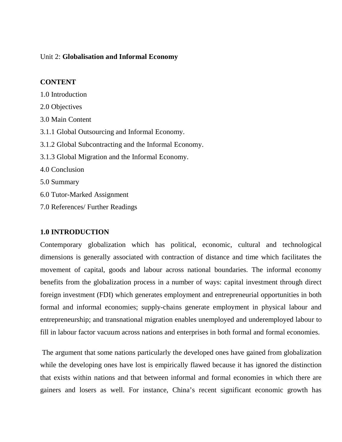#### Unit 2: **Globalisation and Informal Economy**

#### **CONTENT**

1.0 Introduction

2.0 Objectives 3.0 Main Content 3.1.1 Global Outsourcing and Informal Economy. 3.1.2 Global Subcontracting and the Informal Economy. 3.1.3 Global Migration and the Informal Economy. 4.0 Conclusion 5.0 Summary 6.0 Tutor-Marked Assignment

7.0 References/ Further Readings

## **1.0 INTRODUCTION**

Contemporary globalization which has political, economic, cultural and technological dimensions is generally associated with contraction of distance and time which facilitates the movement of capital, goods and labour across national boundaries. The informal economy benefits from the globalization process in a number of ways: capital investment through direct foreign investment (FDI) which generates employment and entrepreneurial opportunities in both formal and informal economies; supply-chains generate employment in physical labour and entrepreneurship; and transnational migration enables unemployed and underemployed labour to fill in labour factor vacuum across nations and enterprises in both formal and formal economies.

 The argument that some nations particularly the developed ones have gained from globalization while the developing ones have lost is empirically flawed because it has ignored the distinction that exists within nations and that between informal and formal economies in which there are gainers and losers as well. For instance, China's recent significant economic growth has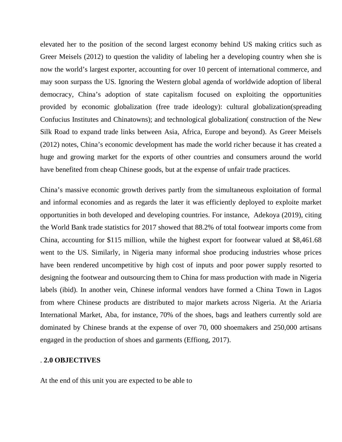elevated her to the position of the second largest economy behind US making critics such as Greer Meisels (2012) to question the validity of labeling her a developing country when she is now the world's largest exporter, accounting for over 10 percent of international commerce, and may soon surpass the US. Ignoring the Western global agenda of worldwide adoption of liberal democracy, China's adoption of state capitalism focused on exploiting the opportunities provided by economic globalization (free trade ideology): cultural globalization(spreading Confucius Institutes and Chinatowns); and technological globalization( construction of the New Silk Road to expand trade links between Asia, Africa, Europe and beyond). As Greer Meisels (2012) notes, China's economic development has made the world richer because it has created a huge and growing market for the exports of other countries and consumers around the world have benefited from cheap Chinese goods, but at the expense of unfair trade practices.

China's massive economic growth derives partly from the simultaneous exploitation of formal and informal economies and as regards the later it was efficiently deployed to exploite market opportunities in both developed and developing countries. For instance, Adekoya (2019), citing the World Bank trade statistics for 2017 showed that 88.2% of total footwear imports come from China, accounting for \$115 million, while the highest export for footwear valued at \$8,461.68 went to the US. Similarly, in Nigeria many informal shoe producing industries whose prices have been rendered uncompetitive by high cost of inputs and poor power supply resorted to designing the footwear and outsourcing them to China for mass production with made in Nigeria labels (ibid). In another vein, Chinese informal vendors have formed a China Town in Lagos from where Chinese products are distributed to major markets across Nigeria. At the Ariaria International Market, Aba, for instance, 70% of the shoes, bags and leathers currently sold are dominated by Chinese brands at the expense of over 70, 000 shoemakers and 250,000 artisans engaged in the production of shoes and garments (Effiong, 2017).

#### . **2.0 OBJECTIVES**

At the end of this unit you are expected to be able to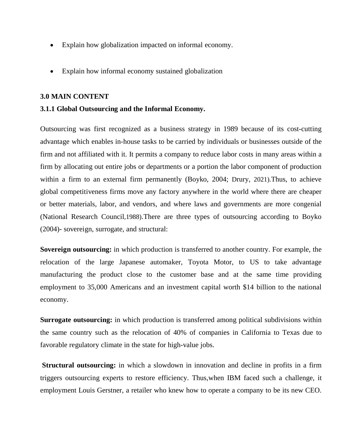- Explain how globalization impacted on informal economy.
- Explain how informal economy sustained globalization

#### **3.0 MAIN CONTENT**

## **3.1.1 Global Outsourcing and the Informal Economy.**

Outsourcing was first recognized as a business strategy in 1989 because of its cost-cutting advantage which enables in-house tasks to be carried by individuals or businesses outside of the firm and not affiliated with it. It permits a company to reduce labor costs in many areas within a firm by allocating out entire jobs or departments or a portion the labor component of production within a firm to an external firm permanently (Boyko, 2004; Drury, 2021).Thus, to achieve global competitiveness firms move any factory anywhere in the world where there are cheaper or better materials, labor, and vendors, and where laws and governments are more congenial (National Research Council,1988).There are three types of outsourcing according to Boyko (2004)- sovereign, surrogate, and structural:

**Sovereign outsourcing:** in which production is transferred to another country. For example, the relocation of the large Japanese automaker, Toyota Motor, to US to take advantage manufacturing the product close to the customer base and at the same time providing employment to 35,000 Americans and an investment capital worth \$14 billion to the national economy.

**Surrogate outsourcing:** in which production is transferred among political subdivisions within the same country such as the relocation of 40% of companies in California to Texas due to favorable regulatory climate in the state for high-value jobs.

**Structural outsourcing:** in which a slowdown in innovation and decline in profits in a firm triggers outsourcing experts to restore efficiency. Thus,when IBM faced such a challenge, it employment Louis Gerstner, a retailer who knew how to operate a company to be its new CEO.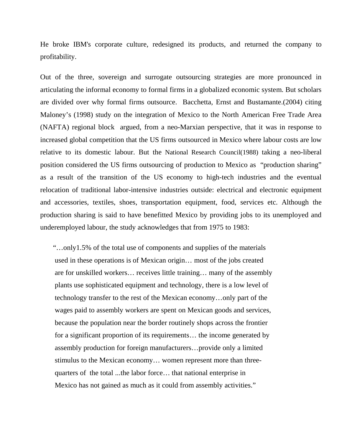He broke IBM's corporate culture, redesigned its products, and returned the company to profitability.

Out of the three, sovereign and surrogate outsourcing strategies are more pronounced in articulating the informal economy to formal firms in a globalized economic system. But scholars are divided over why formal firms outsource. Bacchetta, Ernst and Bustamante.(2004) citing Maloney's (1998) study on the integration of Mexico to the North American Free Trade Area (NAFTA) regional block argued, from a neo-Marxian perspective, that it was in response to increased global competition that the US firms outsourced in Mexico where labour costs are low relative to its domestic labour. But the National Research Council(1988) taking a neo-liberal position considered the US firms outsourcing of production to Mexico as "production sharing" as a result of the transition of the US economy to high-tech industries and the eventual relocation of traditional labor-intensive industries outside: electrical and electronic equipment and accessories, textiles, shoes, transportation equipment, food, services etc. Although the production sharing is said to have benefitted Mexico by providing jobs to its unemployed and underemployed labour, the study acknowledges that from 1975 to 1983:

 "…only1.5% of the total use of components and supplies of the materials used in these operations is of Mexican origin… most of the jobs created are for unskilled workers… receives little training… many of the assembly plants use sophisticated equipment and technology, there is a low level of technology transfer to the rest of the Mexican economy…only part of the wages paid to assembly workers are spent on Mexican goods and services, because the population near the border routinely shops across the frontier for a significant proportion of its requirements… the income generated by assembly production for foreign manufacturers…provide only a limited stimulus to the Mexican economy… women represent more than three quarters of the total ...the labor force… that national enterprise in Mexico has not gained as much as it could from assembly activities."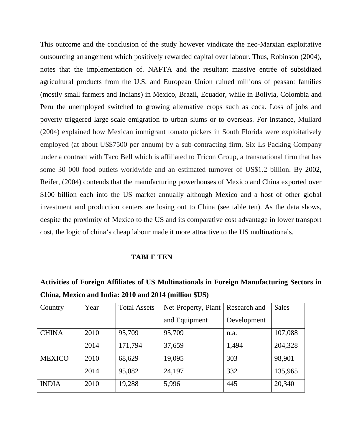This outcome and the conclusion of the study however vindicate the neo-Marxian exploitative outsourcing arrangement which positively rewarded capital over labour. Thus, Robinson (2004), notes that the implementation of. NAFTA and the resultant massive entrée of subsidized agricultural products from the U.S. and European Union ruined millions of peasant families (mostly small farmers and Indians) in Mexico, Brazil, Ecuador, while in Bolivia, Colombia and Peru the unemployed switched to growing alternative crops such as coca. Loss of jobs and poverty triggered large-scale emigration to urban slums or to overseas. For instance, Mullard (2004) explained how Mexican immigrant tomato pickers in South Florida were exploitatively employed (at about US\$7500 per annum) by a sub-contracting firm, Six Ls Packing Company under a contract with Taco Bell which is affiliated to Tricon Group, a transnational firm that has some 30 000 food outlets worldwide and an estimated turnover of US\$1.2 billion. By 2002, Reifer, (2004) contends that the manufacturing powerhouses of Mexico and China exported over \$100 billion each into the US market annually although Mexico and a host of other global investment and production centers are losing out to China (see table ten). As the data shows, despite the proximity of Mexico to the US and its comparative cost advantage in lower transport cost, the logic of china's cheap labour made it more attractive to the US multinationals.

#### **TABLE TEN**

| Activities of Foreign Affiliates of US Multinationals in Foreign Manufacturing Sectors in |
|-------------------------------------------------------------------------------------------|
| China, Mexico and India: 2010 and 2014 (million \$US)                                     |

| Country       | Year | <b>Total Assets</b> | Net Property, Plant | Research and | <b>Sales</b> |
|---------------|------|---------------------|---------------------|--------------|--------------|
|               |      |                     | and Equipment       | Development  |              |
| <b>CHINA</b>  | 2010 | 95,709              | 95,709              | n.a.         | 107,088      |
|               | 2014 | 171,794             | 37,659              | 1,494        | 204,328      |
| <b>MEXICO</b> | 2010 | 68,629              | 19,095              | 303          | 98,901       |
|               | 2014 | 95,082              | 24,197              | 332          | 135,965      |
| <b>INDIA</b>  | 2010 | 19,288              | 5,996               | 445          | 20,340       |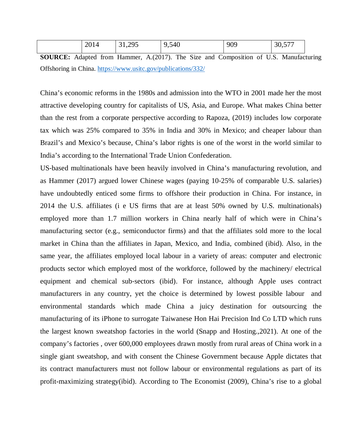|  | $\mathbf{A}$ $\mathbf{A}$<br>2014 | 295<br>J1, LJJ | , 540<br>$\sim$<br>്ധ | 909 | 30,577 |
|--|-----------------------------------|----------------|-----------------------|-----|--------|
|--|-----------------------------------|----------------|-----------------------|-----|--------|

**SOURCE:** Adapted from Hammer, A.(2017). The Size and Composition of U.S. Manufacturing Offshoring in China. https://www.usitc.gov/publications/332/

China's economic reforms in the 1980s and admission into the WTO in 2001 made her the most attractive developing country for capitalists of US, Asia, and Europe. What makes China better than the rest from a corporate perspective according to Rapoza, (2019) includes low corporate tax which was 25% compared to 35% in India and 30% in Mexico; and cheaper labour than Brazil's and Mexico's because, China's labor rights is one of the worst in the world similar to India's according to the International Trade Union Confederation.

US‐based multinationals have been heavily involved in China's manufacturing revolution, and as Hammer (2017) argued lower Chinese wages (paying 10‐25% of comparable U.S. salaries) have undoubtedly enticed some firms to offshore their production in China. For instance, in 2014 the U.S. affiliates (i e US firms that are at least 50% owned by U.S. multinationals) employed more than 1.7 million workers in China nearly half of which were in China's manufacturing sector (e.g., semiconductor firms) and that the affiliates sold more to the local market in China than the affiliates in Japan, Mexico, and India, combined (ibid). Also, in the same year, the affiliates employed local labour in a variety of areas: computer and electronic products sector which employed most of the workforce, followed by the machinery/ electrical equipment and chemical sub‐sectors (ibid). For instance, although Apple uses contract manufacturers in any country, yet the choice is determined by lowest possible labour and environmental standards which made China a juicy destination for outsourcing the manufacturing of its iPhone to surrogate Taiwanese Hon Hai Precision Ind Co LTD which runs the largest known sweatshop factories in the world (Snapp and Hosting.,2021). At one of the company's factories , over 600,000 employees drawn mostly from rural areas of China work in a single giant sweatshop, and with consent the Chinese Government because Apple dictates that its contract manufacturers must not follow labour or environmental regulations as part of its profit-maximizing strategy(ibid). According to The Economist (2009), China's rise to a global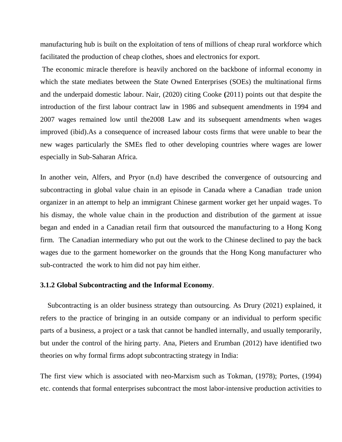manufacturing hub is built on the exploitation of tens of millions of cheap rural workforce which facilitated the production of cheap clothes, shoes and electronics for export.

 The economic miracle therefore is heavily anchored on the backbone of informal economy in which the state mediates between the State Owned Enterprises (SOEs) the multinational firms and the underpaid domestic labour. Nair, (2020) citing Cooke **(**2011) points out that despite the introduction of the first labour contract law in 1986 and subsequent amendments in 1994 and 2007 wages remained low until the2008 Law and its subsequent amendments when wages improved (ibid).As a consequence of increased labour costs firms that were unable to bear the new wages particularly the SMEs fled to other developing countries where wages are lower especially in Sub-Saharan Africa.

In another vein, Alfers, and Pryor (n.d) have described the convergence of outsourcing and subcontracting in global value chain in an episode in Canada where a Canadian trade union organizer in an attempt to help an immigrant Chinese garment worker get her unpaid wages. To his dismay, the whole value chain in the production and distribution of the garment at issue began and ended in a Canadian retail firm that outsourced the manufacturing to a Hong Kong firm. The Canadian intermediary who put out the work to the Chinese declined to pay the back wages due to the garment homeworker on the grounds that the Hong Kong manufacturer who sub-contracted the work to him did not pay him either.

#### **3.1.2 Global Subcontracting and the Informal Economy**.

 Subcontracting is an older business strategy than outsourcing. As Drury (2021) explained, it refers to the practice of bringing in an outside company or an individual to perform specific parts of a business, a project or a task that cannot be handled internally, and usually temporarily, but under the control of the hiring party. Ana, Pieters and Erumban (2012) have identified two theories on why formal firms adopt subcontracting strategy in India:

The first view which is associated with neo-Marxism such as Tokman, (1978); Portes, (1994) etc. contends that formal enterprises subcontract the most labor-intensive production activities to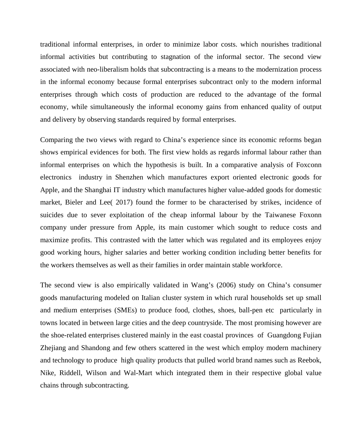traditional informal enterprises, in order to minimize labor costs. which nourishes traditional informal activities but contributing to stagnation of the informal sector. The second view associated with neo-liberalism holds that subcontracting is a means to the modernization process in the informal economy because formal enterprises subcontract only to the modern informal enterprises through which costs of production are reduced to the advantage of the formal economy, while simultaneously the informal economy gains from enhanced quality of output and delivery by observing standards required by formal enterprises.

Comparing the two views with regard to China's experience since its economic reforms began shows empirical evidences for both. The first view holds as regards informal labour rather than informal enterprises on which the hypothesis is built. In a comparative analysis of Foxconn electronics industry in Shenzhen which manufactures export oriented electronic goods for Apple, and the Shanghai IT industry which manufactures higher value-added goods for domestic market, Bieler and Lee( 2017) found the former to be characterised by strikes, incidence of suicides due to sever exploitation of the cheap informal labour by the Taiwanese Foxonn company under pressure from Apple, its main customer which sought to reduce costs and maximize profits. This contrasted with the latter which was regulated and its employees enjoy good working hours, higher salaries and better working condition including better benefits for the workers themselves as well as their families in order maintain stable workforce.

The second view is also empirically validated in Wang's (2006) study on China's consumer goods manufacturing modeled on Italian cluster system in which rural households set up small and medium enterprises (SMEs) to produce food, clothes, shoes, ball-pen etc particularly in towns located in between large cities and the deep countryside. The most promising however are the shoe-related enterprises clustered mainly in the east coastal provinces of Guangdong Fujian Zhejiang and Shandong and few others scattered in the west which employ modern machinery and technology to produce high quality products that pulled world brand names such as Reebok, Nike, Riddell, Wilson and Wal-Mart which integrated them in their respective global value chains through subcontracting.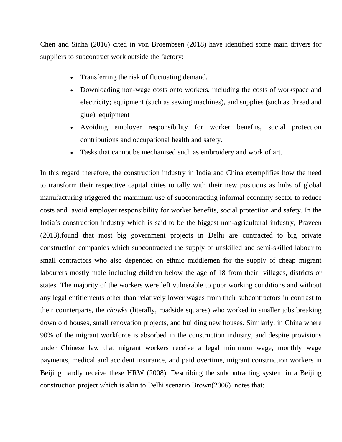Chen and Sinha (2016) cited in von Broembsen (2018) have identified some main drivers for suppliers to subcontract work outside the factory:

- Transferring the risk of fluctuating demand.
- Downloading non-wage costs onto workers, including the costs of workspace and electricity; equipment (such as sewing machines), and supplies (such as thread and glue), equipment
- Avoiding employer responsibility for worker benefits, social protection contributions and occupational health and safety.
- Tasks that cannot be mechanised such as embroidery and work of art.

In this regard therefore, the construction industry in India and China exemplifies how the need to transform their respective capital cities to tally with their new positions as hubs of global manufacturing triggered the maximum use of subcontracting informal econnmy sector to reduce costs and avoid employer responsibility for worker benefits, social protection and safety. In the India's construction industry which is said to be the biggest non-agricultural industry, Praveen (2013),found that most big government projects in Delhi are contracted to big private construction companies which subcontracted the supply of unskilled and semi-skilled labour to small contractors who also depended on ethnic middlemen for the supply of cheap migrant labourers mostly male including children below the age of 18 from their villages, districts or states. The majority of the workers were left vulnerable to poor working conditions and without any legal entitlements other than relatively lower wages from their subcontractors in contrast to their counterparts, the *chowks* (literally, roadside squares) who worked in smaller jobs breaking down old houses, small renovation projects, and building new houses. Similarly, in China where 90% of the migrant workforce is absorbed in the construction industry, and despite provisions under Chinese law that migrant workers receive a legal minimum wage, monthly wage payments, medical and accident insurance, and paid overtime, migrant construction workers in Beijing hardly receive these HRW (2008). Describing the subcontracting system in a Beijing construction project which is akin to Delhi scenario Brown(2006) notes that: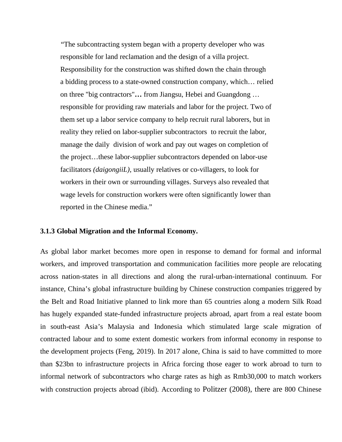"The subcontracting system began with a property developer who was responsible for land reclamation and the design of a villa project. Responsibility for the construction was shifted down the chain through a bidding process to a state-owned construction company, which… relied on three "big contractors"**…** from Jiangsu, Hebei and Guangdong … responsible for providing raw materials and labor for the project. Two of them set up a labor service company to help recruit rural laborers, but in reality they relied on labor-supplier subcontractors to recruit the labor, manage the daily division of work and pay out wages on completion of the project…these labor-supplier subcontractors depended on labor-use facilitators *(daigongiiL),* usually relatives or co-villagers, to look for workers in their own or surrounding villages. Surveys also revealed that wage levels for construction workers were often significantly lower than reported in the Chinese media."

#### **3.1.3 Global Migration and the Informal Economy.**

As global labor market becomes more open in response to demand for formal and informal workers, and improved transportation and communication facilities more people are relocating across nation-states in all directions and along the rural-urban-international continuum. For instance, China's global infrastructure building by Chinese construction companies triggered by the Belt and Road Initiative planned to link more than 65 countries along a modern Silk Road has hugely expanded state-funded infrastructure projects abroad, apart from a real estate boom in south-east Asia's Malaysia and Indonesia which stimulated large scale migration of contracted labour and to some extent domestic workers from informal economy in response to the development projects (Feng, 2019). In 2017 alone, China is said to have committed to more than \$23bn to infrastructure projects in Africa forcing those eager to work abroad to turn to informal network of subcontractors who charge rates as high as Rmb30,000 to match workers with construction projects abroad (ibid). According to Politzer (2008), there are 800 Chinese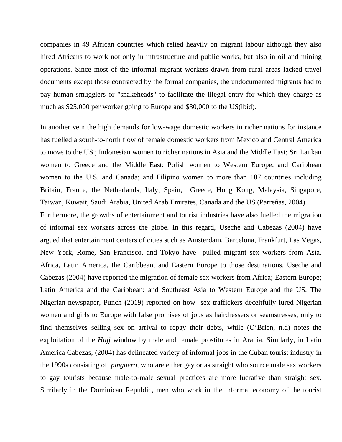companies in 49 African countries which relied heavily on migrant labour although they also hired Africans to work not only in infrastructure and public works, but also in oil and mining operations. Since most of the informal migrant workers drawn from rural areas lacked travel documents except those contracted by the formal companies, the undocumented migrants had to pay human smugglers or "snakeheads" to facilitate the illegal entry for which they charge as much as \$25,000 per worker going to Europe and \$30,000 to the US(ibid).

In another vein the high demands for low-wage domestic workers in richer nations for instance has fuelled a south-to-north flow of female domestic workers from Mexico and Central America to move to the US ; Indonesian women to richer nations in Asia and the Middle East; Sri Lankan women to Greece and the Middle East; Polish women to Western Europe; and Caribbean women to the U.S. and Canada; and Filipino women to more than 187 countries including Britain, France, the Netherlands, Italy, Spain, Greece, Hong Kong, Malaysia, Singapore, Taiwan, Kuwait, Saudi Arabia, United Arab Emirates, Canada and the US (Parreñas, 2004)..

Furthermore, the growths of entertainment and tourist industries have also fuelled the migration of informal sex workers across the globe. In this regard, Useche and Cabezas (2004) have argued that entertainment centers of cities such as Amsterdam, Barcelona, Frankfurt, Las Vegas, New York, Rome, San Francisco, and Tokyo have pulled migrant sex workers from Asia, Africa, Latin America, the Caribbean, and Eastern Europe to those destinations. Useche and Cabezas (2004) have reported the migration of female sex workers from Africa; Eastern Europe; Latin America and the Caribbean; and Southeast Asia to Western Europe and the US. The Nigerian newspaper, Punch **(**2019) reported on how sex traffickers deceitfully lured Nigerian women and girls to Europe with false promises of jobs as hairdressers or seamstresses, only to find themselves selling sex on arrival to repay their debts, while (O'Brien, n.d) notes the exploitation of the *Hajj* window by male and female prostitutes in Arabia. Similarly, in Latin America Cabezas, (2004) has delineated variety of informal jobs in the Cuban tourist industry in the 1990s consisting of *pinguero,* who are either gay or as straight who source male sex workers to gay tourists because male-to-male sexual practices are more lucrative than straight sex. Similarly in the Dominican Republic, men who work in the informal economy of the tourist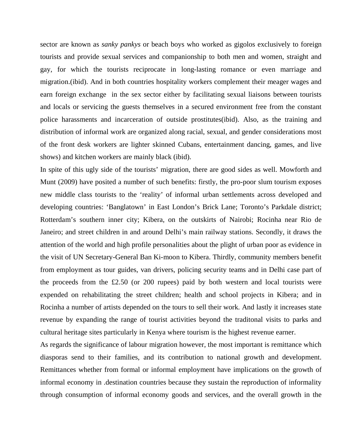sector are known as *sanky pankys* or beach boys who worked as gigolos exclusively to foreign tourists and provide sexual services and companionship to both men and women, straight and gay, for which the tourists reciprocate in long-lasting romance or even marriage and migration.(ibid). And in both countries hospitality workers complement their meager wages and earn foreign exchange in the sex sector either by facilitating sexual liaisons between tourists and locals or servicing the guests themselves in a secured environment free from the constant police harassments and incarceration of outside prostitutes(ibid). Also, as the training and distribution of informal work are organized along racial, sexual, and gender considerations most of the front desk workers are lighter skinned Cubans, entertainment dancing, games, and live shows) and kitchen workers are mainly black (ibid).

In spite of this ugly side of the tourists' migration, there are good sides as well. Mowforth and Munt (2009) have posited a number of such benefits: firstly, the pro-poor slum tourism exposes new middle class tourists to the 'reality' of informal urban settlements across developed and developing countries: 'Banglatown' in East London's Brick Lane; Toronto's Parkdale district; Rotterdam's southern inner city; Kibera, on the outskirts of Nairobi; Rocinha near Rio de Janeiro; and street children in and around Delhi's main railway stations. Secondly, it draws the attention of the world and high profile personalities about the plight of urban poor as evidence in the visit of UN Secretary-General Ban Ki-moon to Kibera. Thirdly, community members benefit from employment as tour guides, van drivers, policing security teams and in Delhi case part of the proceeds from the £2.50 (or 200 rupees) paid by both western and local tourists were expended on rehabilitating the street children; health and school projects in Kibera; and in Rocinha a number of artists depended on the tours to sell their work. And lastly it increases state revenue by expanding the range of tourist activities beyond the traditonal visits to parks and cultural heritage sites particularly in Kenya where tourism is the highest revenue earner.

As regards the significance of labour migration however, the most important is remittance which diasporas send to their families, and its contribution to national growth and development. Remittances whether from formal or informal employment have implications on the growth of informal economy in .destination countries because they sustain the reproduction of informality through consumption of informal economy goods and services, and the overall growth in the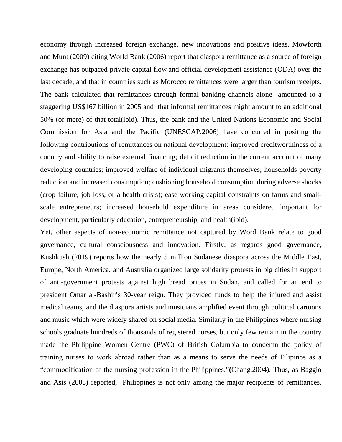economy through increased foreign exchange, new innovations and positive ideas. Mowforth and Munt (2009) citing World Bank (2006) report that diaspora remittance as a source of foreign exchange has outpaced private capital flow and official development assistance (ODA) over the last decade, and that in countries such as Morocco remittances were larger than tourism receipts. The bank calculated that remittances through formal banking channels alone amounted to a staggering US\$167 billion in 2005 and that informal remittances might amount to an additional 50% (or more) of that total(ibid). Thus, the bank and the United Nations Economic and Social Commission for Asia and the Pacific (UNESCAP,2006) have concurred in positing the following contributions of remittances on national development: improved creditworthiness of a country and ability to raise external financing; deficit reduction in the current account of many developing countries; improved welfare of individual migrants themselves; households poverty reduction and increased consumption; cushioning household consumption during adverse shocks (crop failure, job loss, or a health crisis); ease working capital constraints on farms and smallscale entrepreneurs; increased household expenditure in areas considered important for development, particularly education, entrepreneurship, and health(ibid).

Yet, other aspects of non-economic remittance not captured by Word Bank relate to good governance, cultural consciousness and innovation. Firstly, as regards good governance, Kushkush (2019) reports how the nearly 5 million Sudanese diaspora across the Middle East, Europe, North America, and Australia organized large solidarity protests in big cities in support of anti-government protests against high bread prices in Sudan, and called for an end to president Omar al-Bashir's 30-year reign. They provided funds to help the injured and assist medical teams, and the diaspora artists and musicians amplified event through political cartoons and music which were widely shared on social media. Similarly in the Philippines where nursing schools graduate hundreds of thousands of registered nurses, but only few remain in the country made the Philippine Women Centre (PWC) of British Columbia to condemn the policy of training nurses to work abroad rather than as a means to serve the needs of Filipinos as a "commodification of the nursing profession in the Philippines."**(**Chang,2004). Thus, as Baggio and Asis (2008) reported, Philippines is not only among the major recipients of remittances,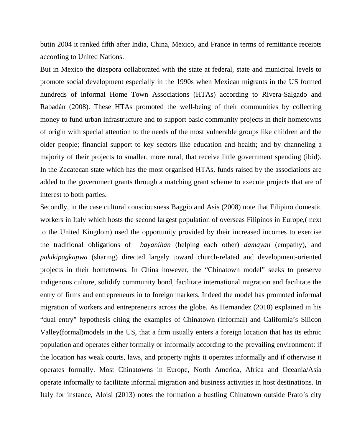butin 2004 it ranked fifth after India, China, Mexico, and France in terms of remittance receipts according to United Nations.

But in Mexico the diaspora collaborated with the state at federal, state and municipal levels to promote social development especially in the 1990s when Mexican migrants in the US formed hundreds of informal Home Town Associations (HTAs) according to Rivera-Salgado and Rabadán (2008). These HTAs promoted the well-being of their communities by collecting money to fund urban infrastructure and to support basic community projects in their hometowns of origin with special attention to the needs of the most vulnerable groups like children and the older people; financial support to key sectors like education and health; and by channeling a majority of their projects to smaller, more rural, that receive little government spending (ibid). In the Zacatecan state which has the most organised HTAs, funds raised by the associations are added to the government grants through a matching grant scheme to execute projects that are of interest to both parties.

Secondly, in the case cultural consciousness Baggio and Asis (2008) note that Filipino domestic workers in Italy which hosts the second largest population of overseas Filipinos in Europe,( next to the United Kingdom) used the opportunity provided by their increased incomes to exercise the traditional obligations of *bayanihan* (helping each other) *damayan* (empathy), and *pakikipagkapwa* (sharing) directed largely toward church-related and development-oriented projects in their hometowns. In China however, the "Chinatown model" seeks to preserve indigenous culture, solidify community bond, facilitate international migration and facilitate the entry of firms and entrepreneurs in to foreign markets. Indeed the model has promoted informal migration of workers and entrepreneurs across the globe. As Hernandez (2018) explained in his "dual entry" hypothesis citing the examples of Chinatown (informal) and California's Silicon Valley(formal)models in the US, that a firm usually enters a foreign location that has its ethnic population and operates either formally or informally according to the prevailing environment: if the location has weak courts, laws, and property rights it operates informally and if otherwise it operates formally. Most Chinatowns in Europe, North America, Africa and Oceania/Asia operate informally to facilitate informal migration and business activities in host destinations. In Italy for instance, Aloisi (2013) notes the formation a bustling Chinatown outside Prato's city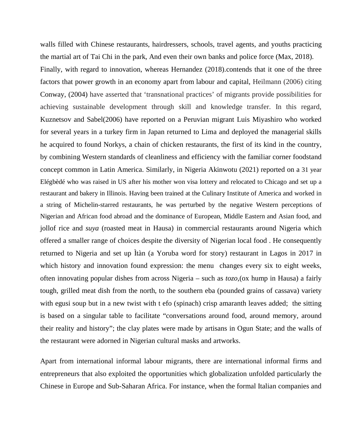walls filled with Chinese restaurants, hairdressers, schools, travel agents, and youths practicing the martial art of Tai Chi in the park, And even their own banks and police force (Max, 2018). Finally, with regard to innovation, whereas Hernandez (2018).contends that it one of the three factors that power growth in an economy apart from labour and capital, Heilmann (2006) citing Conway, (2004) have asserted that 'transnational practices' of migrants provide possibilities for achieving sustainable development through skill and knowledge transfer. In this regard, Kuznetsov and Sabel(2006) have reported on a Peruvian migrant Luis Miyashiro who worked for several years in a turkey firm in Japan returned to Lima and deployed the managerial skills he acquired to found Norkys, a chain of chicken restaurants, the first of its kind in the country, by combining Western standards of cleanliness and efficiency with the familiar corner foodstand concept common in Latin America. Similarly, in Nigeria Akinwotu (2021) reported on a 31 year Elégbèdé who was raised in US after his mother won visa lottery and relocated to Chicago and set up a restaurant and bakery in Illinois. Having been trained at the Culinary Institute of America and worked in a string of Michelin-starred restaurants, he was perturbed by the negative Western perceptions of Nigerian and African food abroad and the dominance of European, Middle Eastern and Asian food, and jollof rice and *suya* (roasted meat in Hausa) in commercial restaurants around Nigeria which offered a smaller range of choices despite the diversity of Nigerian local food . He consequently returned to Nigeria and set up Ìtàn (a Yoruba word for story) restaurant in Lagos in 2017 in which history and innovation found expression: the menu changes every six to eight weeks, often innovating popular dishes from across Nigeria – such as *tozo,*(ox hump in Hausa) a fairly tough, grilled meat dish from the north, to the southern eba (pounded grains of cassava) variety with egusi soup but in a new twist with t efo (spinach) crisp amaranth leaves added; the sitting is based on a singular table to facilitate "conversations around food, around memory, around their reality and history"; the clay plates were made by artisans in Ogun State; and the walls of the restaurant were adorned in Nigerian cultural masks and artworks.

Apart from international informal labour migrants, there are international informal firms and entrepreneurs that also exploited the opportunities which globalization unfolded particularly the Chinese in Europe and Sub-Saharan Africa. For instance, when the formal Italian companies and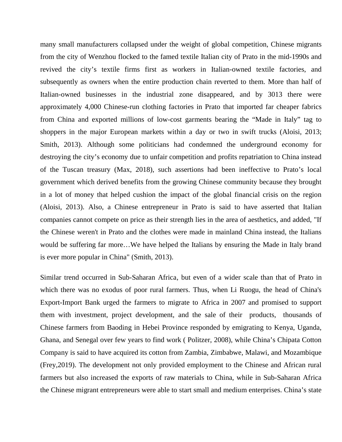many small manufacturers collapsed under the weight of global competition, Chinese migrants from the city of Wenzhou flocked to the famed textile Italian city of Prato in the mid-1990s and revived the city's textile firms first as workers in Italian-owned textile factories, and subsequently as owners when the entire production chain reverted to them. More than half of Italian-owned businesses in the industrial zone disappeared, and by 3013 there were approximately 4,000 Chinese-run clothing factories in Prato that imported far cheaper fabrics from China and exported millions of low-cost garments bearing the "Made in Italy" tag to shoppers in the major European markets within a day or two in swift trucks (Aloisi, 2013; Smith, 2013). Although some politicians had condemned the underground economy for destroying the city's economy due to unfair competition and profits repatriation to China instead of the Tuscan treasury (Max, 2018), such assertions had been ineffective to Prato's local government which derived benefits from the growing Chinese community because they brought in a lot of money that helped cushion the impact of the global financial crisis on the region (Aloisi, 2013). Also, a Chinese entrepreneur in Prato is said to have asserted that Italian companies cannot compete on price as their strength lies in the area of aesthetics, and added, "If the Chinese weren't in Prato and the clothes were made in mainland China instead, the Italians would be suffering far more…We have helped the Italians by ensuring the Made in Italy brand is ever more popular in China" (Smith, 2013).

Similar trend occurred in Sub-Saharan Africa, but even of a wider scale than that of Prato in which there was no exodus of poor rural farmers. Thus, when Li Ruogu, the head of China's Export-Import Bank urged the farmers to migrate to Africa in 2007 and promised to support them with investment, project development, and the sale of their products, thousands of Chinese farmers from Baoding in Hebei Province responded by emigrating to Kenya, Uganda, Ghana, and Senegal over few years to find work ( Politzer, 2008), while China's Chipata Cotton Company is said to have acquired its cotton from Zambia, Zimbabwe, Malawi, and Mozambique (Frey,2019). The development not only provided employment to the Chinese and African rural farmers but also increased the exports of raw materials to China, while in Sub-Saharan Africa the Chinese migrant entrepreneurs were able to start small and medium enterprises. China's state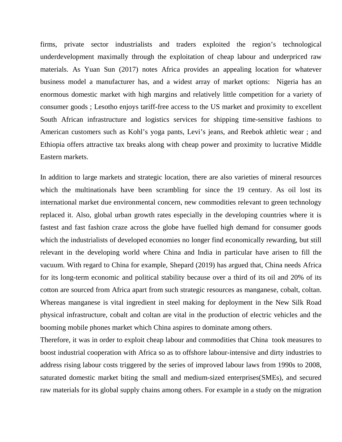firms, private sector industrialists and traders exploited the region's technological underdevelopment maximally through the exploitation of cheap labour and underpriced raw materials. As Yuan Sun (2017) notes Africa provides an appealing location for whatever business model a manufacturer has, and a widest array of market options: Nigeria has an enormous domestic market with high margins and relatively little competition for a variety of consumer goods ; Lesotho enjoys tariff-free access to the US market and proximity to excellent South African infrastructure and logistics services for shipping time-sensitive fashions to American customers such as Kohl's yoga pants, Levi's jeans, and Reebok athletic wear ; and Ethiopia offers attractive tax breaks along with cheap power and proximity to lucrative Middle Eastern markets.

In addition to large markets and strategic location, there are also varieties of mineral resources which the multinationals have been scrambling for since the 19 century. As oil lost its international market due environmental concern, new commodities relevant to green technology replaced it. Also, global urban growth rates especially in the developing countries where it is fastest and fast fashion craze across the globe have fuelled high demand for consumer goods which the industrialists of developed economies no longer find economically rewarding, but still relevant in the developing world where China and India in particular have arisen to fill the vacuum. With regard to China for example, Shepard (2019) has argued that, China needs Africa for its long-term economic and political stability because over a third of its oil and 20% of its cotton are sourced from Africa apart from such strategic resources as manganese, cobalt, coltan. Whereas manganese is vital ingredient in steel making for deployment in the New Silk Road physical infrastructure, cobalt and coltan are vital in the production of electric vehicles and the booming mobile phones market which China aspires to dominate among others.

Therefore, it was in order to exploit cheap labour and commodities that China took measures to boost industrial cooperation with Africa so as to offshore labour-intensive and dirty industries to address rising labour costs triggered by the series of improved labour laws from 1990s to 2008, saturated domestic market biting the small and medium-sized enterprises(SMEs), and secured raw materials for its global supply chains among others. For example in a study on the migration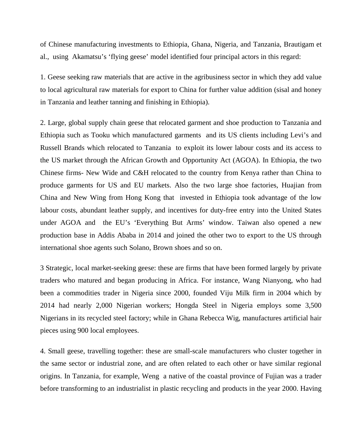of Chinese manufacturing investments to Ethiopia, Ghana, Nigeria, and Tanzania, Brautigam et al., using Akamatsu's 'flying geese' model identified four principal actors in this regard:

1. Geese seeking raw materials that are active in the agribusiness sector in which they add value to local agricultural raw materials for export to China for further value addition (sisal and honey in Tanzania and leather tanning and finishing in Ethiopia).

2. Large, global supply chain geese that relocated garment and shoe production to Tanzania and Ethiopia such as Tooku which manufactured garments and its US clients including Levi's and Russell Brands which relocated to Tanzania to exploit its lower labour costs and its access to the US market through the African Growth and Opportunity Act (AGOA). In Ethiopia, the two Chinese firms- New Wide and C&H relocated to the country from Kenya rather than China to produce garments for US and EU markets. Also the two large shoe factories, Huajian from China and New Wing from Hong Kong that invested in Ethiopia took advantage of the low labour costs, abundant leather supply, and incentives for duty-free entry into the United States under AGOA and the EU's 'Everything But Arms' window. Taiwan also opened a new production base in Addis Ababa in 2014 and joined the other two to export to the US through international shoe agents such Solano, Brown shoes and so on.

3 Strategic, local market-seeking geese: these are firms that have been formed largely by private traders who matured and began producing in Africa. For instance, Wang Nianyong, who had been a commodities trader in Nigeria since 2000, founded Viju Milk firm in 2004 which by 2014 had nearly 2,000 Nigerian workers; Hongda Steel in Nigeria employs some 3,500 Nigerians in its recycled steel factory; while in Ghana Rebecca Wig, manufactures artificial hair pieces using 900 local employees.

4. Small geese, travelling together: these are small-scale manufacturers who cluster together in the same sector or industrial zone, and are often related to each other or have similar regional origins. In Tanzania, for example, Weng a native of the coastal province of Fujian was a trader before transforming to an industrialist in plastic recycling and products in the year 2000. Having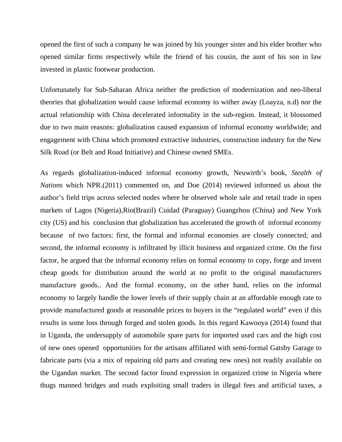opened the first of such a company he was joined by his younger sister and his elder brother who opened similar firms respectively while the friend of his cousin, the aunt of his son in law invested in plastic footwear production.

Unfortunately for Sub-Saharan Africa neither the prediction of modernization and neo-liberal theories that globalization would cause informal economy to wither away (Loayza, n.d) nor the actual relationship with China decelerated informality in the sub-region. Instead, it blossomed due to two main reasons: globalization caused expansion of informal economy worldwide; and engagement with China which promoted extractive industries, construction industry for the New Silk Road (or Belt and Road Initiative) and Chinese owned SMEs.

As regards globalization-induced informal economy growth, Neuwirth's book, *Stealth of Nations* which NPR.(2011) commented on, and Doe (2014) reviewed informed us about the author's field trips across selected nodes where he observed whole sale and retail trade in open markets of Lagos (Nigeria),Rio(Brazil) Cuidad (Paraguay) Guangzhou (China) and New York city (US) and his conclusion that globalization has accelerated the growth of informal economy because of two factors: first, the formal and informal economies are closely connected; and second, the informal economy is infiltrated by illicit business and organized crime. On the first factor, he argued that the informal economy relies on formal economy to copy, forge and invent cheap goods for distribution around the world at no profit to the original manufacturers manufacture goods.. And the formal economy, on the other hand, relies on the informal economy to largely handle the lower levels of their supply chain at an affordable enough rate to provide manufactured goods at reasonable prices to buyers in the "regulated world" even if this results in some loss through forged and stolen goods. In this regard Kawooya (2014) found that in Uganda, the undersupply of automobile spare parts for imported used cars and the high cost of new ones opened opportunities for the artisans affiliated with semi-formal Gatsby Garage to fabricate parts (via a mix of repairing old parts and creating new ones) not readily available on the Ugandan market. The second factor found expression in organized crime in Nigeria where thugs manned bridges and roads exploiting small traders in illegal fees and artificial taxes, a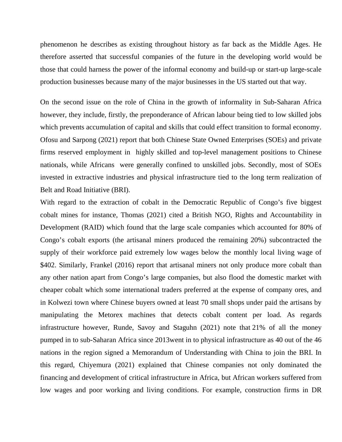phenomenon he describes as existing throughout history as far back as the Middle Ages. He therefore asserted that successful companies of the future in the developing world would be those that could harness the power of the informal economy and build-up or start-up large-scale production businesses because many of the major businesses in the US started out that way.

On the second issue on the role of China in the growth of informality in Sub-Saharan Africa however, they include, firstly, the preponderance of African labour being tied to low skilled jobs which prevents accumulation of capital and skills that could effect transition to formal economy. Ofosu and Sarpong (2021) report that both Chinese State Owned Enterprises (SOEs) and private firms reserved employment in highly skilled and top-level management positions to Chinese nationals, while Africans were generally confined to unskilled jobs. Secondly, most of SOEs invested in extractive industries and physical infrastructure tied to the long term realization of Belt and Road Initiative (BRI).

With regard to the extraction of cobalt in the Democratic Republic of Congo's five biggest cobalt mines for instance, Thomas (2021) cited a British NGO, Rights and Accountability in Development (RAID) which found that the large scale companies which accounted for 80% of Congo's cobalt exports (the artisanal miners produced the remaining 20%) subcontracted the supply of their workforce paid extremely low wages below the monthly local living wage of \$402. Similarly, Frankel (2016) report that artisanal miners not only produce more cobalt than any other nation apart from Congo's large companies, but also flood the domestic market with cheaper cobalt which some international traders preferred at the expense of company ores, and in Kolwezi town where Chinese buyers owned at least 70 small shops under paid the artisans by manipulating the Metorex machines that detects cobalt content per load. As regards infrastructure however, Runde, Savoy and Staguhn (2021) note that 21% of all the money pumped in to sub-Saharan Africa since 2013went in to physical infrastructure as 40 out of the 46 nations in the region signed a Memorandum of Understanding with China to join the BRI. In this regard, Chiyemura (2021) explained that Chinese companies not only dominated the financing and development of critical infrastructure in Africa, but African workers suffered from low wages and poor working and living conditions. For example, construction firms in DR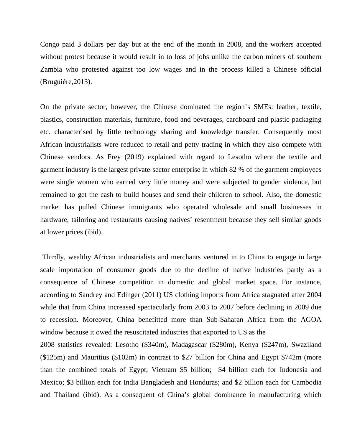Congo paid 3 dollars per day but at the end of the month in 2008, and the workers accepted without protest because it would result in to loss of jobs unlike the carbon miners of southern Zambia who protested against too low wages and in the process killed a Chinese official (Bruguière,2013).

On the private sector, however, the Chinese dominated the region's SMEs: leather, textile, plastics, construction materials, furniture, food and beverages, cardboard and plastic packaging etc. characterised by little technology sharing and knowledge transfer. Consequently most African industrialists were reduced to retail and petty trading in which they also compete with Chinese vendors. As Frey (2019) explained with regard to Lesotho where the textile and garment industry is the largest private-sector enterprise in which 82 % of the garment employees were single women who earned very little money and were subjected to gender violence, but remained to get the cash to build houses and send their children to school. Also, the domestic market has pulled Chinese immigrants who operated wholesale and small businesses in hardware, tailoring and restaurants causing natives' resentment because they sell similar goods at lower prices (ibid).

 Thirdly, wealthy African industrialists and merchants ventured in to China to engage in large scale importation of consumer goods due to the decline of native industries partly as a consequence of Chinese competition in domestic and global market space. For instance, according to Sandrey and Edinger (2011) US clothing imports from Africa stagnated after 2004 while that from China increased spectacularly from 2003 to 2007 before declining in 2009 due to recession. Moreover, China benefitted more than Sub-Saharan Africa from the AGOA window because it owed the resuscitated industries that exported to US as the

2008 statistics revealed: Lesotho (\$340m), Madagascar (\$280m), Kenya (\$247m), Swaziland (\$125m) and Mauritius (\$102m) in contrast to \$27 billion for China and Egypt \$742m (more than the combined totals of Egypt; Vietnam \$5 billion; \$4 billion each for Indonesia and Mexico; \$3 billion each for India Bangladesh and Honduras; and \$2 billion each for Cambodia and Thailand (ibid). As a consequent of China's global dominance in manufacturing which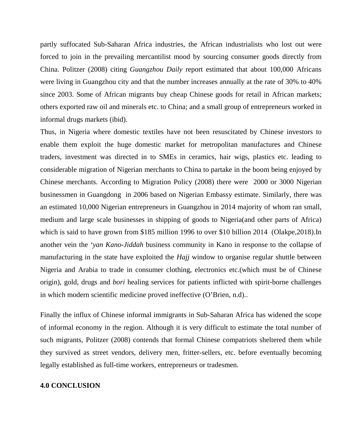partly suffocated Sub-Saharan Africa industries, the African industrialists who lost out were forced to join in the prevailing mercantilist mood by sourcing consumer goods directly from China. Politzer (2008) citing *Guangzhou Daily* report estimated that about 100,000 Africans were living in Guangzhou city and that the number increases annually at the rate of 30% to 40% since 2003. Some of African migrants buy cheap Chinese goods for retail in African markets; others exported raw oil and minerals etc. to China; and a small group of entrepreneurs worked in informal drugs markets (ibid).

Thus, in Nigeria where domestic textiles have not been resuscitated by Chinese investors to enable them exploit the huge domestic market for metropolitan manufactures and Chinese traders, investment was directed in to SMEs in ceramics, hair wigs, plastics etc. leading to considerable migration of Nigerian merchants to China to partake in the boom being enjoyed by Chinese merchants. According to Migration Policy (2008) there were 2000 or 3000 Nigerian businessmen in Guangdong in 2006 based on Nigerian Embassy estimate. Similarly, there was an estimated 10,000 Nigerian entrepreneurs in Guangzhou in 2014 majority of whom ran small, medium and large scale businesses in shipping of goods to Nigeria(and other parts of Africa) which is said to have grown from \$185 million 1996 to over \$10 billion 2014 (Olakpe, 2018). In another vein the *'yan Kano-Jiddah* business community in Kano in response to the collapse of manufacturing in the state have exploited the *Hajj* window to organise regular shuttle between Nigeria and Arabia to trade in consumer clothing, electronics etc.(which must be of Chinese origin), gold, drugs and *bori* healing services for patients inflicted with spirit-borne challenges in which modern scientific medicine proved ineffective (O'Brien, n.d)..

Finally the influx of Chinese informal immigrants in Sub-Saharan Africa has widened the scope of informal economy in the region. Although it is very difficult to estimate the total number of such migrants, Politzer (2008) contends that formal Chinese compatriots sheltered them while they survived as street vendors, delivery men, fritter-sellers, etc. before eventually becoming legally established as full-time workers, entrepreneurs or tradesmen.

#### **4.0 CONCLUSION**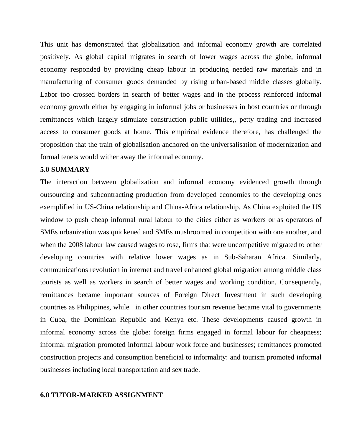This unit has demonstrated that globalization and informal economy growth are correlated positively. As global capital migrates in search of lower wages across the globe, informal economy responded by providing cheap labour in producing needed raw materials and in manufacturing of consumer goods demanded by rising urban-based middle classes globally. Labor too crossed borders in search of better wages and in the process reinforced informal economy growth either by engaging in informal jobs or businesses in host countries or through remittances which largely stimulate construction public utilities,, petty trading and increased access to consumer goods at home. This empirical evidence therefore, has challenged the proposition that the train of globalisation anchored on the universalisation of modernization and formal tenets would wither away the informal economy.

#### **5.0 SUMMARY**

The interaction between globalization and informal economy evidenced growth through outsourcing and subcontracting production from developed economies to the developing ones exemplified in US-China relationship and China-Africa relationship. As China exploited the US window to push cheap informal rural labour to the cities either as workers or as operators of SMEs urbanization was quickened and SMEs mushroomed in competition with one another, and when the 2008 labour law caused wages to rose, firms that were uncompetitive migrated to other developing countries with relative lower wages as in Sub-Saharan Africa. Similarly, communications revolution in internet and travel enhanced global migration among middle class tourists as well as workers in search of better wages and working condition. Consequently, remittances became important sources of Foreign Direct Investment in such developing countries as Philippines, while in other countries tourism revenue became vital to governments in Cuba, the Dominican Republic and Kenya etc. These developments caused growth in informal economy across the globe: foreign firms engaged in formal labour for cheapness; informal migration promoted informal labour work force and businesses; remittances promoted construction projects and consumption beneficial to informality: and tourism promoted informal businesses including local transportation and sex trade.

#### **6.0 TUTOR-MARKED ASSIGNMENT**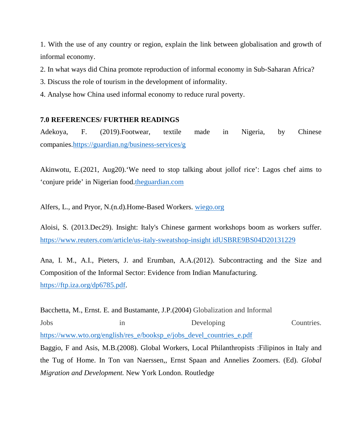1. With the use of any country or region, explain the link between globalisation and growth of informal economy.

2. In what ways did China promote reproduction of informal economy in Sub-Saharan Africa?

3. Discuss the role of tourism in the development of informality.

4. Analyse how China used informal economy to reduce rural poverty.

## **7.0 REFERENCES/ FURTHER READINGS**

Adekoya, F. (2019).Footwear, textile made in Nigeria, by Chinese companies.https://guardian.ng/business-services/g

Akinwotu, E.(2021, Aug20).'We need to stop talking about jollof rice': Lagos chef aims to 'conjure pride' in Nigerian food.theguardian.com

Alfers, L., and Pryor, N.(n.d).Home-Based Workers. wiego.org

Aloisi, S. (2013.Dec29). Insight: Italy's Chinese garment workshops boom as workers suffer. https://www.reuters.com/article/us-italy-sweatshop-insight idUSBRE9BS04D20131229

Ana, I. M., A.I., Pieters, J. and Erumban, A.A.(2012). Subcontracting and the Size and Composition of the Informal Sector: Evidence from Indian Manufacturing. https://ftp.iza.org/dp6785.pdf.

Bacchetta, M., Ernst. E. and Bustamante, J.P.(2004) Globalization and Informal Jobs in Developing Countries. https://www.wto.org/english/res\_e/booksp\_e/jobs\_devel\_countries\_e.pdf Baggio, F and Asis, M.B.(2008). Global Workers, Local Philanthropists :Filipinos in Italy and the Tug of Home. In Ton van Naerssen,, Ernst Spaan and Annelies Zoomers. (Ed). *Global* 

*Migration and Development.* New York London. Routledge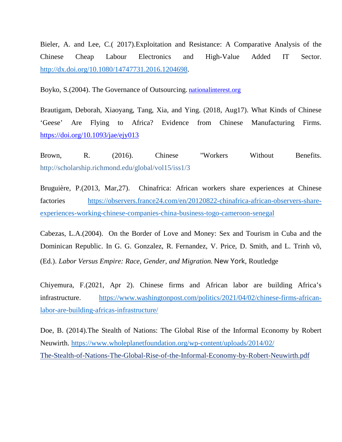Bieler, A. and Lee, C.( 2017).Exploitation and Resistance: A Comparative Analysis of the Chinese Cheap Labour Electronics and High-Value Added IT Sector. http://dx.doi.org/10.1080/14747731.2016.1204698.

Boyko, S.(2004). The Governance of Outsourcing. nationalinterest.org

Brautigam, Deborah, Xiaoyang, Tang, Xia, and Ying. (2018, Aug17). What Kinds of Chinese 'Geese' Are Flying to Africa? Evidence from Chinese Manufacturing Firms. https://doi.org/10.1093/jae/ejy013

Brown, R. (2016). Chinese "Workers Without Benefits. http://scholarship.richmond.edu/global/vol15/iss1/3

Bruguière, P.(2013, Mar,27). Chinafrica: African workers share experiences at Chinese factories https://observers.france24.com/en/20120822-chinafrica-african-observers-shareexperiences-working-chinese-companies-china-business-togo-cameroon-senegal

Cabezas, L.A.(2004). On the Border of Love and Money: Sex and Tourism in Cuba and the Dominican Republic. In G. G. Gonzalez, R. Fernandez, V. Price, D. Smith, and L. Trinh võ, (Ed.). *Labor Versus Empire: Race, Gender, and Migration.* New York, Routledge

Chiyemura, F.(2021, Apr 2). Chinese firms and African labor are building Africa's infrastructure. https://www.washingtonpost.com/politics/2021/04/02/chinese-firms-africanlabor-are-building-africas-infrastructure/

Doe, B. (2014).The Stealth of Nations: The Global Rise of the Informal Economy by Robert Neuwirth. https://www.wholeplanetfoundation.org/wp-content/uploads/2014/02/ The-Stealth-of-Nations-The-Global-Rise-of-the-Informal-Economy-by-Robert-Neuwirth.pdf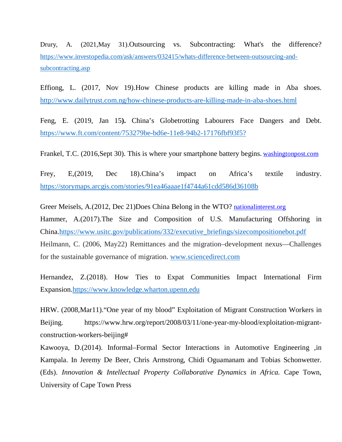Drury, A. (2021,May 31).Outsourcing vs. Subcontracting: What's the difference? https://www.investopedia.com/ask/answers/032415/whats-difference-between-outsourcing-andsubcontracting.asp

Effiong, L. (2017, Nov 19).How Chinese products are killing made in Aba shoes. http://www.dailytrust.com.ng/how-chinese-products-are-killing-made-in-aba-shoes.html

Feng, E. (2019, Jan 15**).** China's Globetrotting Labourers Face Dangers and Debt. https://www.ft.com/content/753279be-bd6e-11e8-94b2-17176fbf93f5?

Frankel, T.C. (2016,Sept 30). This is where your smartphone battery begins. washingtonpost.com

Frey, E,(2019, Dec 18).China's impact on Africa's textile industry. https://storymaps.arcgis.com/stories/91ea46aaae1f4744a61cdd586d36108b

Greer Meisels, A.(2012, Dec 21)Does China Belong in the WTO? nationalinterest.org Hammer, A.(2017).The Size and Composition of U.S. Manufacturing Offshoring in China.https://www.usitc.gov/publications/332/executive\_briefings/sizecompositionebot.pdf Heilmann, C. (2006, May22) Remittances and the migration–development nexus—Challenges for the sustainable governance of migration. www.sciencedirect.com

Hernandez, Z.(2018). How Ties to Expat Communities Impact International Firm Expansion.https://www.knowledge.wharton.upenn.edu

HRW. (2008,Mar11)."One year of my blood" Exploitation of Migrant Construction Workers in Beijing. https://www.hrw.org/report/2008/03/11/one-year-my-blood/exploitation-migrantconstruction-workers-beijing#

Kawooya, D.(2014). Informal–Formal Sector Interactions in Automotive Engineering ,in Kampala. In Jeremy De Beer, Chris Armstrong, Chidi Oguamanam and Tobias Schonwetter. (Eds). *Innovation & Intellectual Property Collaborative Dynamics in Africa.* Cape Town, University of Cape Town Press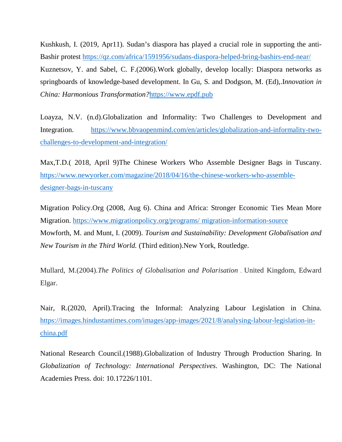Kushkush, I. (2019, Apr11). Sudan's diaspora has played a crucial role in supporting the anti-Bashir protest https://qz.com/africa/1591956/sudans-diaspora-helped-bring-bashirs-end-near/ Kuznetsov, Y. and Sabel, C. F.(2006).Work globally, develop locally: Diaspora networks as springboards of knowledge-based development. In Gu, S. and Dodgson, M. (Ed),.I*nnovation in China: Harmonious Transformation?*https://www.epdf.pub

Loayza, N.V. (n.d).Globalization and Informality: Two Challenges to Development and Integration. https://www.bbvaopenmind.com/en/articles/globalization-and-informality-twochallenges-to-development-and-integration/

Max,T.D.( 2018, April 9)The Chinese Workers Who Assemble Designer Bags in Tuscany. https://www.newyorker.com/magazine/2018/04/16/the-chinese-workers-who-assembledesigner-bags-in-tuscany

Migration Policy.Org (2008, Aug 6). China and Africa: Stronger Economic Ties Mean More Migration. https://www.migrationpolicy.org/programs/ migration-information-source Mowforth, M. and Munt, I. (2009). *Tourism and Sustainability: Development Globalisation and New Tourism in the Third World.* (Third edition).New York, Routledge.

Mullard, M.(2004).*The Politics of Globalisation and Polarisation* . United Kingdom, Edward Elgar.

Nair, R.(2020, April).Tracing the Informal: Analyzing Labour Legislation in China. https://images.hindustantimes.com/images/app-images/2021/8/analysing-labour-legislation-inchina.pdf

National Research Council.(1988).Globalization of Industry Through Production Sharing. In *Globalization of Technology: International Perspectives*. Washington, DC: The National Academies Press. doi: 10.17226/1101.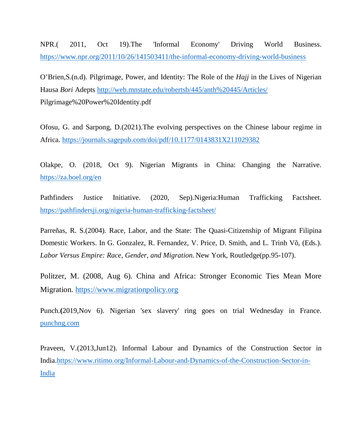NPR.( 2011, Oct 19).The 'Informal Economy' Driving World Business. https://www.npr.org/2011/10/26/141503411/the-informal-economy-driving-world-business

O'Brien,S.(n.d). Pilgrimage, Power, and Identity: The Role of the *Hajj* in the Lives of Nigerian Hausa *Bori* Adepts http://web.mnstate.edu/robertsb/445/anth%20445/Articles/ Pilgrimage%20Power%20Identity.pdf

Ofosu, G. and Sarpong, D.(2021).The evolving perspectives on the Chinese labour regime in Africa. https://journals.sagepub.com/doi/pdf/10.1177/0143831X211029382

Olakpe, O. (2018, Oct 9). Nigerian Migrants in China: Changing the Narrative. https://za.boel.org/en

Pathfinders Justice Initiative. (2020, Sep).Nigeria:Human Trafficking Factsheet. https://pathfindersji.org/nigeria-human-trafficking-factsheet/

Parreñas, R. S.(2004). Race, Labor, and the State: The Quasi-Citizenship of Migrant Filipina Domestic Workers. In G. Gonzalez, R. Fernandez, V. Price, D. Smith, and L. Trinh Võ, (Eds.). *Labor Versus Empire: Race, Gender, and Migration.* New York, Routledge(pp.95-107).

Politzer, M. (2008, Aug 6). China and Africa: Stronger Economic Ties Mean More Migration. https://www.migrationpolicy.org

Punch.**(**2019,Nov 6). Nigerian 'sex slavery' ring goes on trial Wednesday in France. punchng.com

Praveen, V.(2013,Jun12). Informal Labour and Dynamics of the Construction Sector in India.https://www.ritimo.org/Informal-Labour-and-Dynamics-of-the-Construction-Sector-in-India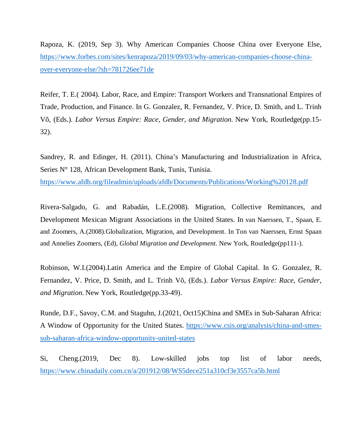Rapoza, K. (2019, Sep 3). Why American Companies Choose China over Everyone Else, https://www.forbes.com/sites/kenrapoza/2019/09/03/why-american-companies-choose-chinaover-everyone-else/?sh=781726ee71de

Reifer, T. E.( 2004). Labor, Race, and Empire: Transport Workers and Transnational Empires of Trade, Production, and Finance. In G. Gonzalez, R. Fernandez, V. Price, D. Smith, and L. Trinh Võ, (Eds.). *Labor Versus Empire: Race, Gender, and Migration.* New York, Routledge(pp.15- 32).

Sandrey, R. and Edinger, H. (2011). China's Manufacturing and Industrialization in Africa, Series N° 128, African Development Bank, Tunis, Tunisia.

https://www.afdb.org/fileadmin/uploads/afdb/Documents/Publications/Working%20128.pdf

Rivera-Salgado, G. and Rabadán, L.E.(2008). Migration, Collective Remittances, and Development Mexican Migrant Associations in the United States. In van Naerssen, T., Spaan, E. and Zoomers, A.(2008).Globalization, Migration, and Development. In Ton van Naerssen, Ernst Spaan and Annelies Zoomers, (Ed), *Global Migration and Development.* New York, Routledge(pp111-).

Robinson, W.I.(2004).Latin America and the Empire of Global Capital. In G. Gonzalez, R. Fernandez, V. Price, D. Smith, and L. Trinh Võ, (Eds.). *Labor Versus Empire: Race, Gender, and Migration.* New York, Routledge(pp.33-49).

Runde, D.F., Savoy, C.M. and Staguhn, J.(2021, Oct15)China and SMEs in Sub-Saharan Africa: A Window of Opportunity for the United States. https://www.csis.org/analysis/china-and-smessub-saharan-africa-window-opportunity-united-states

Si, Cheng.(2019, Dec 8). Low-skilled jobs top list of labor needs, https://www.chinadaily.com.cn/a/201912/08/WS5dece251a310cf3e3557ca5b.html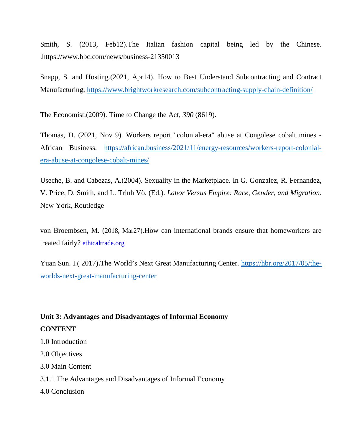Smith, S. (2013, Feb12).The Italian fashion capital being led by the Chinese. .https://www.bbc.com/news/business-21350013

Snapp, S. and Hosting.(2021, Apr14). How to Best Understand Subcontracting and Contract Manufacturing, https://www.brightworkresearch.com/subcontracting-supply-chain-definition/

The Economist.(2009). Time to Change the Act, *390* (8619).

Thomas, D. (2021, Nov 9). Workers report "colonial-era" abuse at Congolese cobalt mines - African Business. https://african.business/2021/11/energy-resources/workers-report-colonialera-abuse-at-congolese-cobalt-mines/

Useche, B. and Cabezas, A.(2004). Sexuality in the Marketplace. In G. Gonzalez, R. Fernandez, V. Price, D. Smith, and L. Trinh Võ, (Ed.). *Labor Versus Empire: Race, Gender, and Migration.* New York, Routledge

von Broembsen, M. (2018, Mar27).How can international brands ensure that homeworkers are treated fairly? ethicaltrade.org

Yuan Sun. I.( 2017)**.**The World's Next Great Manufacturing Center. https://hbr.org/2017/05/theworlds-next-great-manufacturing-center

# **Unit 3: Advantages and Disadvantages of Informal Economy CONTENT**

1.0 Introduction

2.0 Objectives

3.0 Main Content

3.1.1 The Advantages and Disadvantages of Informal Economy

4.0 Conclusion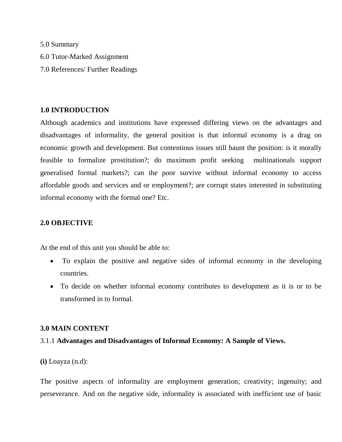5.0 Summary 6.0 Tutor-Marked Assignment 7.0 References/ Further Readings

## **1.0 INTRODUCTION**

Although academics and institutions have expressed differing views on the advantages and disadvantages of informality, the general position is that informal economy is a drag on economic growth and development. But contentious issues still haunt the position: is it morally feasible to formalize prostitution?; do maximum profit seeking multinationals support generalised formal markets?; can the poor survive without informal economy to access affordable goods and services and or employment?; are corrupt states interested in substituting informal economy with the formal one? Etc.

## **2.0 OBJECTIVE**

At the end of this unit you should be able to:

- To explain the positive and negative sides of informal economy in the developing countries.
- To decide on whether informal economy contributes to development as it is or to be transformed in to formal.

## **3.0 MAIN CONTENT**

## 3.1.1 **Advantages and Disadvantages of Informal Economy: A Sample of Views.**

**(i)** Loayza (n.d):

The positive aspects of informality are employment generation; creativity; ingenuity; and perseverance. And on the negative side, informality is associated with inefficient use of basic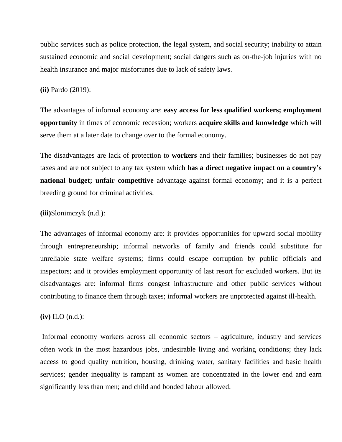public services such as police protection, the legal system, and social security; inability to attain sustained economic and social development; social dangers such as on-the-job injuries with no health insurance and major misfortunes due to lack of safety laws.

**(ii)** Pardo (2019):

The advantages of informal economy are: **easy access for less qualified workers; employment opportunity** in times of economic recession; workers **acquire skills and knowledge** which will serve them at a later date to change over to the formal economy.

The disadvantages are lack of protection to **workers** and their families; businesses do not pay taxes and are not subject to any tax system which **has a direct negative impact on a country's national budget; unfair competitive** advantage against formal economy; and it is a perfect breeding ground for criminal activities.

#### **(iii)**Slonimczyk (n.d.):

The advantages of informal economy are: it provides opportunities for upward social mobility through entrepreneurship; informal networks of family and friends could substitute for unreliable state welfare systems; firms could escape corruption by public officials and inspectors; and it provides employment opportunity of last resort for excluded workers. But its disadvantages are: informal firms congest infrastructure and other public services without contributing to finance them through taxes; informal workers are unprotected against ill-health.

**(iv)** ILO (n.d.):

 Informal economy workers across all economic sectors – agriculture, industry and services often work in the most hazardous jobs, undesirable living and working conditions; they lack access to good quality nutrition, housing, drinking water, sanitary facilities and basic health services; gender inequality is rampant as women are concentrated in the lower end and earn significantly less than men; and child and bonded labour allowed.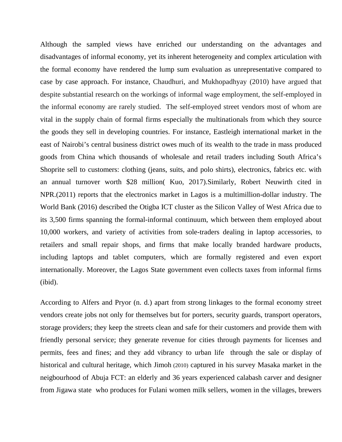Although the sampled views have enriched our understanding on the advantages and disadvantages of informal economy, yet its inherent heterogeneity and complex articulation with the formal economy have rendered the lump sum evaluation as unrepresentative compared to case by case approach. For instance, Chaudhuri, and Mukhopadhyay (2010) have argued that despite substantial research on the workings of informal wage employment, the self-employed in the informal economy are rarely studied. The self-employed street vendors most of whom are vital in the supply chain of formal firms especially the multinationals from which they source the goods they sell in developing countries. For instance, Eastleigh international market in the east of Nairobi's central business district owes much of its wealth to the trade in mass produced goods from China which thousands of wholesale and retail traders including South Africa's Shoprite sell to customers: clothing (jeans, suits, and polo shirts), electronics, fabrics etc. with an annual turnover worth \$28 million( Kuo, 2017).Similarly, Robert Neuwirth cited in NPR.(2011) reports that the electronics market in Lagos is a multimillion-dollar industry. The World Bank (2016) described the Otigba ICT cluster as the Silicon Valley of West Africa due to its 3,500 firms spanning the formal-informal continuum, which between them employed about 10,000 workers, and variety of activities from sole-traders dealing in laptop accessories, to retailers and small repair shops, and firms that make locally branded hardware products, including laptops and tablet computers, which are formally registered and even export internationally. Moreover, the Lagos State government even collects taxes from informal firms (ibid).

According to Alfers and Pryor (n. d.) apart from strong linkages to the formal economy street vendors create jobs not only for themselves but for porters, security guards, transport operators, storage providers; they keep the streets clean and safe for their customers and provide them with friendly personal service; they generate revenue for cities through payments for licenses and permits, fees and fines; and they add vibrancy to urban life through the sale or display of historical and cultural heritage, which Jimoh (2010) captured in his survey Masaka market in the neigbourhood of Abuja FCT: an elderly and 36 years experienced calabash carver and designer from Jigawa state who produces for Fulani women milk sellers, women in the villages, brewers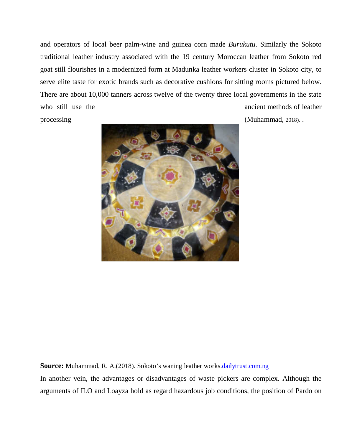and operators of local beer palm-wine and guinea corn made *Burukutu*. Similarly the Sokoto traditional leather industry associated with the 19 century Moroccan leather from Sokoto red goat still flourishes in a modernized form at Madunka leather workers cluster in Sokoto city, to serve elite taste for exotic brands such as decorative cushions for sitting rooms pictured below. There are about 10,000 tanners across twelve of the twenty three local governments in the state who still use the ancient methods of leather processing (Muhammad, 2018).



**Source:** Muhammad, R. A.(2018). Sokoto's waning leather works.dailytrust.com.ng

In another vein, the advantages or disadvantages of waste pickers are complex. Although the arguments of ILO and Loayza hold as regard hazardous job conditions, the position of Pardo on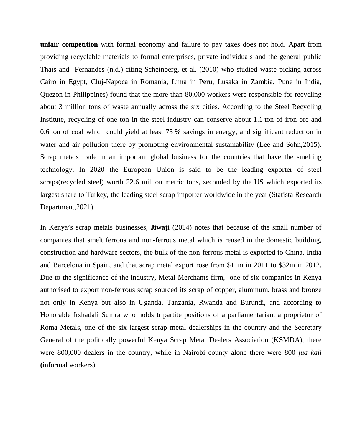**unfair competition** with formal economy and failure to pay taxes does not hold. Apart from providing recyclable materials to formal enterprises, private individuals and the general public Thaís and Fernandes (n.d.) citing Scheinberg, et al. (2010) who studied waste picking across Cairo in Egypt, Cluj-Napoca in Romania, Lima in Peru, Lusaka in Zambia, Pune in India, Quezon in Philippines) found that the more than 80,000 workers were responsible for recycling about 3 million tons of waste annually across the six cities. According to the Steel Recycling Institute, recycling of one ton in the steel industry can conserve about 1.1 ton of iron ore and 0.6 ton of coal which could yield at least 75 % savings in energy, and significant reduction in water and air pollution there by promoting environmental sustainability (Lee and Sohn, 2015). Scrap metals trade in an important global business for the countries that have the smelting technology. In 2020 the European Union is said to be the leading exporter of steel scraps(recycled steel) worth 22.6 million metric tons, seconded by the US which exported its largest share to Turkey, the leading steel scrap importer worldwide in the year (Statista Research Department,2021).

In Kenya's scrap metals businesses, **Jiwaji** (2014) notes that because of the small number of companies that smelt ferrous and non-ferrous metal which is reused in the domestic building, construction and hardware sectors, the bulk of the non-ferrous metal is exported to China, India and Barcelona in Spain, and that scrap metal export rose from \$11m in 2011 to \$32m in 2012. Due to the significance of the industry, Metal Merchants firm, one of six companies in Kenya authorised to export non-ferrous scrap sourced its scrap of copper, aluminum, brass and bronze not only in Kenya but also in Uganda, Tanzania, Rwanda and Burundi, and according to Honorable Irshadali Sumra who holds tripartite positions of a parliamentarian, a proprietor of Roma Metals, one of the six largest scrap metal dealerships in the country and the Secretary General of the politically powerful Kenya Scrap Metal Dealers Association (KSMDA), there were 800,000 dealers in the country, while in Nairobi county alone there were 800 *jua kali* **(**informal workers).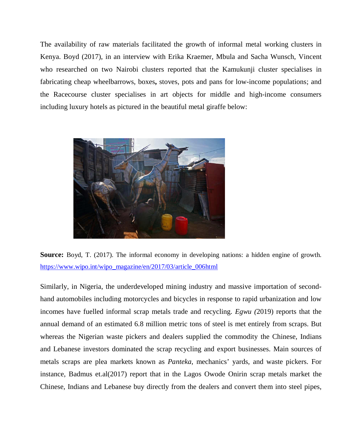The availability of raw materials facilitated the growth of informal metal working clusters in Kenya. Boyd (2017), in an interview with Erika Kraemer, Mbula and Sacha Wunsch, Vincent who researched on two Nairobi clusters reported that the Kamukunji cluster specialises in fabricating cheap wheelbarrows, boxes**,** stoves, pots and pans for low-income populations; and the Racecourse cluster specialises in art objects for middle and high-income consumers including luxury hotels as pictured in the beautiful metal giraffe below:





Similarly, in Nigeria, the underdeveloped mining industry and massive importation of secondhand automobiles including motorcycles and bicycles in response to rapid urbanization and low incomes have fuelled informal scrap metals trade and recycling. *Egwu (*2019) reports that the annual demand of an estimated 6.8 million metric tons of steel is met entirely from scraps. But whereas the Nigerian waste pickers and dealers supplied the commodity the Chinese, Indians and Lebanese investors dominated the scrap recycling and export businesses. Main sources of metals scraps are plea markets known as *Panteka*, mechanics' yards, and waste pickers. For instance, Badmus et.al(2017) report that in the Lagos Owode Onirin scrap metals market the Chinese, Indians and Lebanese buy directly from the dealers and convert them into steel pipes,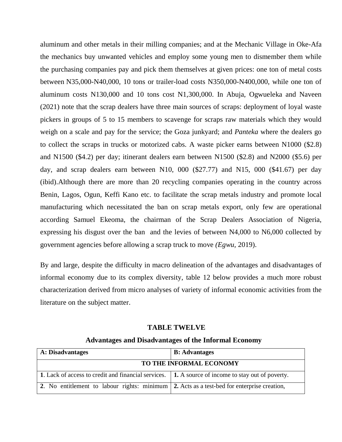aluminum and other metals in their milling companies; and at the Mechanic Village in Oke-Afa the mechanics buy unwanted vehicles and employ some young men to dismember them while the purchasing companies pay and pick them themselves at given prices: one ton of metal costs between N35,000-N40,000, 10 tons or trailer-load costs N350,000-N400,000, while one ton of aluminum costs N130,000 and 10 tons cost N1,300,000. In Abuja, Ogwueleka and Naveen (2021) note that the scrap dealers have three main sources of scraps: deployment of loyal waste pickers in groups of 5 to 15 members to scavenge for scraps raw materials which they would weigh on a scale and pay for the service; the Goza junkyard; and *Panteka* where the dealers go to collect the scraps in trucks or motorized cabs. A waste picker earns between N1000 (\$2.8) and N1500 (\$4.2) per day; itinerant dealers earn between N1500 (\$2.8) and N2000 (\$5.6) per day, and scrap dealers earn between N10, 000 (\$27.77) and N15, 000 (\$41.67) per day (ibid).Although there are more than 20 recycling companies operating in the country across Benin, Lagos, Ogun, Keffi Kano etc. to facilitate the scrap metals industry and promote local manufacturing which necessitated the ban on scrap metals export, only few are operational according Samuel Ekeoma, the chairman of the Scrap Dealers Association of Nigeria, expressing his disgust over the ban and the levies of between N4,000 to N6,000 collected by government agencies before allowing a scrap truck to move *(Egwu,* 2019).

By and large, despite the difficulty in macro delineation of the advantages and disadvantages of informal economy due to its complex diversity, table 12 below provides a much more robust characterization derived from micro analyses of variety of informal economic activities from the literature on the subject matter.

#### **TABLE TWELVE**

#### **Advantages and Disadvantages of the Informal Economy**

| <b>A</b> : Disadvantages                                                                          | <b>B:</b> Advantages |  |
|---------------------------------------------------------------------------------------------------|----------------------|--|
| TO THE INFORMAL ECONOMY                                                                           |                      |  |
| 1. Lack of access to credit and financial services. 1. A source of income to stay out of poverty. |                      |  |
| 2. No entitlement to labour rights: minimum 2. Acts as a test-bed for enterprise creation,        |                      |  |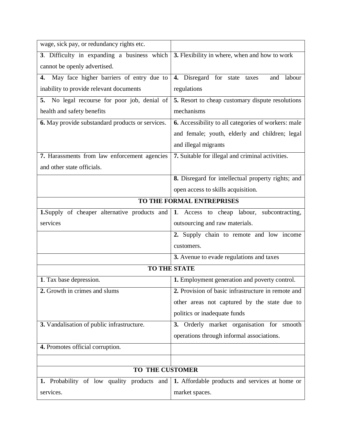| wage, sick pay, or redundancy rights etc.        |                                                     |  |  |
|--------------------------------------------------|-----------------------------------------------------|--|--|
| 3. Difficulty in expanding a business which      | 3. Flexibility in where, when and how to work       |  |  |
| cannot be openly advertised.                     |                                                     |  |  |
| May face higher barriers of entry due to<br>4.   | 4. Disregard for state taxes<br>labour<br>and       |  |  |
| inability to provide relevant documents          | regulations                                         |  |  |
| 5. No legal recourse for poor job, denial of     | 5. Resort to cheap customary dispute resolutions    |  |  |
| health and safety benefits                       | mechanisms                                          |  |  |
| 6. May provide substandard products or services. | 6. Accessibility to all categories of workers: male |  |  |
|                                                  | and female; youth, elderly and children; legal      |  |  |
|                                                  | and illegal migrants                                |  |  |
| 7. Harassments from law enforcement agencies     | 7. Suitable for illegal and criminal activities.    |  |  |
| and other state officials.                       |                                                     |  |  |
|                                                  | 8. Disregard for intellectual property rights; and  |  |  |
|                                                  | open access to skills acquisition.                  |  |  |
| TO THE FORMAL ENTREPRISES                        |                                                     |  |  |
| 1.Supply of cheaper alternative products and     | 1. Access to cheap labour, subcontracting,          |  |  |
| services                                         | outsourcing and raw materials.                      |  |  |
|                                                  | 2. Supply chain to remote and low income            |  |  |
|                                                  | customers.                                          |  |  |
|                                                  | 3. Avenue to evade regulations and taxes            |  |  |
| <b>TO THE STATE</b>                              |                                                     |  |  |
| 1. Tax base depression.                          | 1. Employment generation and poverty control.       |  |  |
| 2. Growth in crimes and slums                    | 2. Provision of basic infrastructure in remote and  |  |  |
|                                                  | other areas not captured by the state due to        |  |  |
|                                                  | politics or inadequate funds                        |  |  |
| 3. Vandalisation of public infrastructure.       | 3. Orderly market organisation for smooth           |  |  |
|                                                  | operations through informal associations.           |  |  |
| 4. Promotes official corruption.                 |                                                     |  |  |
|                                                  |                                                     |  |  |
| TO THE CUSTOMER                                  |                                                     |  |  |
| 1. Probability of low quality products and       | 1. Affordable products and services at home or      |  |  |
| services.                                        | market spaces.                                      |  |  |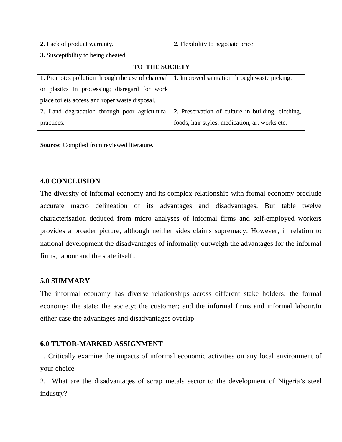| 2. Lack of product warranty.                                                                           | 2. Flexibility to negotiate price                 |  |
|--------------------------------------------------------------------------------------------------------|---------------------------------------------------|--|
| 3. Susceptibility to being cheated.                                                                    |                                                   |  |
| <b>TO THE SOCIETY</b>                                                                                  |                                                   |  |
| <b>1.</b> Promotes pollution through the use of charcoal 1. Improved sanitation through waste picking. |                                                   |  |
| or plastics in processing; disregard for work                                                          |                                                   |  |
| place toilets access and roper waste disposal.                                                         |                                                   |  |
| 2. Land degradation through poor agricultural                                                          | 2. Preservation of culture in building, clothing, |  |
| practices.                                                                                             | foods, hair styles, medication, art works etc.    |  |

**Source:** Compiled from reviewed literature.

## **4.0 CONCLUSION**

The diversity of informal economy and its complex relationship with formal economy preclude accurate macro delineation of its advantages and disadvantages. But table twelve characterisation deduced from micro analyses of informal firms and self-employed workers provides a broader picture, although neither sides claims supremacy. However, in relation to national development the disadvantages of informality outweigh the advantages for the informal firms, labour and the state itself..

## **5.0 SUMMARY**

The informal economy has diverse relationships across different stake holders: the formal economy; the state; the society; the customer; and the informal firms and informal labour.In either case the advantages and disadvantages overlap

## **6.0 TUTOR-MARKED ASSIGNMENT**

1. Critically examine the impacts of informal economic activities on any local environment of your choice

2. What are the disadvantages of scrap metals sector to the development of Nigeria's steel industry?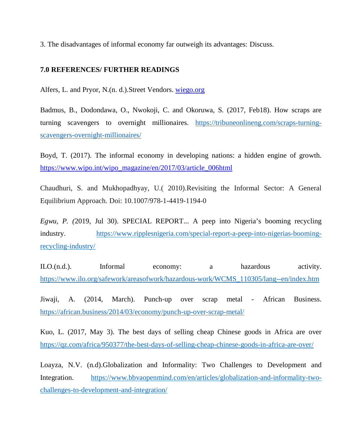3. The disadvantages of informal economy far outweigh its advantages: Discuss.

## **7.0 REFERENCES/ FURTHER READINGS**

Alfers, L. and Pryor, N.(n. d.).Street Vendors. wiego.org

Badmus, B., Dodondawa, O., Nwokoji, C. and Okoruwa, S. (2017, Feb18). How scraps are turning scavengers to overnight millionaires. https://tribuneonlineng.com/scraps-turningscavengers-overnight-millionaires/

Boyd, T. (2017). The informal economy in developing nations: a hidden engine of growth. https://www.wipo.int/wipo\_magazine/en/2017/03/article\_006html

Chaudhuri, S. and Mukhopadhyay, U.( 2010).Revisiting the Informal Sector: A General Equilibrium Approach. Doi: 10.1007/978-1-4419-1194-0

*Egwu, P. (*2019, Jul 30). SPECIAL REPORT... A peep into Nigeria's booming recycling industry. https://www.ripplesnigeria.com/special-report-a-peep-into-nigerias-boomingrecycling-industry/

ILO.(n.d.). Informal economy: a hazardous activity. https://www.ilo.org/safework/areasofwork/hazardous-work/WCMS\_110305/lang--en/index.htm

Jiwaji, A. (2014, March). Punch-up over scrap metal - African Business. https://african.business/2014/03/economy/punch-up-over-scrap-metal/

Kuo, L. (2017, May 3). The best days of selling cheap Chinese goods in Africa are over https://qz.com/africa/950377/the-best-days-of-selling-cheap-chinese-goods-in-africa-are-over/

Loayza, N.V. (n.d).Globalization and Informality: Two Challenges to Development and Integration. https://www.bbvaopenmind.com/en/articles/globalization-and-informality-twochallenges-to-development-and-integration/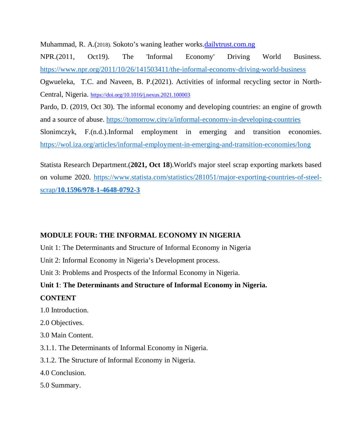Muhammad, R. A.(2018). Sokoto's waning leather works.dailytrust.com.ng

NPR.(2011, Oct19). The 'Informal Economy' Driving World Business. https://www.npr.org/2011/10/26/141503411/the-informal-economy-driving-world-business Ogwueleka, T.C. and Naveen, B. P.(2021). Activities of informal recycling sector in North-Central, Nigeria. https://doi.org/10.1016/j.nexus.2021.100003

Pardo, D. (2019, Oct 30). The informal economy and developing countries: an engine of growth and a source of abuse. https://tomorrow.city/a/informal-economy-in-developing-countries Slonimczyk, F.(n.d.).Informal employment in emerging and transition economies.

https://wol.iza.org/articles/informal-employment-in-emerging-and-transition-economies/long

Statista Research Department.(**2021, Oct 18**).World's major steel scrap exporting markets based on volume 2020. https://www.statista.com/statistics/281051/major-exporting-countries-of-steelscrap/**10.1596/978-1-4648-0792-3**

## **MODULE FOUR: THE INFORMAL ECONOMY IN NIGERIA**

Unit 1: The Determinants and Structure of Informal Economy in Nigeria

Unit 2: Informal Economy in Nigeria's Development process.

Unit 3: Problems and Prospects of the Informal Economy in Nigeria.

**Unit 1**: **The Determinants and Structure of Informal Economy in Nigeria.** 

## **CONTENT**

- 1.0 Introduction.
- 2.0 Objectives.
- 3.0 Main Content.
- 3.1.1. The Determinants of Informal Economy in Nigeria.
- 3.1.2. The Structure of Informal Economy in Nigeria.
- 4.0 Conclusion.
- 5.0 Summary.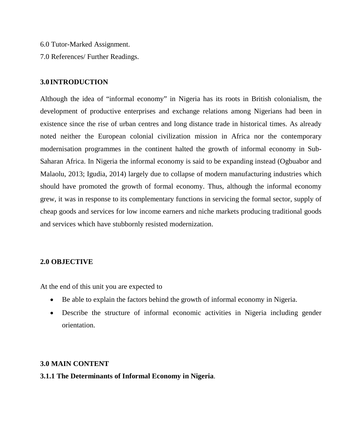- 6.0 Tutor-Marked Assignment.
- 7.0 References/ Further Readings.

#### **3.0 INTRODUCTION**

Although the idea of "informal economy" in Nigeria has its roots in British colonialism, the development of productive enterprises and exchange relations among Nigerians had been in existence since the rise of urban centres and long distance trade in historical times. As already noted neither the European colonial civilization mission in Africa nor the contemporary modernisation programmes in the continent halted the growth of informal economy in Sub-Saharan Africa. In Nigeria the informal economy is said to be expanding instead (Ogbuabor and Malaolu, 2013; Igudia, 2014) largely due to collapse of modern manufacturing industries which should have promoted the growth of formal economy. Thus, although the informal economy grew, it was in response to its complementary functions in servicing the formal sector, supply of cheap goods and services for low income earners and niche markets producing traditional goods and services which have stubbornly resisted modernization.

## **2.0 OBJECTIVE**

At the end of this unit you are expected to

- Be able to explain the factors behind the growth of informal economy in Nigeria.
- Describe the structure of informal economic activities in Nigeria including gender orientation.

#### **3.0 MAIN CONTENT**

#### **3.1.1 The Determinants of Informal Economy in Nigeria**.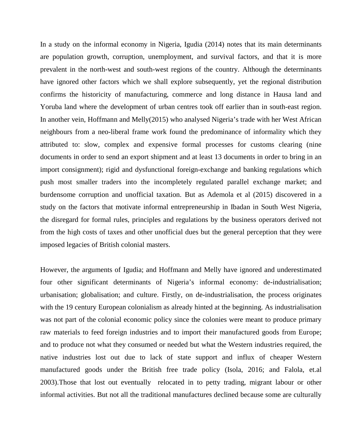In a study on the informal economy in Nigeria, Igudia (2014) notes that its main determinants are population growth, corruption, unemployment, and survival factors, and that it is more prevalent in the north-west and south-west regions of the country. Although the determinants have ignored other factors which we shall explore subsequently, yet the regional distribution confirms the historicity of manufacturing, commerce and long distance in Hausa land and Yoruba land where the development of urban centres took off earlier than in south-east region. In another vein, Hoffmann and Melly(2015) who analysed Nigeria's trade with her West African neighbours from a neo-liberal frame work found the predominance of informality which they attributed to: slow, complex and expensive formal processes for customs clearing (nine documents in order to send an export shipment and at least 13 documents in order to bring in an import consignment); rigid and dysfunctional foreign-exchange and banking regulations which push most smaller traders into the incompletely regulated parallel exchange market; and burdensome corruption and unofficial taxation. But as Ademola et al (2015) discovered in a study on the factors that motivate informal entrepreneurship in Ibadan in South West Nigeria, the disregard for formal rules, principles and regulations by the business operators derived not from the high costs of taxes and other unofficial dues but the general perception that they were imposed legacies of British colonial masters.

However, the arguments of Igudia; and Hoffmann and Melly have ignored and underestimated four other significant determinants of Nigeria's informal economy: de-industrialisation; urbanisation; globalisation; and culture. Firstly, on de-industrialisation, the process originates with the 19 century European colonialism as already hinted at the beginning. As industrialisation was not part of the colonial economic policy since the colonies were meant to produce primary raw materials to feed foreign industries and to import their manufactured goods from Europe; and to produce not what they consumed or needed but what the Western industries required, the native industries lost out due to lack of state support and influx of cheaper Western manufactured goods under the British free trade policy (Isola, 2016; and Falola, et.al 2003).Those that lost out eventually relocated in to petty trading, migrant labour or other informal activities. But not all the traditional manufactures declined because some are culturally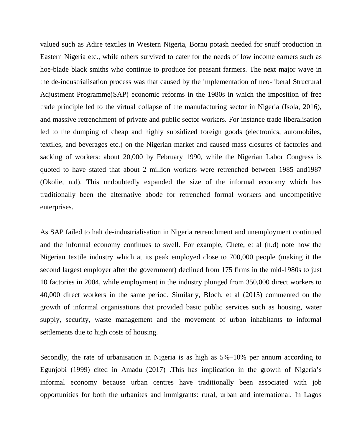valued such as Adire textiles in Western Nigeria, Bornu potash needed for snuff production in Eastern Nigeria etc., while others survived to cater for the needs of low income earners such as hoe-blade black smiths who continue to produce for peasant farmers. The next major wave in the de-industrialisation process was that caused by the implementation of neo-liberal Structural Adjustment Programme(SAP) economic reforms in the 1980s in which the imposition of free trade principle led to the virtual collapse of the manufacturing sector in Nigeria (Isola, 2016), and massive retrenchment of private and public sector workers. For instance trade liberalisation led to the dumping of cheap and highly subsidized foreign goods (electronics, automobiles, textiles, and beverages etc.) on the Nigerian market and caused mass closures of factories and sacking of workers: about 20,000 by February 1990, while the Nigerian Labor Congress is quoted to have stated that about 2 million workers were retrenched between 1985 and1987 (Okolie, n.d). This undoubtedly expanded the size of the informal economy which has traditionally been the alternative abode for retrenched formal workers and uncompetitive enterprises.

As SAP failed to halt de-industrialisation in Nigeria retrenchment and unemployment continued and the informal economy continues to swell. For example, Chete, et al (n.d) note how the Nigerian textile industry which at its peak employed close to 700,000 people (making it the second largest employer after the government) declined from 175 firms in the mid-1980s to just 10 factories in 2004, while employment in the industry plunged from 350,000 direct workers to 40,000 direct workers in the same period. Similarly, Bloch, et al (2015) commented on the growth of informal organisations that provided basic public services such as housing, water supply, security, waste management and the movement of urban inhabitants to informal settlements due to high costs of housing.

Secondly, the rate of urbanisation in Nigeria is as high as 5%–10% per annum according to Egunjobi (1999) cited in Amadu (2017) .This has implication in the growth of Nigeria's informal economy because urban centres have traditionally been associated with job opportunities for both the urbanites and immigrants: rural, urban and international. In Lagos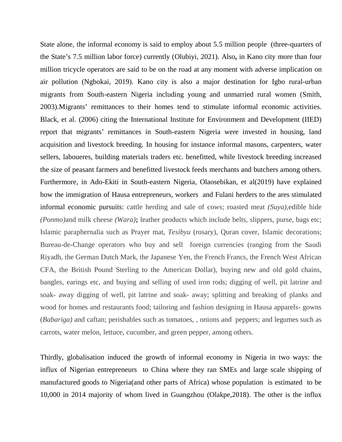State alone, the informal economy is said to employ about 5.5 million people (three-quarters of the State's 7.5 million labor force) currently (Olubiyi, 2021). Also**,** in Kano city more than four million tricycle operators are said to be on the road at any moment with adverse implication on air pollution (Ngbokai, 2019). Kano city is also a major destination for Igbo rural-urban migrants from South-eastern Nigeria including young and unmarried rural women (Smith, 2003).Migrants' remittances to their homes tend to stimulate informal economic activities. Black, et al. (2006) citing the International Institute for Environment and Development (IIED) report that migrants' remittances in South-eastern Nigeria were invested in housing, land acquisition and livestock breeding. In housing for instance informal masons, carpenters, water sellers, laboueres, building materials traders etc. benefitted, while livestock breeding increased the size of peasant farmers and benefitted livestock feeds merchants and butchers among others. Furthermore, in Ado-Ekiti in South-eastern Nigeria, Olaosebikan, et al(2019) have explained how the immigration of Hausa entrepreneurs, workers and Fulani herders to the ares stimulated informal economic pursuits: cattle herding and sale of cows; roasted meat *(Suya),*edible hide *(Ponmo)*and milk cheese *(Wara)***;** leather products which include belts, slippers, purse, bags etc; Islamic paraphernalia such as Prayer mat, *Tesibyu* (rosary), Quran cover, Islamic decorations; Bureau-de-Change operators who buy and sell foreign currencies (ranging from the Saudi Riyadh, the German Dutch Mark, the Japanese Yen, the French Francs, the French West African CFA, the British Pound Sterling to the American Dollar), buying new and old gold chains, bangles, earings etc, and buying and selling of used iron rods; digging of well, pit latrine and soak- away digging of well, pit latrine and soak- away; splitting and breaking of planks and wood for homes and restaurants food; tailoring and fashion designing in Hausa apparels- gowns (*Babariga)* and caftan; perishables such as tomatoes, , onions and peppers; and legumes such as carrots, water melon, lettuce, cucumber, and green pepper, among others.

Thirdly, globalisation induced the growth of informal economy in Nigeria in two ways: the influx of Nigerian entrepreneurs to China where they ran SMEs and large scale shipping of manufactured goods to Nigeria(and other parts of Africa) whose population is estimated to be 10,000 in 2014 majority of whom lived in Guangzhou (Olakpe,2018). The other is the influx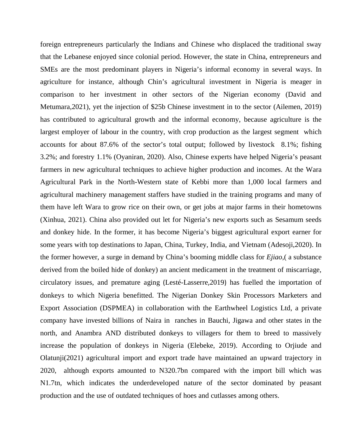foreign entrepreneurs particularly the Indians and Chinese who displaced the traditional sway that the Lebanese enjoyed since colonial period. However, the state in China, entrepreneurs and SMEs are the most predominant players in Nigeria's informal economy in several ways. In agriculture for instance, although Chin's agricultural investment in Nigeria is meager in comparison to her investment in other sectors of the Nigerian economy (David and Metumara,2021), yet the injection of \$25b Chinese investment in to the sector (Ailemen, 2019) has contributed to agricultural growth and the informal economy, because agriculture is the largest employer of labour in the country, with crop production as the largest segment which accounts for about 87.6% of the sector's total output; followed by livestock 8.1%; fishing 3.2%; and forestry 1.1% (Oyaniran, 2020). Also, Chinese experts have helped Nigeria's peasant farmers in new agricultural techniques to achieve higher production and incomes. At the Wara Agricultural Park in the North-Western state of Kebbi more than 1,000 local farmers and agricultural machinery management staffers have studied in the training programs and many of them have left Wara to grow rice on their own, or get jobs at major farms in their hometowns (Xinhua, 2021). China also provided out let for Nigeria's new exports such as Sesamum seeds and donkey hide. In the former, it has become Nigeria's biggest agricultural export earner for some years with top destinations to Japan, China, Turkey, India, and Vietnam (Adesoji,2020). In the former however, a surge in demand by China's booming middle class for *Ejiao*,( a substance derived from the boiled hide of donkey) an ancient medicament in the treatment of miscarriage, circulatory issues, and premature aging (Lesté-Lasserre,2019) has fuelled the importation of donkeys to which Nigeria benefitted. The Nigerian Donkey Skin Processors Marketers and Export Association (DSPMEA) in collaboration with the Earthwheel Logistics Ltd, a private company have invested billions of Naira in ranches in Bauchi, Jigawa and other states in the north, and Anambra AND distributed donkeys to villagers for them to breed to massively increase the population of donkeys in Nigeria (Elebeke, 2019). According to Orjiude and Olatunji(2021) agricultural import and export trade have maintained an upward trajectory in 2020, although exports amounted to N320.7bn compared with the import bill which was N1.7tn, which indicates the underdeveloped nature of the sector dominated by peasant production and the use of outdated techniques of hoes and cutlasses among others.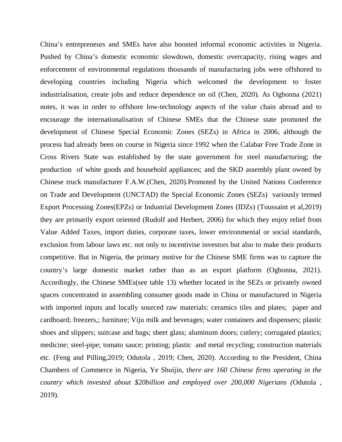China's entrepreneurs and SMEs have also boosted informal economic activities in Nigeria. Pushed by China's domestic economic slowdown, domestic overcapacity, rising wages and enforcement of environmental regulations thousands of manufacturing jobs were offshored to developing countries including Nigeria which welcomed the development to foster industrialisation, create jobs and reduce dependence on oil (Chen, 2020). As Ogbonna (2021) notes, it was in order to offshore low-technology aspects of the value chain abroad and to encourage the internationalisation of Chinese SMEs that the Chinese state promoted the development of Chinese Special Economic Zones (SEZs) in Africa in 2006, although the process had already been on course in Nigeria since 1992 when the Calabar Free Trade Zone in Cross Rivers State was established by the state government for steel manufacturing; the production of white goods and household appliances; and the SKD assembly plant owned by Chinese truck manufacturer F.A.W.(Chen, 2020).Promoted by the United Nations Conference on Trade and Development (UNCTAD) the Special Economic Zones (SEZs) variously termed Export Processing Zones(EPZs) or Industrial Development Zones (IDZs) (Toussaint et al,2019) they are primarily export oriented (Rudolf and Herbert, 2006) for which they enjoy relief from Value Added Taxes, import duties, corporate taxes, lower environmental or social standards, exclusion from labour laws etc. not only to incentivise investors but also to make their products competitive. But in Nigeria, the primary motive for the Chinese SME firms was to capture the country's large domestic market rather than as an export platform (Ogbonna, 2021). Accordingly, the Chinese SMEs(see table 13) whether located in the SEZs or privately owned spaces concentrated in assembling consumer goods made in China or manufactured in Nigeria with imported inputs and locally sourced raw materials: ceramics tiles and plates; paper and cardboard; freezers,; furniture; Viju milk and beverages; water containers and dispensers; plastic shoes and slippers; suitcase and bags; sheet glass; aluminum doors; cutlery; corrugated plastics; medicine; steel-pipe; tomato sauce; printing; plastic and metal recycling; construction materials etc. (Feng and Pilling,2019; Odutola , 2019; Chen, 2020). According to the President, China Chambers of Commerce in Nigeria, Ye Shuijin, t*here are 160 Chinese firms operating in the country which invested about \$20billion and employed over 200,000 Nigerians (*Odutola , 2019)*.*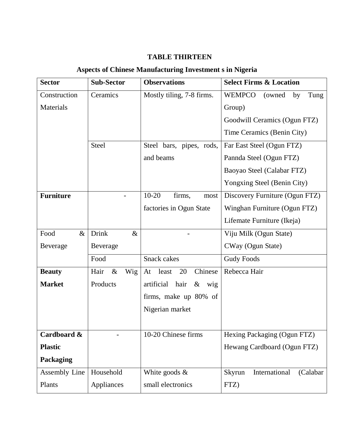## **TABLE THIRTEEN**

## **Aspects of Chinese Manufacturing Investment s in Nigeria**

| <b>Sector</b>    | <b>Sub-Sector</b>    | <b>Observations</b>               | <b>Select Firms &amp; Location</b>     |
|------------------|----------------------|-----------------------------------|----------------------------------------|
| Construction     | Ceramics             | Mostly tiling, 7-8 firms.         | <b>WEMPCO</b><br>Tung<br>(owned)<br>by |
| Materials        |                      |                                   | Group)                                 |
|                  |                      |                                   | Goodwill Ceramics (Ogun FTZ)           |
|                  |                      |                                   | Time Ceramics (Benin City)             |
|                  | <b>Steel</b>         | Steel bars, pipes, rods,          | Far East Steel (Ogun FTZ)              |
|                  |                      | and beams                         | Pannda Steel (Ogun FTZ)                |
|                  |                      |                                   | Baoyao Steel (Calabar FTZ)             |
|                  |                      |                                   | Yongxing Steel (Benin City)            |
| <b>Furniture</b> |                      | $10 - 20$<br>firms,<br>most       | Discovery Furniture (Ogun FTZ)         |
|                  |                      | factories in Ogun State           | Winghan Furniture (Ogun FTZ)           |
|                  |                      |                                   | Lifemate Furniture (Ikeja)             |
| Food<br>$\&$     | <b>Drink</b><br>$\&$ |                                   | Viju Milk (Ogun State)                 |
| Beverage         | Beverage             |                                   | CWay (Ogun State)                      |
|                  | Food                 | <b>Snack</b> cakes                | <b>Gudy Foods</b>                      |
| <b>Beauty</b>    | Hair<br>$\&$<br>Wig  | Chinese<br>20<br>least<br>At      | Rebecca Hair                           |
| <b>Market</b>    | Products             | artificial<br>hair<br>$\&$<br>wig |                                        |
|                  |                      | firms, make up 80% of             |                                        |
|                  |                      | Nigerian market                   |                                        |
|                  |                      |                                   |                                        |
| Cardboard &      |                      | 10-20 Chinese firms               | Hexing Packaging (Ogun FTZ)            |
| <b>Plastic</b>   |                      |                                   | Hewang Cardboard (Ogun FTZ)            |
| Packaging        |                      |                                   |                                        |
| Assembly Line    | Household            | White goods $\&$                  | International<br>Skyrun<br>(Calabar)   |
| Plants           | Appliances           | small electronics                 | FTZ)                                   |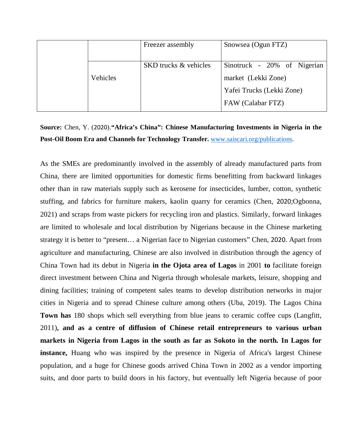|          | Freezer assembly             | Snowsea (Ogun FTZ)          |
|----------|------------------------------|-----------------------------|
|          |                              |                             |
|          | <b>SKD</b> trucks & vehicles | Sinotruck - 20% of Nigerian |
| Vehicles |                              | market (Lekki Zone)         |
|          |                              | Yafei Trucks (Lekki Zone)   |
|          |                              | FAW (Calabar FTZ)           |

## **Source:** Chen, Y. (2020).**"Africa's China": Chinese Manufacturing Investments in Nigeria in the Post-Oil Boom Era and Channels for Technology Transfer.** www.saiscari.org/publications.

As the SMEs are predominantly involved in the assembly of already manufactured parts from China, there are limited opportunities for domestic firms benefitting from backward linkages other than in raw materials supply such as kerosene for insecticides, lumber, cotton, synthetic stuffing, and fabrics for furniture makers, kaolin quarry for ceramics (Chen, 2020;Ogbonna, 2021) and scraps from waste pickers for recycling iron and plastics. Similarly, forward linkages are limited to wholesale and local distribution by Nigerians because in the Chinese marketing strategy it is better to "present… a Nigerian face to Nigerian customers" Chen, 2020. Apart from agriculture and manufacturing, Chinese are also involved in distribution through the agency of China Town had its debut in Nigeria **in the Ojota area of Lagos** in 2001 **to** facilitate foreign direct investment between China and Nigeria through wholesale markets, leisure, shopping and dining facilities; training of competent sales teams to develop distribution networks in major cities in Nigeria and to spread Chinese culture among others (Uba, 2019). The Lagos China **Town has** 180 shops which sell everything from blue jeans to ceramic coffee cups (Langfitt, 2011)**, and as a centre of diffusion of Chinese retail entrepreneurs to various urban markets in Nigeria from Lagos in the south as far as Sokoto in the north. In Lagos for instance,** Huang who was inspired by the presence in Nigeria of Africa's largest Chinese population, and a huge for Chinese goods arrived China Town in 2002 as a vendor importing suits, and door parts to build doors in his factory, but eventually left Nigeria because of poor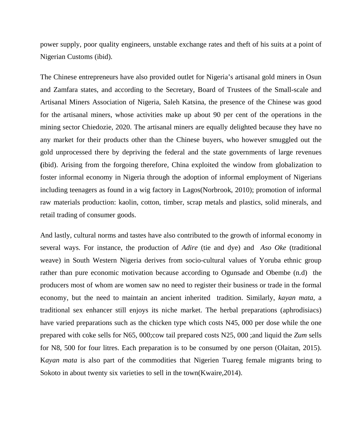power supply, poor quality engineers, unstable exchange rates and theft of his suits at a point of Nigerian Customs (ibid).

The Chinese entrepreneurs have also provided outlet for Nigeria's artisanal gold miners in Osun and Zamfara states, and according to the Secretary, Board of Trustees of the Small-scale and Artisanal Miners Association of Nigeria, Saleh Katsina, the presence of the Chinese was good for the artisanal miners, whose activities make up about 90 per cent of the operations in the mining sector Chiedozie, 2020. The artisanal miners are equally delighted because they have no any market for their products other than the Chinese buyers, who however smuggled out the gold unprocessed there by depriving the federal and the state governments of large revenues **(**ibid). Arising from the forgoing therefore, China exploited the window from globalization to foster informal economy in Nigeria through the adoption of informal employment of Nigerians including teenagers as found in a wig factory in Lagos(Norbrook, 2010); promotion of informal raw materials production: kaolin, cotton, timber, scrap metals and plastics, solid minerals, and retail trading of consumer goods.

And lastly, cultural norms and tastes have also contributed to the growth of informal economy in several ways. For instance, the production of *Adire* (tie and dye) and *Aso Oke* (traditional weave) in South Western Nigeria derives from socio-cultural values of Yoruba ethnic group rather than pure economic motivation because according to Ogunsade and Obembe (n.d) the producers most of whom are women saw no need to register their business or trade in the formal economy, but the need to maintain an ancient inherited tradition. Similarly, *kayan mata,* a traditional sex enhancer still enjoys its niche market. The herbal preparations (aphrodisiacs) have varied preparations such as the chicken type which costs N45, 000 per dose while the one prepared with coke sells for N65, 000;cow tail prepared costs N25, 000 ;and liquid the *Zum* sells for N8, 500 for four litres. Each preparation is to be consumed by one person (Olaitan, 2015). K*ayan mata* is also part of the commodities that Nigerien Tuareg female migrants bring to Sokoto in about twenty six varieties to sell in the town(Kwaire,2014).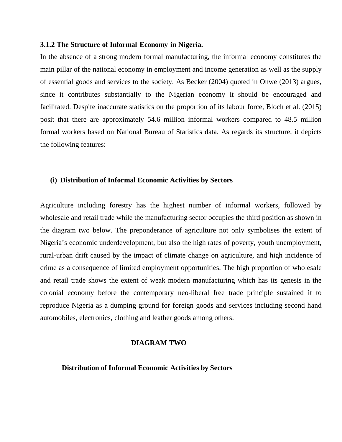#### **3.1.2 The Structure of Informal Economy in Nigeria.**

In the absence of a strong modern formal manufacturing, the informal economy constitutes the main pillar of the national economy in employment and income generation as well as the supply of essential goods and services to the society. As Becker (2004) quoted in Onwe (2013) argues, since it contributes substantially to the Nigerian economy it should be encouraged and facilitated. Despite inaccurate statistics on the proportion of its labour force, Bloch et al. (2015) posit that there are approximately 54.6 million informal workers compared to 48.5 million formal workers based on National Bureau of Statistics data. As regards its structure, it depicts the following features:

#### **(i) Distribution of Informal Economic Activities by Sectors**

Agriculture including forestry has the highest number of informal workers, followed by wholesale and retail trade while the manufacturing sector occupies the third position as shown in the diagram two below. The preponderance of agriculture not only symbolises the extent of Nigeria's economic underdevelopment, but also the high rates of poverty, youth unemployment, rural-urban drift caused by the impact of climate change on agriculture, and high incidence of crime as a consequence of limited employment opportunities. The high proportion of wholesale and retail trade shows the extent of weak modern manufacturing which has its genesis in the colonial economy before the contemporary neo-liberal free trade principle sustained it to reproduce Nigeria as a dumping ground for foreign goods and services including second hand automobiles, electronics, clothing and leather goods among others.

#### **DIAGRAM TWO**

 **Distribution of Informal Economic Activities by Sectors**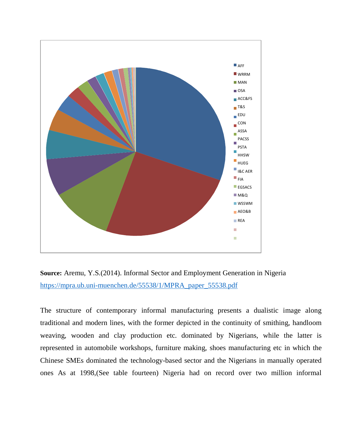

**Source:** Aremu, Y.S.(2014). Informal Sector and Employment Generation in Nigeria https://mpra.ub.uni-muenchen.de/55538/1/MPRA\_paper\_55538.pdf

The structure of contemporary informal manufacturing presents a dualistic image along traditional and modern lines, with the former depicted in the continuity of smithing, handloom weaving, wooden and clay production etc. dominated by Nigerians, while the latter is represented in automobile workshops, furniture making, shoes manufacturing etc in which the Chinese SMEs dominated the technology-based sector and the Nigerians in manually operated ones As at 1998,(See table fourteen) Nigeria had on record over two million informal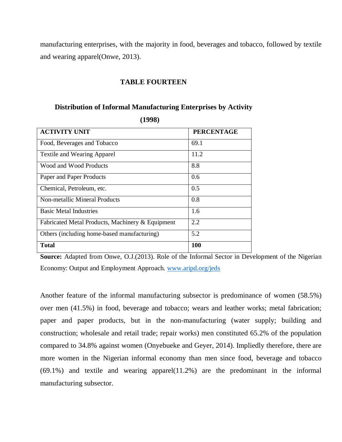manufacturing enterprises, with the majority in food, beverages and tobacco, followed by textile and wearing apparel(Onwe, 2013).

#### **TABLE FOURTEEN**

## **Distribution of Informal Manufacturing Enterprises by Activity**

| <b>ACTIVITY UNIT</b>                             | <b>PERCENTAGE</b> |
|--------------------------------------------------|-------------------|
| Food, Beverages and Tobacco                      | 69.1              |
| <b>Textile and Wearing Apparel</b>               | 11.2              |
| Wood and Wood Products                           | 8.8               |
| Paper and Paper Products                         | 0.6               |
| Chemical, Petroleum, etc.                        | 0.5               |
| Non-metallic Mineral Products                    | 0.8               |
| <b>Basic Metal Industries</b>                    | 1.6               |
| Fabricated Metal Products, Machinery & Equipment | 2.2               |
| Others (including home-based manufacturing)      | 5.2               |
| Total                                            | 100               |

 **(1998)** 

**Source:** Adapted from Onwe, O.J.(2013). Role of the Informal Sector in Development of the Nigerian Economy: Output and Employment Approach. www.aripd.org/jeds

Another feature of the informal manufacturing subsector is predominance of women (58.5%) over men (41.5%) in food, beverage and tobacco; wears and leather works; metal fabrication; paper and paper products, but in the non-manufacturing (water supply; building and construction; wholesale and retail trade; repair works) men constituted 65.2% of the population compared to 34.8% against women (Onyebueke and Geyer, 2014). Impliedly therefore, there are more women in the Nigerian informal economy than men since food, beverage and tobacco (69.1%) and textile and wearing apparel(11.2%) are the predominant in the informal manufacturing subsector.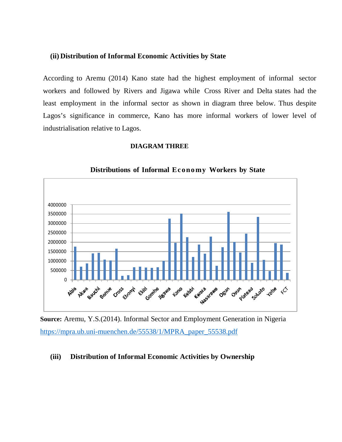#### **(ii) Distribution of Informal Economic Activities by State**

According to Aremu (2014) Kano state had the highest employment of informal sector workers and followed by Rivers and Jigawa while Cross River and Delta states had the least employment in the informal sector as shown in diagram three below. Thus despite Lagos's significance in commerce, Kano has more informal workers of lower level of industrialisation relative to Lagos.

#### **DIAGRAM THREE**



 **Distributions of Informal Econo my Workers by State**

**Source:** Aremu, Y.S.(2014). Informal Sector and Employment Generation in Nigeria https://mpra.ub.uni-muenchen.de/55538/1/MPRA\_paper\_55538.pdf

#### **(iii) Distribution of Informal Economic Activities by Ownership**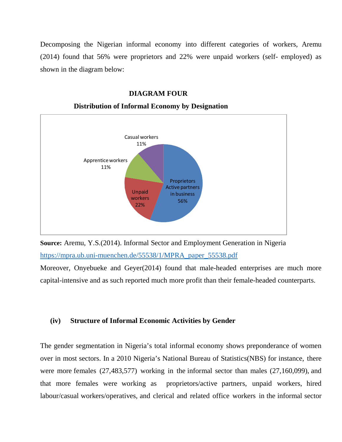Decomposing the Nigerian informal economy into different categories of workers, Aremu (2014) found that 56% were proprietors and 22% were unpaid workers (self- employed) as shown in the diagram below:

#### **DIAGRAM FOUR**



#### **Distribution of Informal Economy by Designation**



Moreover, Onyebueke and Geyer(2014) found that male-headed enterprises are much more capital-intensive and as such reported much more profit than their female-headed counterparts.

#### **(iv) Structure of Informal Economic Activities by Gender**

The gender segmentation in Nigeria's total informal economy shows preponderance of women over in most sectors. In a 2010 Nigeria's National Bureau of Statistics(NBS) for instance, there were more females (27,483,577) working in the informal sector than males (27,160,099), and that more females were working as proprietors/active partners, unpaid workers, hired labour/casual workers/operatives, and clerical and related office workers in the informal sector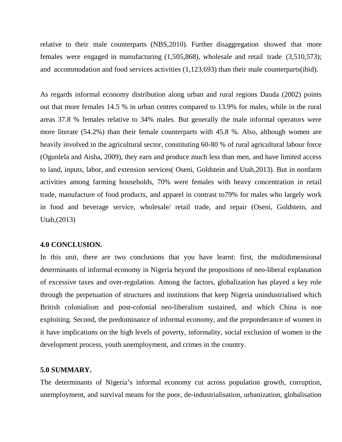relative to their male counterparts (NBS,2010). Further disaggregation showed that more females were engaged in manufacturing (1,505,868), wholesale and retail trade (3,510,573); and accommodation and food services activities (1,123,693) than their male counterparts(ibid).

As regards informal economy distribution along urban and rural regions Dauda (2002) points out that more females 14.5 % in urban centres compared to 13.9% for males, while in the rural areas 37.8 % females relative to 34% males. But generally the male informal operators were more literate (54.2%) than their female counterparts with 45.8 %. Also, although women are heavily involved in the agricultural sector, constituting 60-80 % of rural agricultural labour force (Ogunlela and Aisha, 2009), they earn and produce much less than men, and have limited access to land, inputs, labor, and extension services( Oseni, Goldstein and Utah,2013). But in nonfarm activities among farming households, 70% were females with heavy concentration in retail trade, manufacture of food products, and apparel in contrast to79% for males who largely work in food and beverage service, wholesale/ retail trade, and repair (Oseni, Goldstein, and Utah,(2013)

#### **4.0 CONCLUSION.**

In this unit, there are two conclusions that you have learnt: first, the multidimensional determinants of informal economy in Nigeria beyond the propositions of neo-liberal explanation of excessive taxes and over-regulation. Among the factors, globalization has played a key role through the perpetuation of structures and institutions that keep Nigeria unindustrialised which British colonialism and post-colonial neo-liberalism sustained, and which China is noe exploiting. Second, the predominance of informal economy, and the preponderance of women in it have implications on the high levels of poverty, informality, social exclusion of women in the development process, youth unemployment, and crimes in the country.

#### **5.0 SUMMARY.**

The determinants of Nigeria's informal economy cut across population growth, corruption, unemployment, and survival means for the poor, de-industrialisation, urbanization, globalisation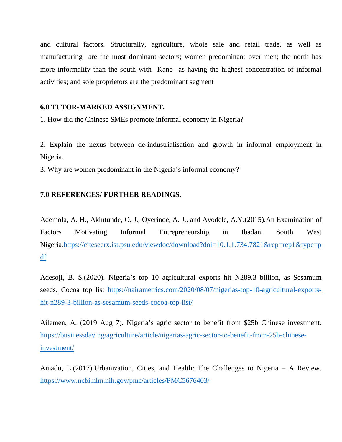and cultural factors. Structurally, agriculture, whole sale and retail trade, as well as manufacturing are the most dominant sectors; women predominant over men; the north has more informality than the south with Kano as having the highest concentration of informal activities; and sole proprietors are the predominant segment

# **6.0 TUTOR-MARKED ASSIGNMENT.**

1. How did the Chinese SMEs promote informal economy in Nigeria?

2. Explain the nexus between de-industrialisation and growth in informal employment in Nigeria.

3. Why are women predominant in the Nigeria's informal economy?

# **7.0 REFERENCES/ FURTHER READINGS.**

Ademola, A. H., Akintunde, O. J., Oyerinde, A. J., and Ayodele, A.Y.(2015).An Examination of Factors Motivating Informal Entrepreneurship in Ibadan, South West Nigeria.https://citeseerx.ist.psu.edu/viewdoc/download?doi=10.1.1.734.7821&rep=rep1&type=p df

Adesoji, B. S.(2020). Nigeria's top 10 agricultural exports hit N289.3 billion, as Sesamum seeds, Cocoa top list https://nairametrics.com/2020/08/07/nigerias-top-10-agricultural-exportshit-n289-3-billion-as-sesamum-seeds-cocoa-top-list/

Ailemen, A. (2019 Aug 7). Nigeria's agric sector to benefit from \$25b Chinese investment. https://businessday.ng/agriculture/article/nigerias-agric-sector-to-benefit-from-25b-chineseinvestment/

Amadu, L.(2017).Urbanization, Cities, and Health: The Challenges to Nigeria – A Review. https://www.ncbi.nlm.nih.gov/pmc/articles/PMC5676403/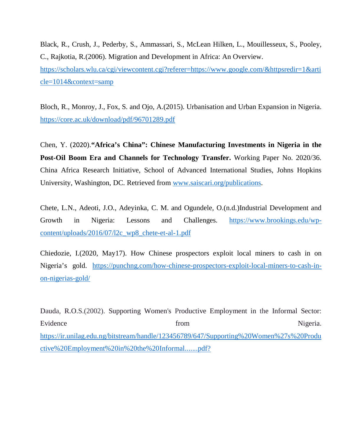Black, R., Crush, J., Pederby, S., Ammassari, S., McLean Hilken, L., Mouillesseux, S., Pooley, C., Rajkotia, R.(2006). Migration and Development in Africa: An Overview. https://scholars.wlu.ca/cgi/viewcontent.cgi?referer=https://www.google.com/&httpsredir=1&arti cle=1014&context=samp

Bloch, R., Monroy, J., Fox, S. and Ojo, A.(2015). Urbanisation and Urban Expansion in Nigeria. https://core.ac.uk/download/pdf/96701289.pdf

Chen, Y. (2020).**"Africa's China": Chinese Manufacturing Investments in Nigeria in the Post-Oil Boom Era and Channels for Technology Transfer.** Working Paper No. 2020/36. China Africa Research Initiative, School of Advanced International Studies, Johns Hopkins University, Washington, DC. Retrieved from www.saiscari.org/publications.

Chete, L.N., Adeoti, J.O., Adeyinka, C. M. and Ogundele, O.(n.d.)Industrial Development and Growth in Nigeria: Lessons and Challenges. https://www.brookings.edu/wpcontent/uploads/2016/07/l2c\_wp8\_chete-et-al-1.pdf

Chiedozie, I.(2020, May17). How Chinese prospectors exploit local miners to cash in on Nigeria's gold. https://punchng.com/how-chinese-prospectors-exploit-local-miners-to-cash-inon-nigerias-gold/

Dauda, R.O.S.(2002). Supporting Women's Productive Employment in the Informal Sector: Evidence Nigeria. https://ir.unilag.edu.ng/bitstream/handle/123456789/647/Supporting%20Women%27s%20Produ ctive%20Employment%20in%20the%20Informal.......pdf?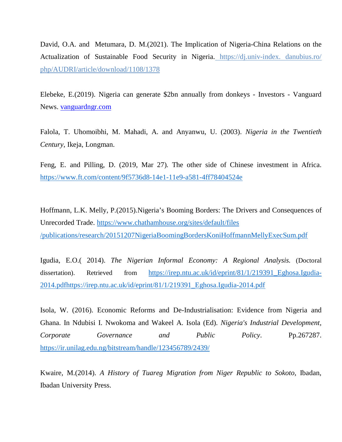David, O.A. and Metumara, D. M.(2021). The Implication of Nigeria-China Relations on the Actualization of Sustainable Food Security in Nigeria. https://dj.univ-index. danubius.ro/ php/AUDRI/article/download/1108/1378

Elebeke, E.(2019). Nigeria can generate \$2bn annually from donkeys - Investors - Vanguard News. vanguardngr.com

Falola, T. Uhomoibhi, M. Mahadi, A. and Anyanwu, U. (2003). *Nigeria in the Twentieth Century*, Ikeja, Longman.

Feng, E. and Pilling, D. (2019, Mar 27). The other side of Chinese investment in Africa. https://www.ft.com/content/9f5736d8-14e1-11e9-a581-4ff78404524e

Hoffmann, L.K. Melly, P.(2015).Nigeria's Booming Borders: The Drivers and Consequences of Unrecorded Trade. https://www.chathamhouse.org/sites/default/files /publications/research/20151207NigeriaBoomingBordersKoniHoffmannMellyExecSum.pdf

Igudia, E.O.( 2014). *The Nigerian Informal Economy: A Regional Analysis.* (Doctoral dissertation). Retrieved from https://irep.ntu.ac.uk/id/eprint/81/1/219391\_Eghosa.Igudia-2014.pdfhttps://irep.ntu.ac.uk/id/eprint/81/1/219391\_Eghosa.Igudia-2014.pdf

Isola, W. (2016). Economic Reforms and De-Industrialisation: Evidence from Nigeria and Ghana. In Ndubisi I. Nwokoma and Wakeel A. Isola (Ed). *Nigeria's Industrial Development, Corporate Governance and Public Policy*. Pp.267287. https://ir.unilag.edu.ng/bitstream/handle/123456789/2439/

Kwaire, M.(2014). *A History of Tuareg Migration from Niger Republic to Sokoto*, Ibadan, Ibadan University Press.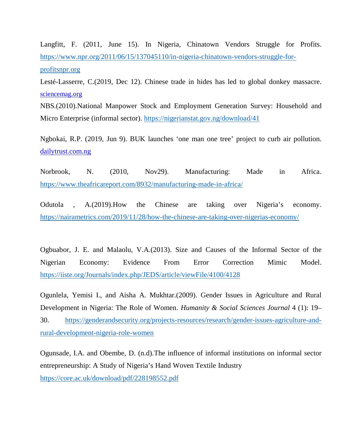Langfitt, F. (2011, June 15). In Nigeria, Chinatown Vendors Struggle for Profits. https://www.npr.org/2011/06/15/137045110/in-nigeria-chinatown-vendors-struggle-forprofitsnpr.org

Lesté-Lasserre, C.(2019, Dec 12). Chinese trade in hides has led to global donkey massacre. sciencemag.org

NBS.(2010).National Manpower Stock and Employment Generation Survey: Household and Micro Enterprise (informal sector). https://nigerianstat.gov.ng/download/41

Ngbokai, R.P. (2019, Jun 9). BUK launches 'one man one tree' project to curb air pollution. dailytrust.com.ng

Norbrook, N. (2010, Nov29). Manufacturing: Made in Africa. https://www.theafricareport.com/8932/manufacturing-made-in-africa/

Odutola , A.(2019).How the Chinese are taking over Nigeria's economy. https://nairametrics.com/2019/11/28/how-the-chinese-are-taking-over-nigerias-economy/

Ogbuabor, J. E. and Malaolu, V.A.(2013). Size and Causes of the Informal Sector of the Nigerian Economy: Evidence From Error Correction Mimic Model. https://iiste.org/Journals/index.php/JEDS/article/viewFile/4100/4128

Ogunlela, Yemisi I., and Aisha A. Mukhtar.(2009). Gender Issues in Agriculture and Rural Development in Nigeria: The Role of Women. *Humanity & Social Sciences Journal* 4 (1): 19– 30. https://genderandsecurity.org/projects-resources/research/gender-issues-agriculture-andrural-development-nigeria-role-women

Ogunsade, I.A. and Obembe, D. (n.d).The influence of informal institutions on informal sector entrepreneurship: A Study of Nigeria's Hand Woven Textile Industry https://core.ac.uk/download/pdf/228198552.pdf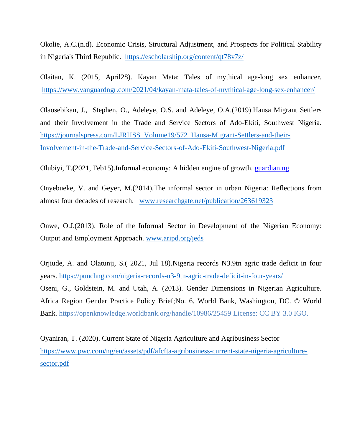Okolie, A.C.(n.d). Economic Crisis, Structural Adjustment, and Prospects for Political Stability in Nigeria's Third Republic. https://escholarship.org/content/qt78v7z/

Olaitan, K. (2015, April28). Kayan Mata: Tales of mythical age-long sex enhancer. https://www.vanguardngr.com/2021/04/kayan-mata-tales-of-mythical-age-long-sex-enhancer/

Olaosebikan, J., Stephen, O., Adeleye, O.S. and Adeleye, O.A.(2019).Hausa Migrant Settlers and their Involvement in the Trade and Service Sectors of Ado-Ekiti, Southwest Nigeria. https://journalspress.com/LJRHSS\_Volume19/572\_Hausa-Migrant-Settlers-and-their-Involvement-in-the-Trade-and-Service-Sectors-of-Ado-Ekiti-Southwest-Nigeria.pdf

Olubiyi, T.**(**2021, Feb15).Informal economy: A hidden engine of growth. guardian.ng

Onyebueke, V. and Geyer, M.(2014).The informal sector in urban Nigeria: Reflections from almost four decades of research. www.researchgate.net/publication/263619323

Onwe, O.J.(2013). Role of the Informal Sector in Development of the Nigerian Economy: Output and Employment Approach. www.aripd.org/jeds

Orjiude, A. and Olatunji, S.( 2021, Jul 18).Nigeria records N3.9tn agric trade deficit in four years. https://punchng.com/nigeria-records-n3-9tn-agric-trade-deficit-in-four-years/ Oseni, G., Goldstein, M. and Utah, A. (2013). Gender Dimensions in Nigerian Agriculture. Africa Region Gender Practice Policy Brief;No. 6. World Bank, Washington, DC. © World Bank. https://openknowledge.worldbank.org/handle/10986/25459 License: CC BY 3.0 IGO.

Oyaniran, T. (2020). Current State of Nigeria Agriculture and Agribusiness Sector https://www.pwc.com/ng/en/assets/pdf/afcfta-agribusiness-current-state-nigeria-agriculturesector.pdf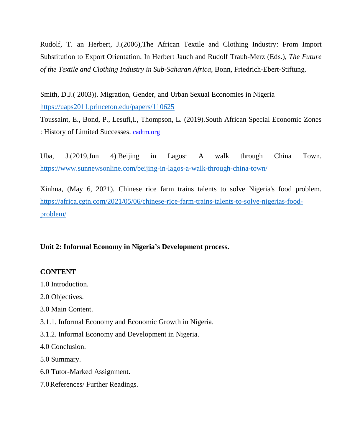Rudolf, T. an Herbert, J.(2006),The African Textile and Clothing Industry: From Import Substitution to Export Orientation. In Herbert Jauch and Rudolf Traub-Merz (Eds.), *The Future of the Textile and Clothing Industry in Sub-Saharan Africa,* Bonn, Friedrich-Ebert-Stiftung.

Smith, D.J.( 2003)). Migration, Gender, and Urban Sexual Economies in Nigeria https://uaps2011.princeton.edu/papers/110625

Toussaint, E., Bond, P., Lesufi,I., Thompson, L. (2019).South African Special Economic Zones : History of Limited Successes. cadtm.org

Uba, J.(2019,Jun 4).Beijing in Lagos: A walk through China Town. https://www.sunnewsonline.com/beijing-in-lagos-a-walk-through-china-town/

Xinhua, (May 6, 2021). Chinese rice farm trains talents to solve Nigeria's food problem. https://africa.cgtn.com/2021/05/06/chinese-rice-farm-trains-talents-to-solve-nigerias-foodproblem/

# **Unit 2: Informal Economy in Nigeria's Development process.**

# **CONTENT**

- 1.0 Introduction.
- 2.0 Objectives.
- 3.0 Main Content.
- 3.1.1. Informal Economy and Economic Growth in Nigeria.
- 3.1.2. Informal Economy and Development in Nigeria.
- 4.0 Conclusion.
- 5.0 Summary.
- 6.0 Tutor-Marked Assignment.
- 7.0References/ Further Readings.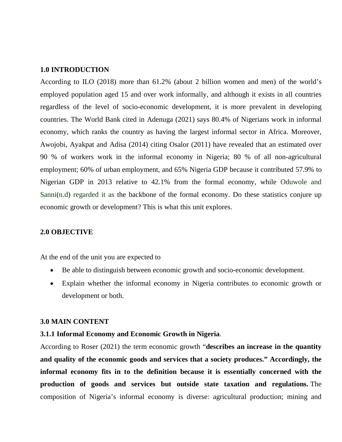### **1.0 INTRODUCTION**

According to ILO (2018) more than 61.2% (about 2 billion women and men) of the world's employed population aged 15 and over work informally, and although it exists in all countries regardless of the level of socio-economic development, it is more prevalent in developing countries. The World Bank cited in Adenuga (2021) says 80.4% of Nigerians work in informal economy, which ranks the country as having the largest informal sector in Africa. Moreover, Awojobi, Ayakpat and Adisa (2014) citing Osalor (2011) have revealed that an estimated over 90 % of workers work in the informal economy in Nigeria; 80 % of all non-agricultural employment; 60% of urban employment, and 65% Nigeria GDP because it contributed 57.9% to Nigerian GDP in 2013 relative to 42.1% from the formal economy, while Oduwole and Sanni(n.d) regarded it as the backbone of the formal economy. Do these statistics conjure up economic growth or development? This is what this unit explores.

### **2.0 OBJECTIVE**

At the end of the unit you are expected to

- Be able to distinguish between economic growth and socio-economic development.
- Explain whether the informal economy in Nigeria contributes to economic growth or development or both.

### **3.0 MAIN CONTENT**

### **3.1.1 Informal Economy and Economic Growth in Nigeria**.

According to Roser (2021) the term economic growth "**describes an increase in the quantity and quality of the economic goods and services that a society produces." Accordingly, the informal economy fits in to the definition because it is essentially concerned with the production of goods and services but outside state taxation and regulations.** The composition of Nigeria's informal economy is diverse: agricultural production; mining and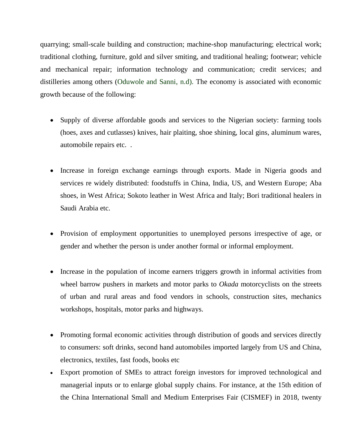quarrying; small-scale building and construction; machine-shop manufacturing; electrical work; traditional clothing, furniture, gold and silver smiting, and traditional healing; footwear; vehicle and mechanical repair; information technology and communication; credit services; and distilleries among others (Oduwole and Sanni, n.d). The economy is associated with economic growth because of the following:

- Supply of diverse affordable goods and services to the Nigerian society: farming tools (hoes, axes and cutlasses) knives, hair plaiting, shoe shining, local gins, aluminum wares, automobile repairs etc. .
- Increase in foreign exchange earnings through exports. Made in Nigeria goods and services re widely distributed: foodstuffs in China, India, US, and Western Europe; Aba shoes, in West Africa; Sokoto leather in West Africa and Italy; Bori traditional healers in Saudi Arabia etc.
- Provision of employment opportunities to unemployed persons irrespective of age, or gender and whether the person is under another formal or informal employment.
- Increase in the population of income earners triggers growth in informal activities from wheel barrow pushers in markets and motor parks to *Okada* motorcyclists on the streets of urban and rural areas and food vendors in schools, construction sites, mechanics workshops, hospitals, motor parks and highways.
- Promoting formal economic activities through distribution of goods and services directly to consumers: soft drinks, second hand automobiles imported largely from US and China, electronics, textiles, fast foods, books etc
- Export promotion of SMEs to attract foreign investors for improved technological and managerial inputs or to enlarge global supply chains. For instance, at the 15th edition of the China International Small and Medium Enterprises Fair (CISMEF) in 2018, twenty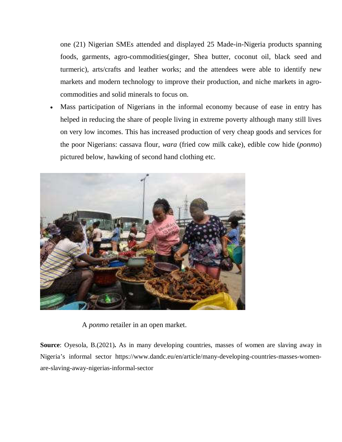one (21) Nigerian SMEs attended and displayed 25 Made-in-Nigeria products spanning foods, garments, agro-commodities(ginger, Shea butter, coconut oil, black seed and turmeric), arts/crafts and leather works; and the attendees were able to identify new markets and modern technology to improve their production, and niche markets in agrocommodities and solid minerals to focus on.

 Mass participation of Nigerians in the informal economy because of ease in entry has helped in reducing the share of people living in extreme poverty although many still lives on very low incomes. This has increased production of very cheap goods and services for the poor Nigerians: cassava flour, *wara* (fried cow milk cake), edible cow hide (*ponmo*) pictured below, hawking of second hand clothing etc.



A *ponmo* retailer in an open market.

**Source**: Oyesola, B.(2021)**.** As in many developing countries, masses of women are slaving away in Nigeria's informal sector https://www.dandc.eu/en/article/many-developing-countries-masses-womenare-slaving-away-nigerias-informal-sector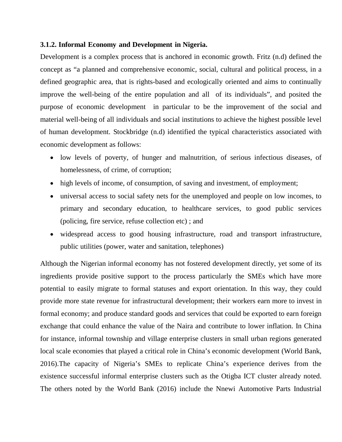## **3.1.2. Informal Economy and Development in Nigeria.**

Development is a complex process that is anchored in economic growth. Fritz (n.d) defined the concept as "a planned and comprehensive economic, social, cultural and political process, in a defined geographic area, that is rights-based and ecologically oriented and aims to continually improve the well-being of the entire population and all of its individuals", and posited the purpose of economic development in particular to be the improvement of the social and material well-being of all individuals and social institutions to achieve the highest possible level of human development. Stockbridge (n.d) identified the typical characteristics associated with economic development as follows:

- low levels of poverty, of hunger and malnutrition, of serious infectious diseases, of homelessness, of crime, of corruption;
- high levels of income, of consumption, of saving and investment, of employment;
- universal access to social safety nets for the unemployed and people on low incomes, to primary and secondary education, to healthcare services, to good public services (policing, fire service, refuse collection etc) ; and
- widespread access to good housing infrastructure, road and transport infrastructure, public utilities (power, water and sanitation, telephones)

Although the Nigerian informal economy has not fostered development directly, yet some of its ingredients provide positive support to the process particularly the SMEs which have more potential to easily migrate to formal statuses and export orientation. In this way, they could provide more state revenue for infrastructural development; their workers earn more to invest in formal economy; and produce standard goods and services that could be exported to earn foreign exchange that could enhance the value of the Naira and contribute to lower inflation. In China for instance, informal township and village enterprise clusters in small urban regions generated local scale economies that played a critical role in China's economic development (World Bank, 2016).The capacity of Nigeria's SMEs to replicate China's experience derives from the existence successful informal enterprise clusters such as the Otigba ICT cluster already noted. The others noted by the World Bank (2016) include the Nnewi Automotive Parts Industrial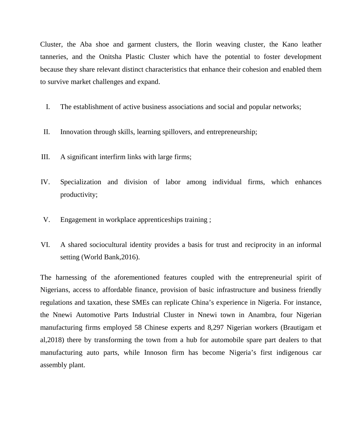Cluster, the Aba shoe and garment clusters, the Ilorin weaving cluster, the Kano leather tanneries, and the Onitsha Plastic Cluster which have the potential to foster development because they share relevant distinct characteristics that enhance their cohesion and enabled them to survive market challenges and expand.

- I. The establishment of active business associations and social and popular networks;
- II. Innovation through skills, learning spillovers, and entrepreneurship;
- III. A significant interfirm links with large firms;
- IV. Specialization and division of labor among individual firms, which enhances productivity;
- V. Engagement in workplace apprenticeships training ;
- VI. A shared sociocultural identity provides a basis for trust and reciprocity in an informal setting (World Bank,2016).

The harnessing of the aforementioned features coupled with the entrepreneurial spirit of Nigerians, access to affordable finance, provision of basic infrastructure and business friendly regulations and taxation, these SMEs can replicate China's experience in Nigeria. For instance, the Nnewi Automotive Parts Industrial Cluster in Nnewi town in Anambra, four Nigerian manufacturing firms employed 58 Chinese experts and 8,297 Nigerian workers (Brautigam et al,2018) there by transforming the town from a hub for automobile spare part dealers to that manufacturing auto parts, while Innoson firm has become Nigeria's first indigenous car assembly plant.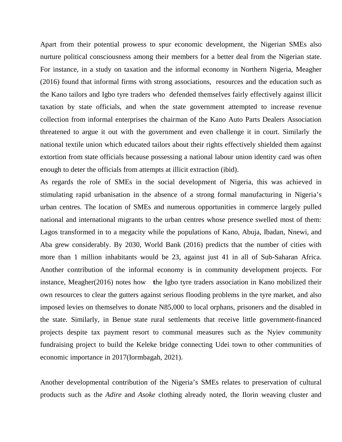Apart from their potential prowess to spur economic development, the Nigerian SMEs also nurture political consciousness among their members for a better deal from the Nigerian state. For instance, in a study on taxation and the informal economy in Northern Nigeria, Meagher (2016) found that informal firms with strong associations, resources and the education such as the Kano tailors and Igbo tyre traders who defended themselves fairly effectively against illicit taxation by state officials, and when the state government attempted to increase revenue collection from informal enterprises the chairman of the Kano Auto Parts Dealers Association threatened to argue it out with the government and even challenge it in court. Similarly the national textile union which educated tailors about their rights effectively shielded them against extortion from state officials because possessing a national labour union identity card was often enough to deter the officials from attempts at illicit extraction (ibid).

As regards the role of SMEs in the social development of Nigeria, this was achieved in stimulating rapid urbanisation in the absence of a strong formal manufacturing in Nigeria's urban centres. The location of SMEs and numerous opportunities in commerce largely pulled national and international migrants to the urban centres whose presence swelled most of them: Lagos transformed in to a megacity while the populations of Kano, Abuja, Ibadan, Nnewi, and Aba grew considerably. By 2030, World Bank (2016) predicts that the number of cities with more than 1 million inhabitants would be 23, against just 41 in all of Sub-Saharan Africa. Another contribution of the informal economy is in community development projects. For instance, Meagher(2016) notes how **t**he Igbo tyre traders association in Kano mobilized their own resources to clear the gutters against serious flooding problems in the tyre market, and also imposed levies on themselves to donate N85,000 to local orphans, prisoners and the disabled in the state. Similarly, in Benue state rural settlements that receive little government-financed projects despite tax payment resort to communal measures such as the Nyiev community fundraising project to build the Keleke bridge connecting Udei town to other communities of economic importance in 2017(Iormbagah, 2021).

Another developmental contribution of the Nigeria's SMEs relates to preservation of cultural products such as the *Adire* and *Asoke* clothing already noted, the Ilorin weaving cluster and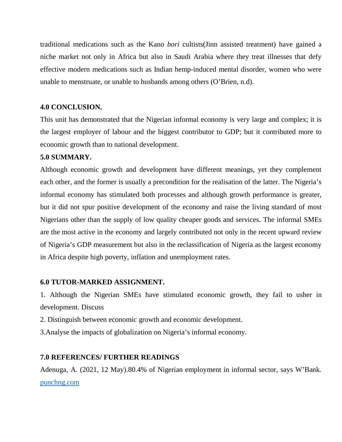traditional medications such as the Kano *bori* cultists(Jinn assisted treatment) have gained a niche market not only in Africa but also in Saudi Arabia where they treat illnesses that defy effective modern medications such as Indian hemp-induced mental disorder, women who were unable to menstruate, or unable to husbands among others (O'Brien, n.d).

# **4.0 CONCLUSION.**

This unit has demonstrated that the Nigerian informal economy is very large and complex; it is the largest employer of labour and the biggest contributor to GDP; but it contributed more to economic growth than to national development.

## **5.0 SUMMARY.**

Although economic growth and development have different meanings, yet they complement each other, and the former is usually a precondition for the realisation of the latter. The Nigeria's informal economy has stimulated both processes and although growth performance is greater, but it did not spur positive development of the economy and raise the living standard of most Nigerians other than the supply of low quality cheaper goods and services. The informal SMEs are the most active in the economy and largely contributed not only in the recent upward review of Nigeria's GDP measurement but also in the reclassification of Nigeria as the largest economy in Africa despite high poverty, inflation and unemployment rates.

## **6.0 TUTOR-MARKED ASSIGNMENT.**

1. Although the Nigerian SMEs have stimulated economic growth, they fail to usher in development. Discuss

- 2. Distinguish between economic growth and economic development.
- 3.Analyse the impacts of globalization on Nigeria's informal economy.

## **7.0 REFERENCES/ FURTHER READINGS**

Adenuga, A. (2021, 12 May).80.4% of Nigerian employment in informal sector, says W'Bank. punchng.com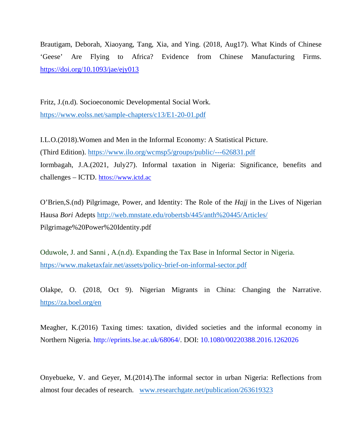Brautigam, Deborah, Xiaoyang, Tang, Xia, and Ying. (2018, Aug17). What Kinds of Chinese 'Geese' Are Flying to Africa? Evidence from Chinese Manufacturing Firms. https://doi.org/10.1093/jae/ejy013

Fritz, J.(n.d). Socioeconomic Developmental Social Work. https://www.eolss.net/sample-chapters/c13/E1-20-01.pdf

I.L.O.(2018).Women and Men in the Informal Economy: A Statistical Picture. (Third Edition). https://www.ilo.org/wcmsp5/groups/public/---626831.pdf Iormbagah, J.A.(2021, July27). Informal taxation in Nigeria: Significance, benefits and challenges – ICTD. httos://www.ictd.ac

O'Brien,S.(nd) Pilgrimage, Power, and Identity: The Role of the *Hajj* in the Lives of Nigerian Hausa *Bori* Adepts http://web.mnstate.edu/robertsb/445/anth%20445/Articles/ Pilgrimage%20Power%20Identity.pdf

Oduwole, J. and Sanni , A.(n.d). Expanding the Tax Base in Informal Sector in Nigeria. https://www.maketaxfair.net/assets/policy-brief-on-informal-sector.pdf

Olakpe, O. (2018, Oct 9). Nigerian Migrants in China: Changing the Narrative. https://za.boel.org/en

Meagher, K.(2016) Taxing times: taxation, divided societies and the informal economy in Northern Nigeria*.* http://eprints.lse.ac.uk/68064/. DOI: 10.1080/00220388.2016.1262026

Onyebueke, V. and Geyer, M.(2014).The informal sector in urban Nigeria: Reflections from almost four decades of research. www.researchgate.net/publication/263619323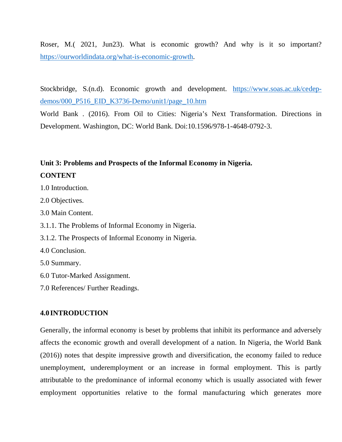Roser, M.( 2021, Jun23). What is economic growth? And why is it so important? https://ourworldindata.org/what-is-economic-growth.

Stockbridge, S.(n.d). Economic growth and development. https://www.soas.ac.uk/cedepdemos/000\_P516\_EID\_K3736-Demo/unit1/page\_10.htm

World Bank . (2016). From Oil to Cities: Nigeria's Next Transformation. Directions in Development. Washington, DC: World Bank. Doi:10.1596/978-1-4648-0792-3.

# **Unit 3: Problems and Prospects of the Informal Economy in Nigeria.**

## **CONTENT**

- 1.0 Introduction.
- 2.0 Objectives.
- 3.0 Main Content.
- 3.1.1. The Problems of Informal Economy in Nigeria.
- 3.1.2. The Prospects of Informal Economy in Nigeria.
- 4.0 Conclusion.
- 5.0 Summary.
- 6.0 Tutor-Marked Assignment.
- 7.0 References/ Further Readings.

### **4.0 INTRODUCTION**

Generally, the informal economy is beset by problems that inhibit its performance and adversely affects the economic growth and overall development of a nation. In Nigeria, the World Bank (2016)) notes that despite impressive growth and diversification, the economy failed to reduce unemployment, underemployment or an increase in formal employment. This is partly attributable to the predominance of informal economy which is usually associated with fewer employment opportunities relative to the formal manufacturing which generates more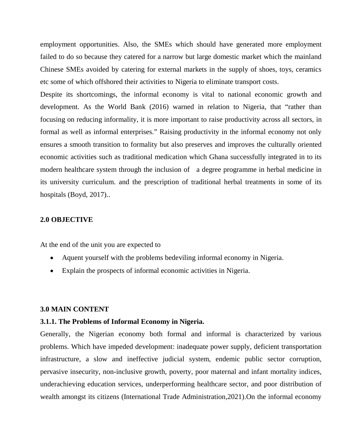employment opportunities. Also, the SMEs which should have generated more employment failed to do so because they catered for a narrow but large domestic market which the mainland Chinese SMEs avoided by catering for external markets in the supply of shoes, toys, ceramics etc some of which offshored their activities to Nigeria to eliminate transport costs.

Despite its shortcomings, the informal economy is vital to national economic growth and development. As the World Bank (2016) warned in relation to Nigeria, that "rather than focusing on reducing informality, it is more important to raise productivity across all sectors, in formal as well as informal enterprises." Raising productivity in the informal economy not only ensures a smooth transition to formality but also preserves and improves the culturally oriented economic activities such as traditional medication which Ghana successfully integrated in to its modern healthcare system through the inclusion of a degree programme in herbal medicine in its university curriculum. and the prescription of traditional herbal treatments in some of its hospitals (Boyd, 2017)..

### **2.0 OBJECTIVE**

At the end of the unit you are expected to

- Aquent yourself with the problems bedeviling informal economy in Nigeria.
- Explain the prospects of informal economic activities in Nigeria.

### **3.0 MAIN CONTENT**

#### **3.1.1. The Problems of Informal Economy in Nigeria.**

Generally, the Nigerian economy both formal and informal is characterized by various problems. Which have impeded development: inadequate power supply, deficient transportation infrastructure, a slow and ineffective judicial system, endemic public sector corruption, pervasive insecurity, non-inclusive growth, poverty, poor maternal and infant mortality indices, underachieving education services, underperforming healthcare sector, and poor distribution of wealth amongst its citizens (International Trade Administration,2021).On the informal economy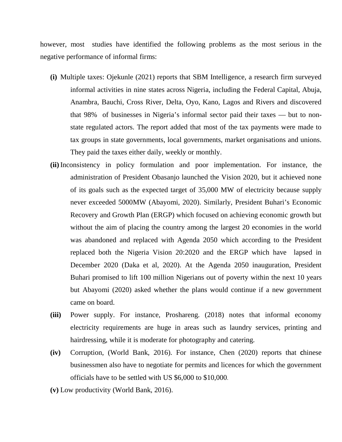however, most studies have identified the following problems as the most serious in the negative performance of informal firms:

- **(i)** Multiple taxes: Ojekunle (2021) reports that SBM Intelligence, a research firm surveyed informal activities in nine states across Nigeria, including the Federal Capital, Abuja, Anambra, Bauchi, Cross River, Delta, Oyo, Kano, Lagos and Rivers and discovered that 98% of businesses in Nigeria's informal sector paid their taxes — but to nonstate regulated actors. The report added that most of the tax payments were made to tax groups in state governments, local governments, market organisations and unions. They paid the taxes either daily, weekly or monthly.
- **(ii)** Inconsistency in policy formulation and poor implementation. For instance, the administration of President Obasanjo launched the Vision 2020, but it achieved none of its goals such as the expected target of 35,000 MW of electricity because supply never exceeded 5000MW (Abayomi, 2020). Similarly, President Buhari's Economic Recovery and Growth Plan (ERGP) which focused on achieving economic growth but without the aim of placing the country among the largest 20 economies in the world was abandoned and replaced with Agenda 2050 which according to the President replaced both the Nigeria Vision 20:2020 and the ERGP which have lapsed in December 2020 (Daka et al, 2020). At the Agenda 2050 inauguration, President Buhari promised to lift 100 million Nigerians out of poverty within the next 10 years but Abayomi (2020) asked whether the plans would continue if a new government came on board.
- **(iii)** Power supply. For instance, Proshareng. (2018) notes that informal economy electricity requirements are huge in areas such as laundry services, printing and hairdressing, while it is moderate for photography and catering.
- **(iv)** Corruption, (World Bank, 2016). For instance, Chen (2020) reports that Chinese businessmen also have to negotiate for permits and licences for which the government officials have to be settled with US \$6,000 to \$10,000.
- **(v)** Low productivity (World Bank, 2016).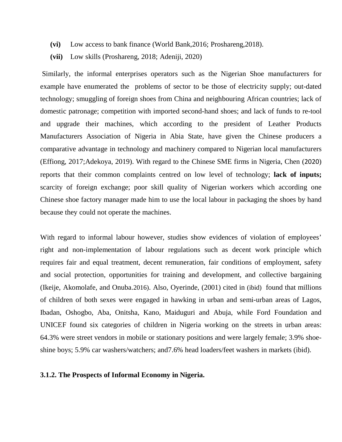- **(vi)** Low access to bank finance (World Bank,2016; Proshareng,2018).
- **(vii)** Low skills (Proshareng, 2018; Adeniji, 2020)

Similarly, the informal enterprises operators such as the Nigerian Shoe manufacturers for example have enumerated the problems of sector to be those of electricity supply; out-dated technology; smuggling of foreign shoes from China and neighbouring African countries; lack of domestic patronage; competition with imported second-hand shoes; and lack of funds to re-tool and upgrade their machines, which according to the president of Leather Products Manufacturers Association of Nigeria in Abia State, have given the Chinese producers a comparative advantage in technology and machinery compared to Nigerian local manufacturers (Effiong, 2017;Adekoya, 2019). With regard to the Chinese SME firms in Nigeria, Chen (2020) reports that their common complaints centred on low level of technology; **lack of inputs;**  scarcity of foreign exchange; poor skill quality of Nigerian workers which according one Chinese shoe factory manager made him to use the local labour in packaging the shoes by hand because they could not operate the machines.

With regard to informal labour however, studies show evidences of violation of employees' right and non-implementation of labour regulations such as decent work principle which requires fair and equal treatment, decent remuneration, fair conditions of employment, safety and social protection, opportunities for training and development, and collective bargaining (Ikeije, Akomolafe, and Onuba.2016). Also, Oyerinde, (2001) cited in (ibid) found that millions of children of both sexes were engaged in hawking in urban and semi-urban areas of Lagos, Ibadan, Oshogbo, Aba, Onitsha, Kano, Maiduguri and Abuja, while Ford Foundation and UNICEF found six categories of children in Nigeria working on the streets in urban areas: 64.3% were street vendors in mobile or stationary positions and were largely female; 3.9% shoeshine boys; 5.9% car washers/watchers; and7.6% head loaders/feet washers in markets (ibid).

### **3.1.2. The Prospects of Informal Economy in Nigeria.**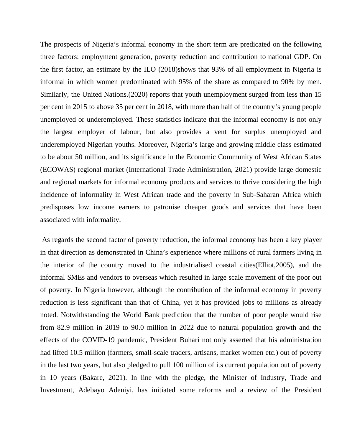The prospects of Nigeria's informal economy in the short term are predicated on the following three factors: employment generation, poverty reduction and contribution to national GDP. On the first factor, an estimate by the ILO (2018)shows that 93% of all employment in Nigeria is informal in which women predominated with 95% of the share as compared to 90% by men. Similarly, the United Nations.(2020) reports that youth unemployment surged from less than 15 per cent in 2015 to above 35 per cent in 2018, with more than half of the country's young people unemployed or underemployed. These statistics indicate that the informal economy is not only the largest employer of labour, but also provides a vent for surplus unemployed and underemployed Nigerian youths. Moreover, Nigeria's large and growing middle class estimated to be about 50 million, and its significance in the Economic Community of West African States (ECOWAS) regional market (International Trade Administration, 2021) provide large domestic and regional markets for informal economy products and services to thrive considering the high incidence of informality in West African trade and the poverty in Sub-Saharan Africa which predisposes low income earners to patronise cheaper goods and services that have been associated with informality.

 As regards the second factor of poverty reduction, the informal economy has been a key player in that direction as demonstrated in China's experience where millions of rural farmers living in the interior of the country moved to the industrialised coastal cities(Elliot,2005), and the informal SMEs and vendors to overseas which resulted in large scale movement of the poor out of poverty. In Nigeria however, although the contribution of the informal economy in poverty reduction is less significant than that of China, yet it has provided jobs to millions as already noted. Notwithstanding the World Bank prediction that the number of poor people would rise from 82.9 million in 2019 to 90.0 million in 2022 due to natural population growth and the effects of the COVID-19 pandemic, President Buhari not only asserted that his administration had lifted 10.5 million (farmers, small-scale traders, artisans, market women etc.) out of poverty in the last two years, but also pledged to pull 100 million of its current population out of poverty in 10 years (Bakare, 2021). In line with the pledge, the Minister of Industry, Trade and Investment, Adebayo Adeniyi, has initiated some reforms and a review of the President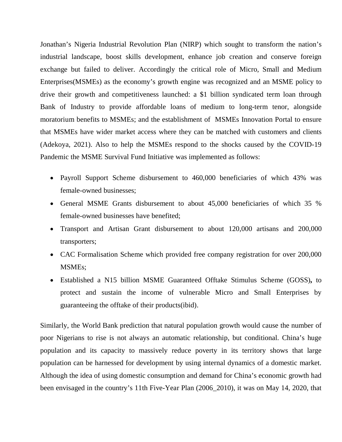Jonathan's Nigeria Industrial Revolution Plan (NIRP) which sought to transform the nation's industrial landscape, boost skills development, enhance job creation and conserve foreign exchange but failed to deliver. Accordingly the critical role of Micro, Small and Medium Enterprises(MSMEs) as the economy's growth engine was recognized and an MSME policy to drive their growth and competitiveness launched: a \$1 billion syndicated term loan through Bank of Industry to provide affordable loans of medium to long-term tenor, alongside moratorium benefits to MSMEs; and the establishment of MSMEs Innovation Portal to ensure that MSMEs have wider market access where they can be matched with customers and clients (Adekoya, 2021). Also to help the MSMEs respond to the shocks caused by the COVID-19 Pandemic the MSME Survival Fund Initiative was implemented as follows:

- Payroll Support Scheme disbursement to 460,000 beneficiaries of which 43% was female-owned businesses;
- General MSME Grants disbursement to about 45,000 beneficiaries of which 35 % female-owned businesses have benefited;
- Transport and Artisan Grant disbursement to about 120,000 artisans and 200,000 transporters;
- CAC Formalisation Scheme which provided free company registration for over 200,000 MSMEs;
- Established a N15 billion MSME Guaranteed Offtake Stimulus Scheme (GOSS)**,** to protect and sustain the income of vulnerable Micro and Small Enterprises by guaranteeing the offtake of their products(ibid).

Similarly, the World Bank prediction that natural population growth would cause the number of poor Nigerians to rise is not always an automatic relationship, but conditional. China's huge population and its capacity to massively reduce poverty in its territory shows that large population can be harnessed for development by using internal dynamics of a domestic market. Although the idea of using domestic consumption and demand for China's economic growth had been envisaged in the country's 11th Five-Year Plan (2006\_2010), it was on May 14, 2020, that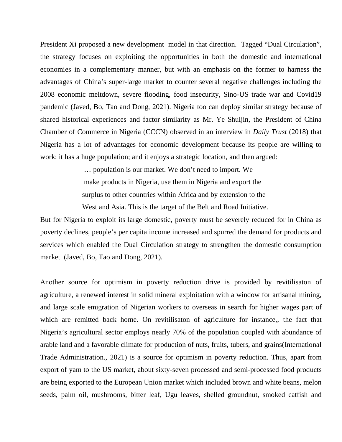President Xi proposed a new development model in that direction. Tagged "Dual Circulation", the strategy focuses on exploiting the opportunities in both the domestic and international economies in a complementary manner, but with an emphasis on the former to harness the advantages of China's super-large market to counter several negative challenges including the 2008 economic meltdown, severe flooding, food insecurity, Sino-US trade war and Covid19 pandemic (Javed, Bo, Tao and Dong, 2021). Nigeria too can deploy similar strategy because of shared historical experiences and factor similarity as Mr. Ye Shuijin, the President of China Chamber of Commerce in Nigeria (CCCN) observed in an interview in *Daily Trust* (2018) that Nigeria has a lot of advantages for economic development because its people are willing to work; it has a huge population; and it enjoys a strategic location, and then argued:

> … population is our market. We don't need to import. We make products in Nigeria, use them in Nigeria and export the surplus to other countries within Africa and by extension to the

> West and Asia. This is the target of the Belt and Road Initiative.

But for Nigeria to exploit its large domestic, poverty must be severely reduced for in China as poverty declines, people's per capita income increased and spurred the demand for products and services which enabled the Dual Circulation strategy to strengthen the domestic consumption market (Javed, Bo, Tao and Dong, 2021).

Another source for optimism in poverty reduction drive is provided by revitilisaton of agriculture, a renewed interest in solid mineral exploitation with a window for artisanal mining, and large scale emigration of Nigerian workers to overseas in search for higher wages part of which are remitted back home. On revitilisaton of agriculture for instance,, the fact that Nigeria's agricultural sector employs nearly 70% of the population coupled with abundance of arable land and a favorable climate for production of nuts, fruits, tubers, and grains(International Trade Administration., 2021) is a source for optimism in poverty reduction. Thus, apart from export of yam to the US market, about sixty-seven processed and semi-processed food products are being exported to the European Union market which included brown and white beans, melon seeds, palm oil, mushrooms, bitter leaf, Ugu leaves, shelled groundnut, smoked catfish and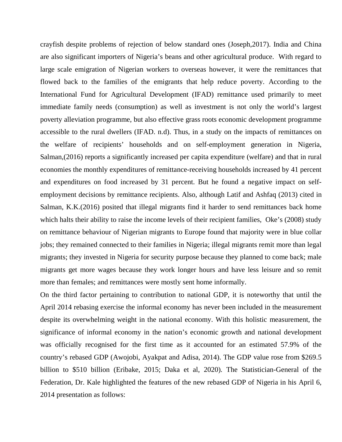crayfish despite problems of rejection of below standard ones (Joseph,2017). India and China are also significant importers of Nigeria's beans and other agricultural produce. With regard to large scale emigration of Nigerian workers to overseas however, it were the remittances that flowed back to the families of the emigrants that help reduce poverty. According to the International Fund for Agricultural Development (IFAD) remittance used primarily to meet immediate family needs (consumption) as well as investment is not only the world's largest poverty alleviation programme, but also effective grass roots economic development programme accessible to the rural dwellers (IFAD. n.d). Thus, in a study on the impacts of remittances on the welfare of recipients' households and on self-employment generation in Nigeria, Salman,(2016) reports a significantly increased per capita expenditure (welfare) and that in rural economies the monthly expenditures of remittance-receiving households increased by 41 percent and expenditures on food increased by 31 percent. But he found a negative impact on selfemployment decisions by remittance recipients. Also, although Latif and Ashfaq (2013) cited in Salman, K.K.(2016) posited that illegal migrants find it harder to send remittances back home which halts their ability to raise the income levels of their recipient families, Oke's (2008) study on remittance behaviour of Nigerian migrants to Europe found that majority were in blue collar jobs; they remained connected to their families in Nigeria; illegal migrants remit more than legal migrants; they invested in Nigeria for security purpose because they planned to come back; male migrants get more wages because they work longer hours and have less leisure and so remit more than females; and remittances were mostly sent home informally.

On the third factor pertaining to contribution to national GDP, it is noteworthy that until the April 2014 rebasing exercise the informal economy has never been included in the measurement despite its overwhelming weight in the national economy. With this holistic measurement, the significance of informal economy in the nation's economic growth and national development was officially recognised for the first time as it accounted for an estimated 57.9% of the country's rebased GDP (Awojobi, Ayakpat and Adisa, 2014). The GDP value rose from \$269.5 billion to \$510 billion (Eribake, 2015; Daka et al, 2020). The Statistician-General of the Federation, Dr. Kale highlighted the features of the new rebased GDP of Nigeria in his April 6, 2014 presentation as follows: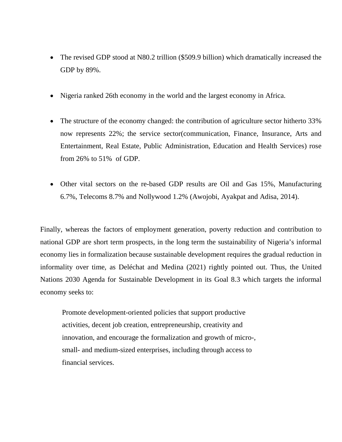- The revised GDP stood at N80.2 trillion (\$509.9 billion) which dramatically increased the GDP by 89%.
- Nigeria ranked 26th economy in the world and the largest economy in Africa.
- The structure of the economy changed: the contribution of agriculture sector hitherto 33% now represents 22%; the service sector(communication, Finance, Insurance, Arts and Entertainment, Real Estate, Public Administration, Education and Health Services) rose from 26% to 51% of GDP.
- Other vital sectors on the re-based GDP results are Oil and Gas 15%, Manufacturing 6.7%, Telecoms 8.7% and Nollywood 1.2% (Awojobi, Ayakpat and Adisa, 2014).

Finally, whereas the factors of employment generation, poverty reduction and contribution to national GDP are short term prospects, in the long term the sustainability of Nigeria's informal economy lies in formalization because sustainable development requires the gradual reduction in informality over time, as Deléchat and Medina (2021) rightly pointed out. Thus, the United Nations 2030 Agenda for Sustainable Development in its Goal 8.3 which targets the informal economy seeks to:

 Promote development-oriented policies that support productive activities, decent job creation, entrepreneurship, creativity and innovation, and encourage the formalization and growth of micro-, small- and medium-sized enterprises, including through access to financial services.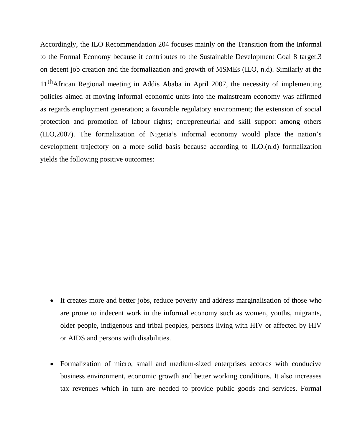Accordingly, the ILO Recommendation 204 focuses mainly on the Transition from the Informal to the Formal Economy because it contributes to the Sustainable Development Goal 8 target.3 on decent job creation and the formalization and growth of MSMEs (ILO, n.d). Similarly at the 11thAfrican Regional meeting in Addis Ababa in April 2007, the necessity of implementing policies aimed at moving informal economic units into the mainstream economy was affirmed as regards employment generation; a favorable regulatory environment; the extension of social protection and promotion of labour rights; entrepreneurial and skill support among others (ILO,2007). The formalization of Nigeria's informal economy would place the nation's development trajectory on a more solid basis because according to ILO.(n.d) formalization yields the following positive outcomes:

- It creates more and better jobs, reduce poverty and address marginalisation of those who are prone to indecent work in the informal economy such as women, youths, migrants, older people, indigenous and tribal peoples, persons living with HIV or affected by HIV or AIDS and persons with disabilities.
- Formalization of micro, small and medium-sized enterprises accords with conducive business environment, economic growth and better working conditions. It also increases tax revenues which in turn are needed to provide public goods and services. Formal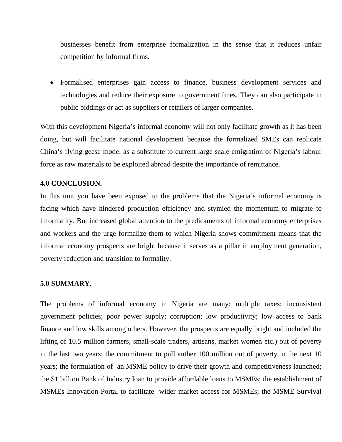businesses benefit from enterprise formalization in the sense that it reduces unfair competition by informal firms.

 Formalised enterprises gain access to finance, business development services and technologies and reduce their exposure to government fines. They can also participate in public biddings or act as suppliers or retailers of larger companies.

With this development Nigeria's informal economy will not only facilitate growth as it has been doing, but will facilitate national development because the formalized SMEs can replicate China's flying geese model as a substitute to current large scale emigration of Nigeria's labour force as raw materials to be exploited abroad despite the importance of remittance.

## **4.0 CONCLUSION.**

In this unit you have been exposed to the problems that the Nigeria's informal economy is facing which have hindered production efficiency and stymied the momentum to migrate to informality. But increased global attention to the predicaments of informal economy enterprises and workers and the urge formalize them to which Nigeria shows commitment means that the informal economy prospects are bright because it serves as a pillar in employment generation, poverty reduction and transition to formality.

### **5.0 SUMMARY.**

The problems of informal economy in Nigeria are many: multiple taxes; inconsistent government policies; poor power supply; corruption; low productivity; low access to bank finance and low skills among others. However, the prospects are equally bright and included the lifting of 10.5 million farmers, small-scale traders, artisans, market women etc.) out of poverty in the last two years; the commitment to pull anther 100 million out of poverty in the next 10 years; the formulation of an MSME policy to drive their growth and competitiveness launched; the \$1 billion Bank of Industry loan to provide affordable loans to MSMEs; the establishment of MSMEs Innovation Portal to facilitate wider market access for MSMEs; the MSME Survival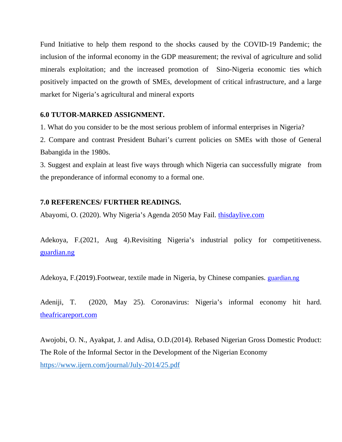Fund Initiative to help them respond to the shocks caused by the COVID-19 Pandemic; the inclusion of the informal economy in the GDP measurement; the revival of agriculture and solid minerals exploitation; and the increased promotion of Sino-Nigeria economic ties which positively impacted on the growth of SMEs, development of critical infrastructure, and a large market for Nigeria's agricultural and mineral exports

## **6.0 TUTOR-MARKED ASSIGNMENT.**

1. What do you consider to be the most serious problem of informal enterprises in Nigeria?

2. Compare and contrast President Buhari's current policies on SMEs with those of General Babangida in the 1980s.

3. Suggest and explain at least five ways through which Nigeria can successfully migrate from the preponderance of informal economy to a formal one.

## **7.0 REFERENCES/ FURTHER READINGS.**

Abayomi, O. (2020). Why Nigeria's Agenda 2050 May Fail. thisdaylive.com

Adekoya, F.(2021, Aug 4).Revisiting Nigeria's industrial policy for competitiveness. guardian.ng

Adekoya, F.(2019).Footwear, textile made in Nigeria, by Chinese companies. guardian.ng

Adeniji, T. (2020, May 25). Coronavirus: Nigeria's informal economy hit hard. theafricareport.com

Awojobi, O. N., Ayakpat, J. and Adisa, O.D.(2014). Rebased Nigerian Gross Domestic Product: The Role of the Informal Sector in the Development of the Nigerian Economy https://www.ijern.com/journal/July-2014/25.pdf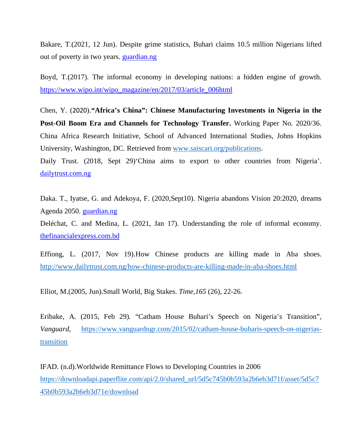Bakare, T.(2021, 12 Jun). Despite grime statistics, Buhari claims 10.5 million Nigerians lifted out of poverty in two years. guardian.ng

Boyd, T.(2017). The informal economy in developing nations: a hidden engine of growth. https://www.wipo.int/wipo\_magazine/en/2017/03/article\_006html

Chen, Y. (2020).**"Africa's China": Chinese Manufacturing Investments in Nigeria in the Post-Oil Boom Era and Channels for Technology Transfer.** Working Paper No. 2020/36. China Africa Research Initiative, School of Advanced International Studies, Johns Hopkins University, Washington, DC. Retrieved from www.saiscari.org/publications.

Daily Trust. (2018, Sept 29) China aims to export to other countries from Nigeria'. dailytrust.com.ng

Daka. T., Iyatse, G. and Adekoya, F. (2020,Sept10). Nigeria abandons Vision 20:2020, dreams Agenda 2050. guardian.ng

Deléchat, C. and Medina, L. (2021, Jan 17). Understanding the role of informal economy. thefinancialexpress.com.bd

Effiong, L. (2017, Nov 19).How Chinese products are killing made in Aba shoes. http://www.dailytrust.com.ng/how-chinese-products-are-killing-made-in-aba-shoes.html

Elliot, M.(2005, Jun).Small World, Big Stakes. *Time,165* (26), 22-26.

Eribake, A. (2015, Feb 29). "Catham House Buhari's Speech on Nigeria's Transition", *Vanguard*, https://www.vanguardngr.com/2015/02/catham-house-buharis-speech-on-nigeriastransition

IFAD. (n.d).Worldwide Remittance Flows to Developing Countries in 2006 https://downloadapi.paperflite.com/api/2.0/shared\_url/5d5c745b0b593a2b6eb3d71f/asset/5d5c7 45b0b593a2b6eb3d71e/download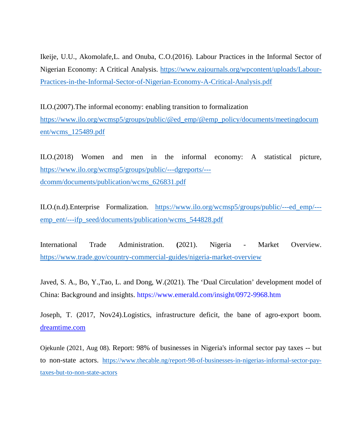Ikeije, U.U., Akomolafe,L. and Onuba, C.O.(2016). Labour Practices in the Informal Sector of Nigerian Economy: A Critical Analysis. https://www.eajournals.org/wpcontent/uploads/Labour-Practices-in-the-Informal-Sector-of-Nigerian-Economy-A-Critical-Analysis.pdf

ILO.(2007).The informal economy: enabling transition to formalization https://www.ilo.org/wcmsp5/groups/public/@ed\_emp/@emp\_policy/documents/meetingdocum ent/wcms\_125489.pdf

ILO.(2018) Women and men in the informal economy: A statistical picture, https://www.ilo.org/wcmsp5/groups/public/---dgreports/-- dcomm/documents/publication/wcms\_626831.pdf

ILO.(n.d).Enterprise Formalization. https://www.ilo.org/wcmsp5/groups/public/---ed\_emp/-- emp\_ent/---ifp\_seed/documents/publication/wcms\_544828.pdf

International Trade Administration. **(**2021). Nigeria - Market Overview. https://www.trade.gov/country-commercial-guides/nigeria-market-overview

Javed, S. A., Bo, Y.,Tao, L. and Dong, W.(2021). The 'Dual Circulation' development model of China: Background and insights. https://www.emerald.com/insight/0972-9968.htm

Joseph, T. (2017, Nov24).Logistics, infrastructure deficit, the bane of agro-export boom. dreamtime.com

Ojekunle (2021, Aug 08). Report: 98% of businesses in Nigeria's informal sector pay taxes -- but to non-state actors. https://www.thecable.ng/report-98-of-businesses-in-nigerias-informal-sector-paytaxes-but-to-non-state-actors